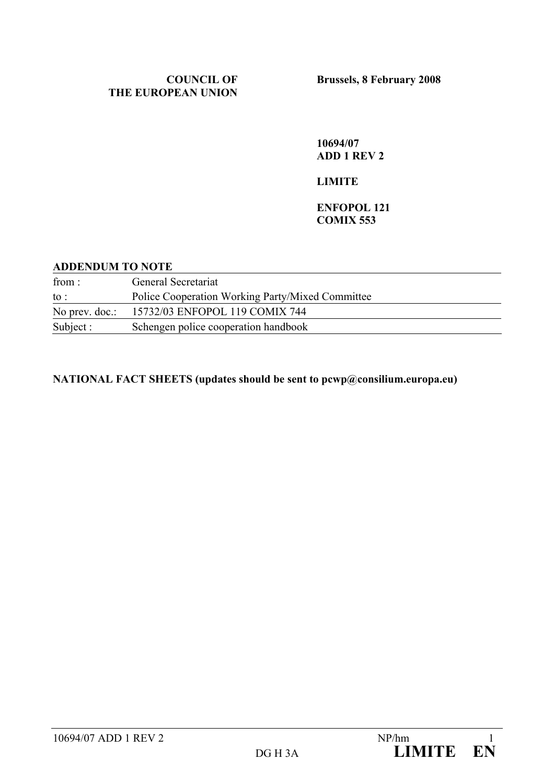### **COUNCIL OF THE EUROPEAN UNION**

**10694/07 ADD 1 REV 2** 

### **LIMITE**

### **ENFOPOL 121 COMIX 553**

#### **ADDENDUM TO NOTE**

| from:             | General Secretariat                              |  |
|-------------------|--------------------------------------------------|--|
| to :              | Police Cooperation Working Party/Mixed Committee |  |
| No prev. $doc$ .: | 15732/03 ENFOPOL 119 COMIX 744                   |  |
| Subject :         | Schengen police cooperation handbook             |  |

### **NATIONAL FACT SHEETS (updates should be sent to pcwp@consilium.europa.eu)**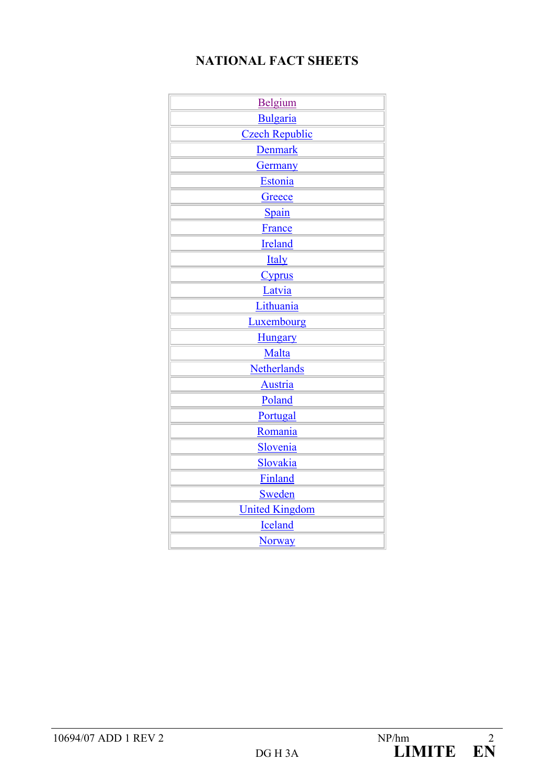## **NATIONAL FACT SHEETS**

| Belgium               |
|-----------------------|
| Bulgaria              |
| <b>Czech Republic</b> |
| <b>Denmark</b>        |
| Germany               |
| Estonia               |
| Greece                |
| Spain                 |
| France                |
| Ireland               |
| <b>Italy</b>          |
| <b>Cyprus</b>         |
| Latvia                |
| <b>Lithuania</b>      |
| Luxembourg            |
| <b>Hungary</b>        |
| Malta                 |
| Netherlands           |
| <b>Austria</b>        |
| Poland                |
| Portugal              |
| Romania               |
| Slovenia              |
| Slovakia              |
| Finland               |
| Sweden                |
| <b>United Kingdom</b> |
| Iceland               |
| <b>Norway</b>         |
|                       |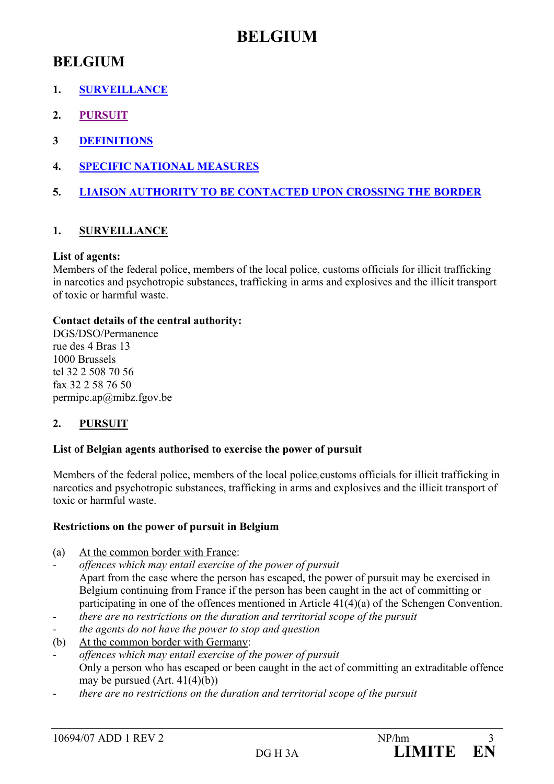## **BELGIUM**

## **BELGIUM**

- **1. SURVEILLANCE**
- **2. PURSUIT**
- **3 DEFINITIONS**
- **4. SPECIFIC NATIONAL MEASURES**
- **5. LIAISON AUTHORITY TO BE CONTACTED UPON CROSSING THE BORDER**

### **1. SURVEILLANCE**

### **List of agents:**

Members of the federal police, members of the local police, customs officials for illicit trafficking in narcotics and psychotropic substances, trafficking in arms and explosives and the illicit transport of toxic or harmful waste.

### **Contact details of the central authority:**

DGS/DSO/Permanence rue des 4 Bras 13 1000 Brussels tel 32 2 508 70 56 fax 32 2 58 76 50 permipc.ap@mibz.fgov.be

### **2. PURSUIT**

### **List of Belgian agents authorised to exercise the power of pursuit**

Members of the federal police, members of the local police*,*customs officials for illicit trafficking in narcotics and psychotropic substances, trafficking in arms and explosives and the illicit transport of toxic or harmful waste.

### **Restrictions on the power of pursuit in Belgium**

- (a) At the common border with France:
- *offences which may entail exercise of the power of pursuit*  Apart from the case where the person has escaped, the power of pursuit may be exercised in Belgium continuing from France if the person has been caught in the act of committing or participating in one of the offences mentioned in Article 41(4)(a) of the Schengen Convention.
- *there are no restrictions on the duration and territorial scope of the pursuit*
- *the agents do not have the power to stop and question*
- (b) At the common border with Germany:
- *offences which may entail exercise of the power of pursuit*  Only a person who has escaped or been caught in the act of committing an extraditable offence may be pursued  $(Art. 41(4)(b))$
- *there are no restrictions on the duration and territorial scope of the pursuit*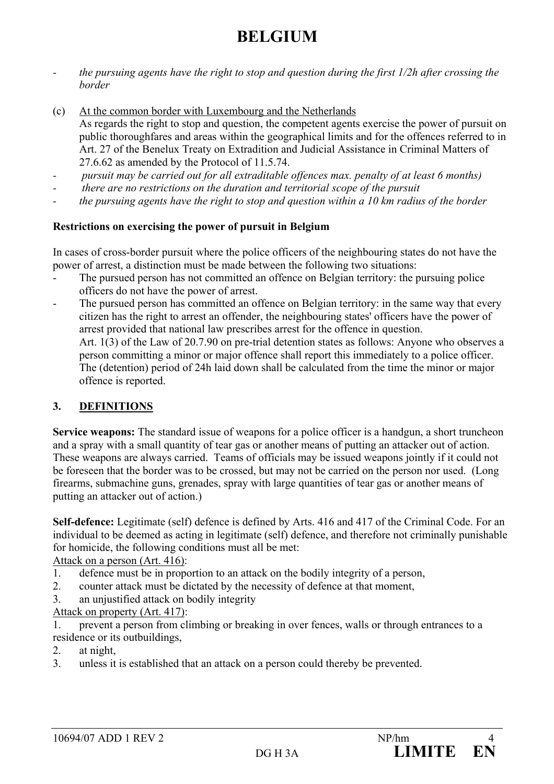# **BELGIUM**

- *the pursuing agents have the right to stop and question during the first 1/2h after crossing the border*
- (c) At the common border with Luxembourg and the Netherlands As regards the right to stop and question, the competent agents exercise the power of pursuit on public thoroughfares and areas within the geographical limits and for the offences referred to in Art. 27 of the Benelux Treaty on Extradition and Judicial Assistance in Criminal Matters of 27.6.62 as amended by the Protocol of 11.5.74.
- *pursuit may be carried out for all extraditable offences max. penalty of at least 6 months)*
- *there are no restrictions on the duration and territorial scope of the pursuit*
- *the pursuing agents have the right to stop and question within a 10 km radius of the border*

### **Restrictions on exercising the power of pursuit in Belgium**

In cases of cross-border pursuit where the police officers of the neighbouring states do not have the power of arrest, a distinction must be made between the following two situations:

- The pursued person has not committed an offence on Belgian territory: the pursuing police officers do not have the power of arrest.
- The pursued person has committed an offence on Belgian territory: in the same way that every citizen has the right to arrest an offender, the neighbouring states' officers have the power of arrest provided that national law prescribes arrest for the offence in question. Art. 1(3) of the Law of 20.7.90 on pre-trial detention states as follows: Anyone who observes a person committing a minor or major offence shall report this immediately to a police officer. The (detention) period of 24h laid down shall be calculated from the time the minor or major offence is reported.

### **3. DEFINITIONS**

**Service weapons:** The standard issue of weapons for a police officer is a handgun, a short truncheon and a spray with a small quantity of tear gas or another means of putting an attacker out of action. These weapons are always carried. Teams of officials may be issued weapons jointly if it could not be foreseen that the border was to be crossed, but may not be carried on the person nor used. (Long firearms, submachine guns, grenades, spray with large quantities of tear gas or another means of putting an attacker out of action.)

**Self-defence:** Legitimate (self) defence is defined by Arts. 416 and 417 of the Criminal Code. For an individual to be deemed as acting in legitimate (self) defence, and therefore not criminally punishable for homicide, the following conditions must all be met:

Attack on a person (Art. 416):

- 1. defence must be in proportion to an attack on the bodily integrity of a person,
- 2. counter attack must be dictated by the necessity of defence at that moment,
- 3. an unjustified attack on bodily integrity
- Attack on property (Art. 417):

1. prevent a person from climbing or breaking in over fences, walls or through entrances to a residence or its outbuildings,

- 2. at night,
- 3. unless it is established that an attack on a person could thereby be prevented.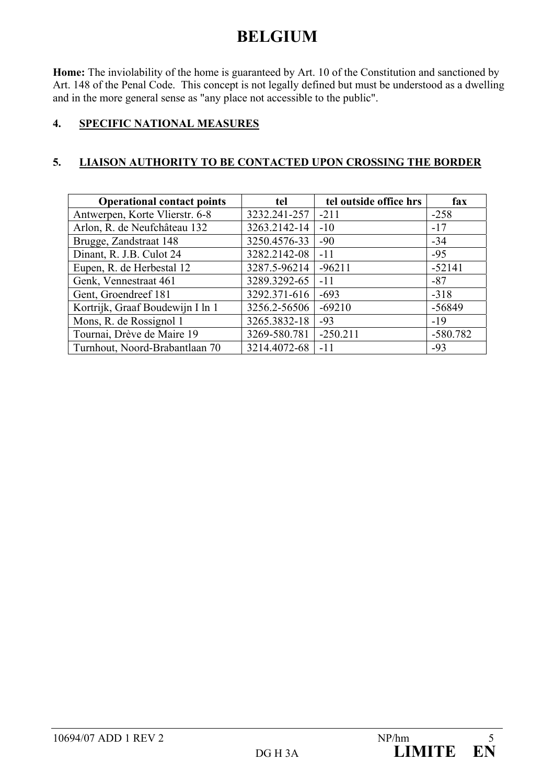# **BELGIUM**

**Home:** The inviolability of the home is guaranteed by Art. 10 of the Constitution and sanctioned by Art. 148 of the Penal Code. This concept is not legally defined but must be understood as a dwelling and in the more general sense as "any place not accessible to the public".

### **4. SPECIFIC NATIONAL MEASURES**

### **5. LIAISON AUTHORITY TO BE CONTACTED UPON CROSSING THE BORDER**

| <b>Operational contact points</b> | tel          | tel outside office hrs | fax        |
|-----------------------------------|--------------|------------------------|------------|
| Antwerpen, Korte Vlierstr. 6-8    | 3232.241-257 | $-211$                 | $-258$     |
| Arlon, R. de Neufchâteau 132      | 3263.2142-14 | $-10$                  | $-17$      |
| Brugge, Zandstraat 148            | 3250.4576-33 | $-90$                  | $-34$      |
| Dinant, R. J.B. Culot 24          | 3282.2142-08 | $-11$                  | $-95$      |
| Eupen, R. de Herbestal 12         | 3287.5-96214 | $-96211$               | $-52141$   |
| Genk, Vennestraat 461             | 3289.3292-65 | $-11$                  | $-87$      |
| Gent, Groendreef 181              | 3292.371-616 | $-693$                 | $-318$     |
| Kortrijk, Graaf Boudewijn I ln 1  | 3256.2-56506 | $-69210$               | -56849     |
| Mons, R. de Rossignol 1           | 3265.3832-18 | $-93$                  | $-19$      |
| Tournai, Drève de Maire 19        | 3269-580.781 | $-250.211$             | $-580.782$ |
| Turnhout, Noord-Brabantlaan 70    | 3214.4072-68 | $-11$                  | $-93$      |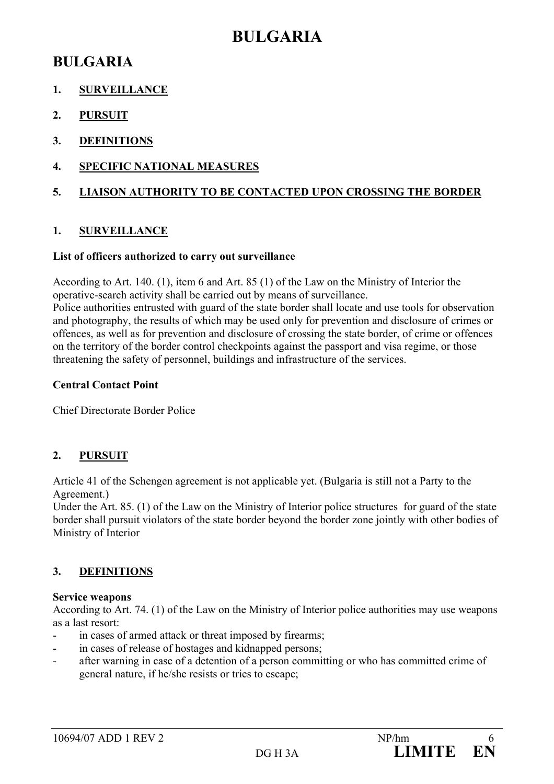## **BULGARIA**

## **BULGARIA**

- **1. SURVEILLANCE**
- **2. PURSUIT**
- **3. DEFINITIONS**
- **4. SPECIFIC NATIONAL MEASURES**

### **5. LIAISON AUTHORITY TO BE CONTACTED UPON CROSSING THE BORDER**

### **1. SURVEILLANCE**

### **List of officers authorized to carry out surveillance**

According to Art. 140. (1), item 6 and Art. 85 (1) of the Law on the Ministry of Interior the operative-search activity shall be carried out by means of surveillance.

Police authorities entrusted with guard of the state border shall locate and use tools for observation and photography, the results of which may be used only for prevention and disclosure of crimes or offences, as well as for prevention and disclosure of crossing the state border, of crime or offences on the territory of the border control checkpoints against the passport and visa regime, or those threatening the safety of personnel, buildings and infrastructure of the services.

### **Central Contact Point**

Chief Directorate Border Police

## **2. PURSUIT**

Article 41 of the Schengen agreement is not applicable yet. (Bulgaria is still not a Party to the Agreement.)

Under the Art. 85. (1) of the Law on the Ministry of Interior police structures for guard of the state border shall pursuit violators of the state border beyond the border zone jointly with other bodies of Ministry of Interior

## **3. DEFINITIONS**

### **Service weapons**

According to Art. 74. (1) of the Law on the Ministry of Interior police authorities may use weapons as a last resort:

- in cases of armed attack or threat imposed by firearms;
- in cases of release of hostages and kidnapped persons;
- after warning in case of a detention of a person committing or who has committed crime of general nature, if he/she resists or tries to escape;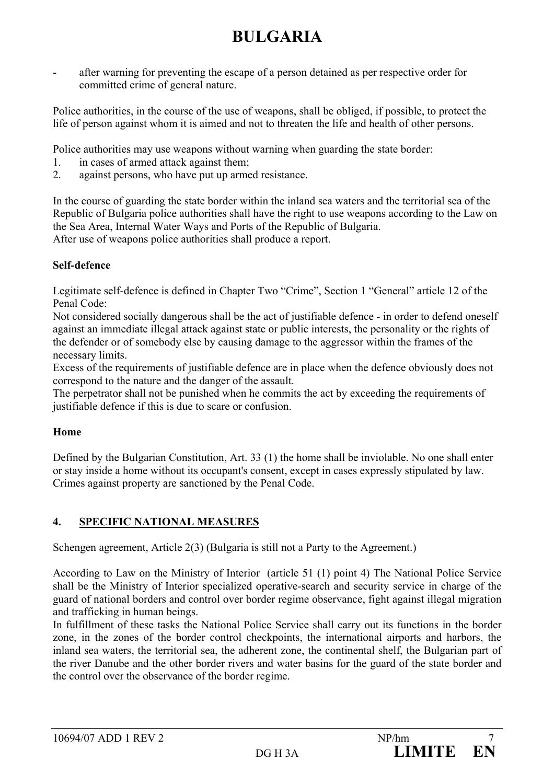# **BULGARIA**

after warning for preventing the escape of a person detained as per respective order for committed crime of general nature.

Police authorities, in the course of the use of weapons, shall be obliged, if possible, to protect the life of person against whom it is aimed and not to threaten the life and health of other persons.

Police authorities may use weapons without warning when guarding the state border:

- 1. in cases of armed attack against them;
- 2. against persons, who have put up armed resistance.

In the course of guarding the state border within the inland sea waters and the territorial sea of the Republic of Bulgaria police authorities shall have the right to use weapons according to the Law on the Sea Area, Internal Water Ways and Ports of the Republic of Bulgaria. After use of weapons police authorities shall produce a report.

### **Self-defence**

Legitimate self-defence is defined in Chapter Two "Crime", Section 1 "General" article 12 of the Penal Code:

Not considered socially dangerous shall be the act of justifiable defence - in order to defend oneself against an immediate illegal attack against state or public interests, the personality or the rights of the defender or of somebody else by causing damage to the aggressor within the frames of the necessary limits.

Excess of the requirements of justifiable defence are in place when the defence obviously does not correspond to the nature and the danger of the assault.

The perpetrator shall not be punished when he commits the act by exceeding the requirements of justifiable defence if this is due to scare or confusion.

### **Home**

Defined by the Bulgarian Constitution, Art. 33 (1) the home shall be inviolable. No one shall enter or stay inside a home without its occupant's consent, except in cases expressly stipulated by law. Crimes against property are sanctioned by the Penal Code.

### **4. SPECIFIC NATIONAL MEASURES**

Schengen agreement, Article 2(3) (Bulgaria is still not a Party to the Agreement.)

According to Law on the Ministry of Interior (article 51 (1) point 4) The National Police Service shall be the Ministry of Interior specialized operative-search and security service in charge of the guard of national borders and control over border regime observance, fight against illegal migration and trafficking in human beings.

In fulfillment of these tasks the National Police Service shall carry out its functions in the border zone, in the zones of the border control checkpoints, the international airports and harbors, the inland sea waters, the territorial sea, the adherent zone, the continental shelf, the Bulgarian part of the river Danube and the other border rivers and water basins for the guard of the state border and the control over the observance of the border regime.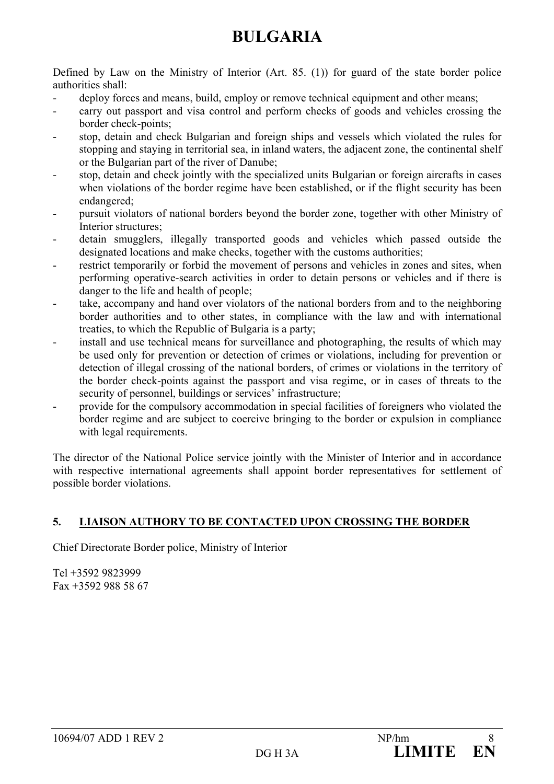# **BULGARIA**

Defined by Law on the Ministry of Interior (Art. 85. (1)) for guard of the state border police authorities shall:

- deploy forces and means, build, employ or remove technical equipment and other means;
- carry out passport and visa control and perform checks of goods and vehicles crossing the border check-points;
- stop, detain and check Bulgarian and foreign ships and vessels which violated the rules for stopping and staying in territorial sea, in inland waters, the adjacent zone, the continental shelf or the Bulgarian part of the river of Danube;
- stop, detain and check jointly with the specialized units Bulgarian or foreign aircrafts in cases when violations of the border regime have been established, or if the flight security has been endangered;
- pursuit violators of national borders beyond the border zone, together with other Ministry of Interior structures;
- detain smugglers, illegally transported goods and vehicles which passed outside the designated locations and make checks, together with the customs authorities;
- restrict temporarily or forbid the movement of persons and vehicles in zones and sites, when performing operative-search activities in order to detain persons or vehicles and if there is danger to the life and health of people;
- take, accompany and hand over violators of the national borders from and to the neighboring border authorities and to other states, in compliance with the law and with international treaties, to which the Republic of Bulgaria is a party;
- install and use technical means for surveillance and photographing, the results of which may be used only for prevention or detection of crimes or violations, including for prevention or detection of illegal crossing of the national borders, of crimes or violations in the territory of the border check-points against the passport and visa regime, or in cases of threats to the security of personnel, buildings or services' infrastructure;
- provide for the compulsory accommodation in special facilities of foreigners who violated the border regime and are subject to coercive bringing to the border or expulsion in compliance with legal requirements.

The director of the National Police service jointly with the Minister of Interior and in accordance with respective international agreements shall appoint border representatives for settlement of possible border violations.

## **5. LIAISON AUTHORY TO BE CONTACTED UPON CROSSING THE BORDER**

Chief Directorate Border police, Ministry of Interior

Tel +3592 9823999 Fax +3592 988 58 67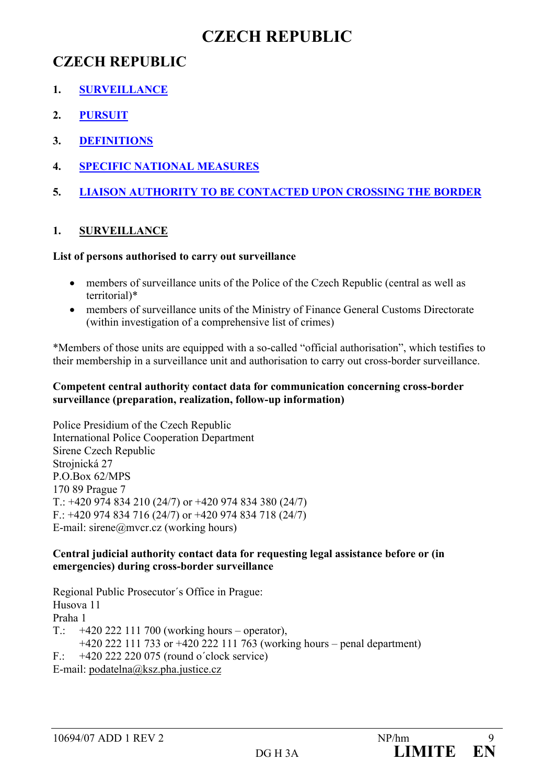## **CZECH REPUBLIC**

## **CZECH REPUBLIC**

- **1. SURVEILLANCE**
- **2. PURSUIT**
- **3. DEFINITIONS**
- **4. SPECIFIC NATIONAL MEASURES**
- **5. LIAISON AUTHORITY TO BE CONTACTED UPON CROSSING THE BORDER**

## **1. SURVEILLANCE**

### **List of persons authorised to carry out surveillance**

- members of surveillance units of the Police of the Czech Republic (central as well as territorial)\*
- members of surveillance units of the Ministry of Finance General Customs Directorate (within investigation of a comprehensive list of crimes)

\*Members of those units are equipped with a so-called "official authorisation", which testifies to their membership in a surveillance unit and authorisation to carry out cross-border surveillance.

### **Competent central authority contact data for communication concerning cross-border surveillance (preparation, realization, follow-up information)**

Police Presidium of the Czech Republic International Police Cooperation Department Sirene Czech Republic Strojnická 27 P.O.Box 62/MPS 170 89 Prague 7 T.: +420 974 834 210 (24/7) or +420 974 834 380 (24/7)  $F$ : +420 974 834 716 (24/7) or +420 974 834 718 (24/7) E-mail: sirene@mvcr.cz (working hours)

### **Central judicial authority contact data for requesting legal assistance before or (in emergencies) during cross-border surveillance**

Regional Public Prosecutor´s Office in Prague: Husova 11 Praha 1 T.:  $+420\,222\,111\,700$  (working hours – operator), +420 222 111 733 or +420 222 111 763 (working hours – penal department) F.: +420 222 220 075 (round o´clock service) E-mail: podatelna@ksz.pha.justice.cz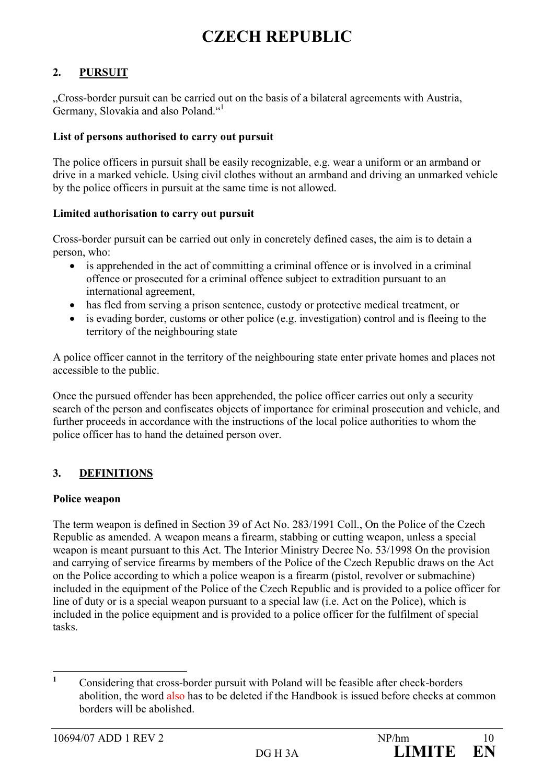## **CZECH REPUBLIC**

### **2. PURSUIT**

"Cross-border pursuit can be carried out on the basis of a bilateral agreements with Austria, Germany, Slovakia and also Poland."<sup>1</sup>

#### **List of persons authorised to carry out pursuit**

The police officers in pursuit shall be easily recognizable, e.g. wear a uniform or an armband or drive in a marked vehicle. Using civil clothes without an armband and driving an unmarked vehicle by the police officers in pursuit at the same time is not allowed.

### **Limited authorisation to carry out pursuit**

Cross-border pursuit can be carried out only in concretely defined cases, the aim is to detain a person, who:

- is apprehended in the act of committing a criminal offence or is involved in a criminal offence or prosecuted for a criminal offence subject to extradition pursuant to an international agreement,
- has fled from serving a prison sentence, custody or protective medical treatment, or
- is evading border, customs or other police (e.g. investigation) control and is fleeing to the territory of the neighbouring state

A police officer cannot in the territory of the neighbouring state enter private homes and places not accessible to the public.

Once the pursued offender has been apprehended, the police officer carries out only a security search of the person and confiscates objects of importance for criminal prosecution and vehicle, and further proceeds in accordance with the instructions of the local police authorities to whom the police officer has to hand the detained person over.

### **3. DEFINITIONS**

#### **Police weapon**

The term weapon is defined in Section 39 of Act No. 283/1991 Coll., On the Police of the Czech Republic as amended. A weapon means a firearm, stabbing or cutting weapon, unless a special weapon is meant pursuant to this Act. The Interior Ministry Decree No. 53/1998 On the provision and carrying of service firearms by members of the Police of the Czech Republic draws on the Act on the Police according to which a police weapon is a firearm (pistol, revolver or submachine) included in the equipment of the Police of the Czech Republic and is provided to a police officer for line of duty or is a special weapon pursuant to a special law (i.e. Act on the Police), which is included in the police equipment and is provided to a police officer for the fulfilment of special tasks.

 **1** Considering that cross-border pursuit with Poland will be feasible after check-borders abolition, the word also has to be deleted if the Handbook is issued before checks at common borders will be abolished.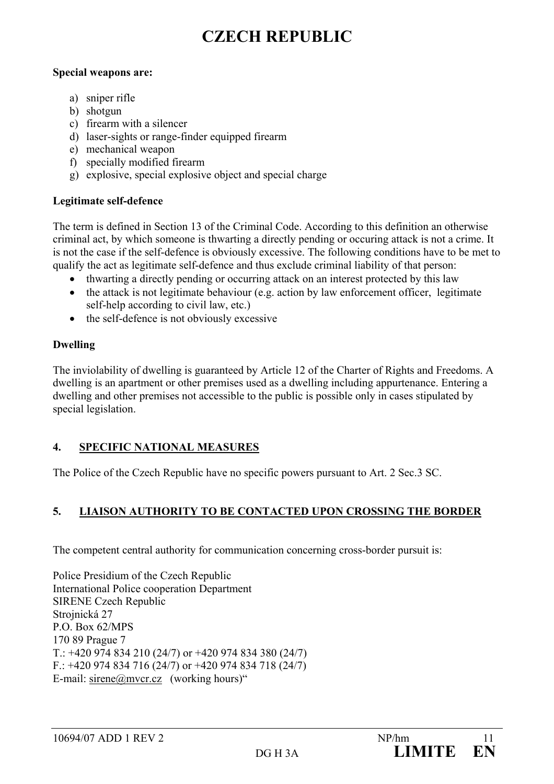## **CZECH REPUBLIC**

### **Special weapons are:**

- a) sniper rifle
- b) shotgun
- c) firearm with a silencer
- d) laser-sights or range-finder equipped firearm
- e) mechanical weapon
- f) specially modified firearm
- g) explosive, special explosive object and special charge

### **Legitimate self-defence**

The term is defined in Section 13 of the Criminal Code. According to this definition an otherwise criminal act, by which someone is thwarting a directly pending or occuring attack is not a crime. It is not the case if the self-defence is obviously excessive. The following conditions have to be met to qualify the act as legitimate self-defence and thus exclude criminal liability of that person:

- thwarting a directly pending or occurring attack on an interest protected by this law
- the attack is not legitimate behaviour (e.g. action by law enforcement officer, legitimate self-help according to civil law, etc.)
- the self-defence is not obviously excessive

### **Dwelling**

The inviolability of dwelling is guaranteed by Article 12 of the Charter of Rights and Freedoms. A dwelling is an apartment or other premises used as a dwelling including appurtenance. Entering a dwelling and other premises not accessible to the public is possible only in cases stipulated by special legislation.

## **4. SPECIFIC NATIONAL MEASURES**

The Police of the Czech Republic have no specific powers pursuant to Art. 2 Sec.3 SC.

## **5. LIAISON AUTHORITY TO BE CONTACTED UPON CROSSING THE BORDER**

The competent central authority for communication concerning cross-border pursuit is:

Police Presidium of the Czech Republic International Police cooperation Department SIRENE Czech Republic Strojnická 27 P.O. Box 62/MPS 170 89 Prague 7  $T$ : +420 974 834 210 (24/7) or +420 974 834 380 (24/7) F.:  $+420$  974 834 716 (24/7) or  $+420$  974 834 718 (24/7) E-mail: sirene@mvcr.cz (working hours)"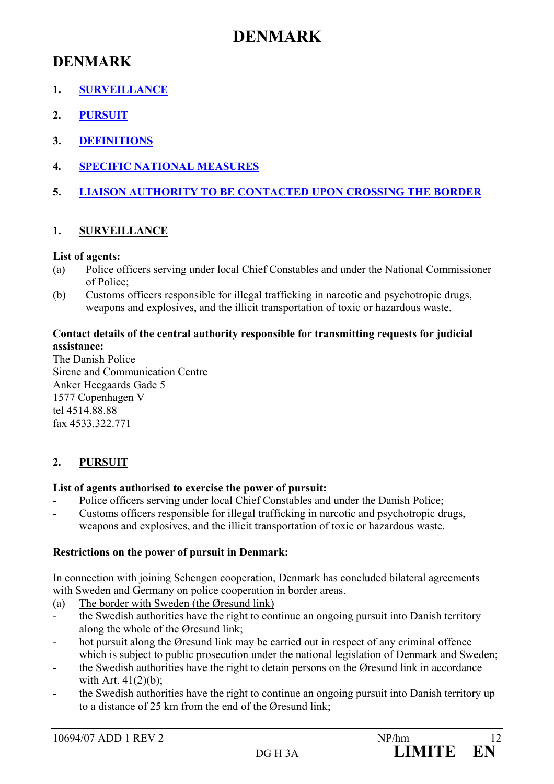## **DENMARK**

## **DENMARK**

- **1. SURVEILLANCE**
- **2. PURSUIT**
- **3. DEFINITIONS**
- **4. SPECIFIC NATIONAL MEASURES**
- **5. LIAISON AUTHORITY TO BE CONTACTED UPON CROSSING THE BORDER**

### **1. SURVEILLANCE**

### **List of agents:**

- (a) Police officers serving under local Chief Constables and under the National Commissioner of Police;
- (b) Customs officers responsible for illegal trafficking in narcotic and psychotropic drugs, weapons and explosives, and the illicit transportation of toxic or hazardous waste.

### **Contact details of the central authority responsible for transmitting requests for judicial assistance:**

The Danish Police Sirene and Communication Centre Anker Heegaards Gade 5 1577 Copenhagen V tel 4514.88.88 fax 4533.322.771

## **2. PURSUIT**

### **List of agents authorised to exercise the power of pursuit:**

- Police officers serving under local Chief Constables and under the Danish Police;
- Customs officers responsible for illegal trafficking in narcotic and psychotropic drugs, weapons and explosives, and the illicit transportation of toxic or hazardous waste.

### **Restrictions on the power of pursuit in Denmark:**

In connection with joining Schengen cooperation, Denmark has concluded bilateral agreements with Sweden and Germany on police cooperation in border areas.

- (a) The border with Sweden (the Øresund link)
- the Swedish authorities have the right to continue an ongoing pursuit into Danish territory along the whole of the Øresund link;
- hot pursuit along the Øresund link may be carried out in respect of any criminal offence which is subject to public prosecution under the national legislation of Denmark and Sweden;
- the Swedish authorities have the right to detain persons on the Øresund link in accordance with Art. 41(2)(b);
- the Swedish authorities have the right to continue an ongoing pursuit into Danish territory up to a distance of 25 km from the end of the Øresund link;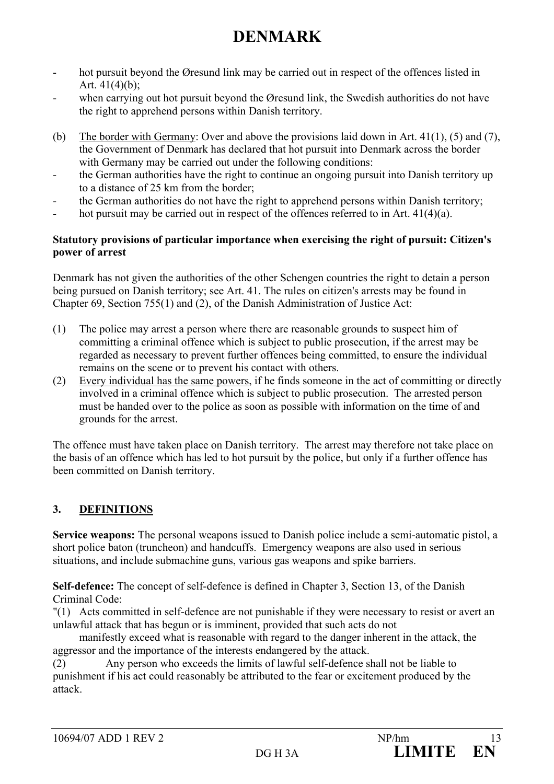# **DENMARK**

- hot pursuit beyond the Øresund link may be carried out in respect of the offences listed in Art.  $41(4)(b)$ ;
- when carrying out hot pursuit beyond the Øresund link, the Swedish authorities do not have the right to apprehend persons within Danish territory.
- (b) The border with Germany: Over and above the provisions laid down in Art. 41(1), (5) and (7), the Government of Denmark has declared that hot pursuit into Denmark across the border with Germany may be carried out under the following conditions:
- the German authorities have the right to continue an ongoing pursuit into Danish territory up to a distance of 25 km from the border;
- the German authorities do not have the right to apprehend persons within Danish territory;
- hot pursuit may be carried out in respect of the offences referred to in Art.  $41(4)(a)$ .

### **Statutory provisions of particular importance when exercising the right of pursuit: Citizen's power of arrest**

Denmark has not given the authorities of the other Schengen countries the right to detain a person being pursued on Danish territory; see Art. 41. The rules on citizen's arrests may be found in Chapter 69, Section 755(1) and (2), of the Danish Administration of Justice Act:

- (1) The police may arrest a person where there are reasonable grounds to suspect him of committing a criminal offence which is subject to public prosecution, if the arrest may be regarded as necessary to prevent further offences being committed, to ensure the individual remains on the scene or to prevent his contact with others.
- (2) Every individual has the same powers, if he finds someone in the act of committing or directly involved in a criminal offence which is subject to public prosecution. The arrested person must be handed over to the police as soon as possible with information on the time of and grounds for the arrest.

The offence must have taken place on Danish territory. The arrest may therefore not take place on the basis of an offence which has led to hot pursuit by the police, but only if a further offence has been committed on Danish territory.

## **3. DEFINITIONS**

**Service weapons:** The personal weapons issued to Danish police include a semi-automatic pistol, a short police baton (truncheon) and handcuffs. Emergency weapons are also used in serious situations, and include submachine guns, various gas weapons and spike barriers.

**Self-defence:** The concept of self-defence is defined in Chapter 3, Section 13, of the Danish Criminal Code:

"(1) Acts committed in self-defence are not punishable if they were necessary to resist or avert an unlawful attack that has begun or is imminent, provided that such acts do not

 manifestly exceed what is reasonable with regard to the danger inherent in the attack, the aggressor and the importance of the interests endangered by the attack.

(2) Any person who exceeds the limits of lawful self-defence shall not be liable to punishment if his act could reasonably be attributed to the fear or excitement produced by the attack.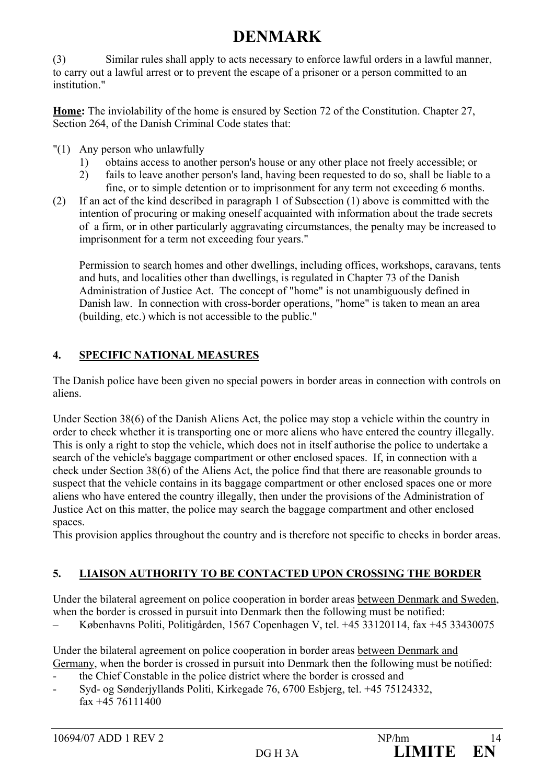# **DENMARK**

(3) Similar rules shall apply to acts necessary to enforce lawful orders in a lawful manner, to carry out a lawful arrest or to prevent the escape of a prisoner or a person committed to an institution."

**Home:** The inviolability of the home is ensured by Section 72 of the Constitution. Chapter 27, Section 264, of the Danish Criminal Code states that:

- "(1) Any person who unlawfully
	- 1) obtains access to another person's house or any other place not freely accessible; or
	- 2) fails to leave another person's land, having been requested to do so, shall be liable to a fine, or to simple detention or to imprisonment for any term not exceeding 6 months.
- (2) If an act of the kind described in paragraph 1 of Subsection (1) above is committed with the intention of procuring or making oneself acquainted with information about the trade secrets of a firm, or in other particularly aggravating circumstances, the penalty may be increased to imprisonment for a term not exceeding four years."

Permission to search homes and other dwellings, including offices, workshops, caravans, tents and huts, and localities other than dwellings, is regulated in Chapter 73 of the Danish Administration of Justice Act. The concept of "home" is not unambiguously defined in Danish law. In connection with cross-border operations, "home" is taken to mean an area (building, etc.) which is not accessible to the public."

## **4. SPECIFIC NATIONAL MEASURES**

The Danish police have been given no special powers in border areas in connection with controls on aliens.

Under Section 38(6) of the Danish Aliens Act, the police may stop a vehicle within the country in order to check whether it is transporting one or more aliens who have entered the country illegally. This is only a right to stop the vehicle, which does not in itself authorise the police to undertake a search of the vehicle's baggage compartment or other enclosed spaces. If, in connection with a check under Section 38(6) of the Aliens Act, the police find that there are reasonable grounds to suspect that the vehicle contains in its baggage compartment or other enclosed spaces one or more aliens who have entered the country illegally, then under the provisions of the Administration of Justice Act on this matter, the police may search the baggage compartment and other enclosed spaces.

This provision applies throughout the country and is therefore not specific to checks in border areas.

## **5. LIAISON AUTHORITY TO BE CONTACTED UPON CROSSING THE BORDER**

Under the bilateral agreement on police cooperation in border areas between Denmark and Sweden, when the border is crossed in pursuit into Denmark then the following must be notified:

– Københavns Politi, Politigården, 1567 Copenhagen V, tel. +45 33120114, fax +45 33430075

Under the bilateral agreement on police cooperation in border areas between Denmark and Germany, when the border is crossed in pursuit into Denmark then the following must be notified:

- the Chief Constable in the police district where the border is crossed and
- Syd- og Sønderjyllands Politi, Kirkegade 76, 6700 Esbjerg, tel. +45 75124332, fax +45 76111400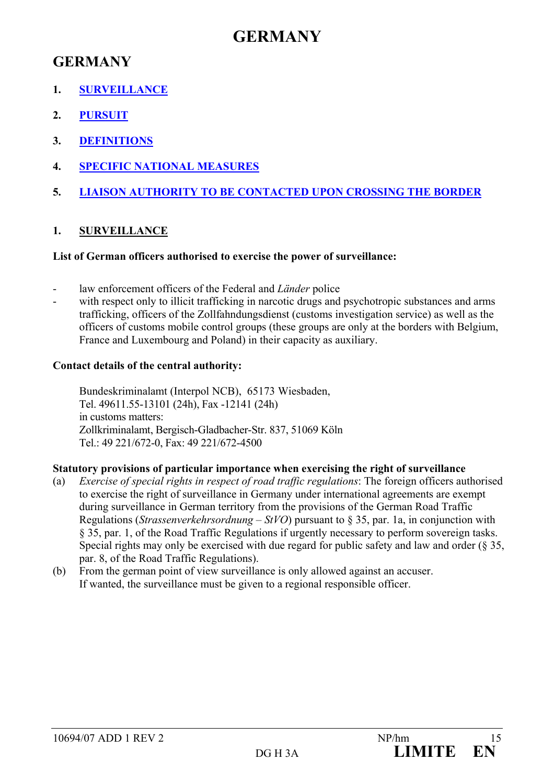## **GERMANY**

- **1. SURVEILLANCE**
- **2. PURSUIT**
- **3. DEFINITIONS**
- **4. SPECIFIC NATIONAL MEASURES**
- **5. LIAISON AUTHORITY TO BE CONTACTED UPON CROSSING THE BORDER**

## **1. SURVEILLANCE**

### **List of German officers authorised to exercise the power of surveillance:**

- law enforcement officers of the Federal and *Länder* police
- with respect only to illicit trafficking in narcotic drugs and psychotropic substances and arms trafficking, officers of the Zollfahndungsdienst (customs investigation service) as well as the officers of customs mobile control groups (these groups are only at the borders with Belgium, France and Luxembourg and Poland) in their capacity as auxiliary.

### **Contact details of the central authority:**

Bundeskriminalamt (Interpol NCB), 65173 Wiesbaden, Tel. 49611.55-13101 (24h), Fax -12141 (24h) in customs matters: Zollkriminalamt, Bergisch-Gladbacher-Str. 837, 51069 Köln Tel.: 49 221/672-0, Fax: 49 221/672-4500

### **Statutory provisions of particular importance when exercising the right of surveillance**

- (a) *Exercise of special rights in respect of road traffic regulations*: The foreign officers authorised to exercise the right of surveillance in Germany under international agreements are exempt during surveillance in German territory from the provisions of the German Road Traffic Regulations (*Strassenverkehrsordnung – StVO*) pursuant to § 35, par. 1a, in conjunction with § 35, par. 1, of the Road Traffic Regulations if urgently necessary to perform sovereign tasks. Special rights may only be exercised with due regard for public safety and law and order (§ 35, par. 8, of the Road Traffic Regulations).
- (b) From the german point of view surveillance is only allowed against an accuser. If wanted, the surveillance must be given to a regional responsible officer.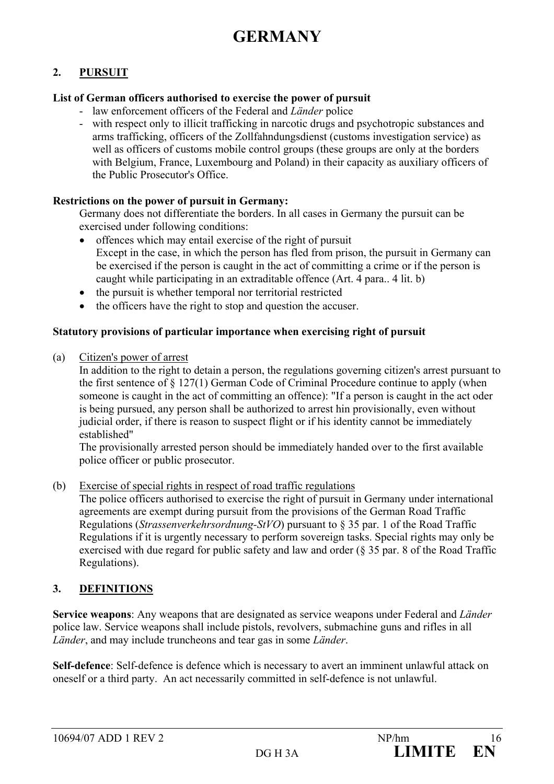### **2. PURSUIT**

### **List of German officers authorised to exercise the power of pursuit**

- law enforcement officers of the Federal and *Länder* police
- with respect only to illicit trafficking in narcotic drugs and psychotropic substances and arms trafficking, officers of the Zollfahndungsdienst (customs investigation service) as well as officers of customs mobile control groups (these groups are only at the borders with Belgium, France, Luxembourg and Poland) in their capacity as auxiliary officers of the Public Prosecutor's Office.

### **Restrictions on the power of pursuit in Germany:**

Germany does not differentiate the borders. In all cases in Germany the pursuit can be exercised under following conditions:

- offences which may entail exercise of the right of pursuit Except in the case, in which the person has fled from prison, the pursuit in Germany can be exercised if the person is caught in the act of committing a crime or if the person is caught while participating in an extraditable offence (Art. 4 para.. 4 lit. b)
- the pursuit is whether temporal nor territorial restricted
- the officers have the right to stop and question the accuser.

#### **Statutory provisions of particular importance when exercising right of pursuit**

(a) Citizen's power of arrest

In addition to the right to detain a person, the regulations governing citizen's arrest pursuant to the first sentence of § 127(1) German Code of Criminal Procedure continue to apply (when someone is caught in the act of committing an offence): "If a person is caught in the act oder is being pursued, any person shall be authorized to arrest hin provisionally, even without judicial order, if there is reason to suspect flight or if his identity cannot be immediately established"

The provisionally arrested person should be immediately handed over to the first available police officer or public prosecutor.

(b) Exercise of special rights in respect of road traffic regulations

The police officers authorised to exercise the right of pursuit in Germany under international agreements are exempt during pursuit from the provisions of the German Road Traffic Regulations (*Strassenverkehrsordnung-StVO*) pursuant to § 35 par. 1 of the Road Traffic Regulations if it is urgently necessary to perform sovereign tasks. Special rights may only be exercised with due regard for public safety and law and order (§ 35 par. 8 of the Road Traffic Regulations).

### **3. DEFINITIONS**

**Service weapons**: Any weapons that are designated as service weapons under Federal and *Länder*  police law. Service weapons shall include pistols, revolvers, submachine guns and rifles in all *Länder*, and may include truncheons and tear gas in some *Länder*.

**Self-defence**: Self-defence is defence which is necessary to avert an imminent unlawful attack on oneself or a third party. An act necessarily committed in self-defence is not unlawful.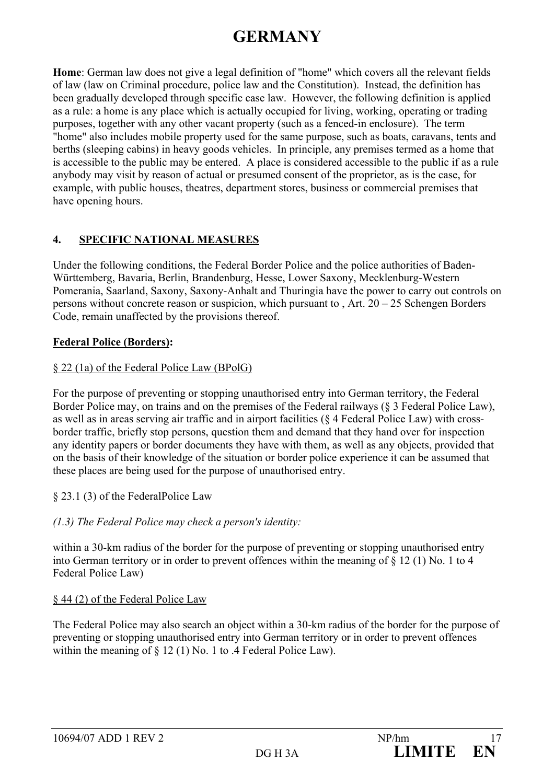**Home**: German law does not give a legal definition of "home" which covers all the relevant fields of law (law on Criminal procedure, police law and the Constitution). Instead, the definition has been gradually developed through specific case law. However, the following definition is applied as a rule: a home is any place which is actually occupied for living, working, operating or trading purposes, together with any other vacant property (such as a fenced-in enclosure). The term "home" also includes mobile property used for the same purpose, such as boats, caravans, tents and berths (sleeping cabins) in heavy goods vehicles. In principle, any premises termed as a home that is accessible to the public may be entered. A place is considered accessible to the public if as a rule anybody may visit by reason of actual or presumed consent of the proprietor, as is the case, for example, with public houses, theatres, department stores, business or commercial premises that have opening hours.

## **4. SPECIFIC NATIONAL MEASURES**

Under the following conditions, the Federal Border Police and the police authorities of Baden-Württemberg, Bavaria, Berlin, Brandenburg, Hesse, Lower Saxony, Mecklenburg-Western Pomerania, Saarland, Saxony, Saxony-Anhalt and Thuringia have the power to carry out controls on persons without concrete reason or suspicion, which pursuant to , Art. 20 – 25 Schengen Borders Code, remain unaffected by the provisions thereof.

### **Federal Police (Borders):**

### § 22 (1a) of the Federal Police Law (BPolG)

For the purpose of preventing or stopping unauthorised entry into German territory, the Federal Border Police may, on trains and on the premises of the Federal railways (§ 3 Federal Police Law), as well as in areas serving air traffic and in airport facilities (§ 4 Federal Police Law) with crossborder traffic, briefly stop persons, question them and demand that they hand over for inspection any identity papers or border documents they have with them, as well as any objects, provided that on the basis of their knowledge of the situation or border police experience it can be assumed that these places are being used for the purpose of unauthorised entry.

§ 23.1 (3) of the FederalPolice Law

### *(1.3) The Federal Police may check a person's identity:*

within a 30-km radius of the border for the purpose of preventing or stopping unauthorised entry into German territory or in order to prevent offences within the meaning of § 12 (1) No. 1 to 4 Federal Police Law)

### § 44 (2) of the Federal Police Law

The Federal Police may also search an object within a 30-km radius of the border for the purpose of preventing or stopping unauthorised entry into German territory or in order to prevent offences within the meaning of § 12 (1) No. 1 to .4 Federal Police Law).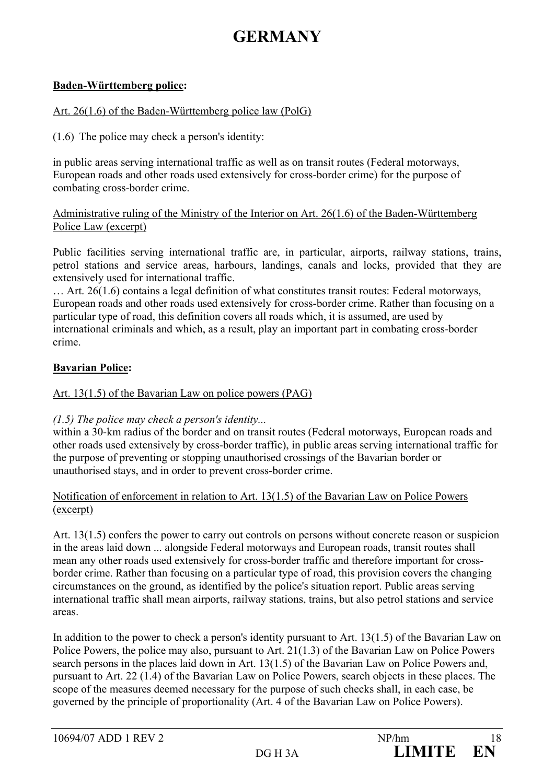### **Baden-Württemberg police:**

#### Art. 26(1.6) of the Baden-Württemberg police law (PolG)

(1.6) The police may check a person's identity:

in public areas serving international traffic as well as on transit routes (Federal motorways, European roads and other roads used extensively for cross-border crime) for the purpose of combating cross-border crime.

### Administrative ruling of the Ministry of the Interior on Art. 26(1.6) of the Baden-Württemberg Police Law (excerpt)

Public facilities serving international traffic are, in particular, airports, railway stations, trains, petrol stations and service areas, harbours, landings, canals and locks, provided that they are extensively used for international traffic.

… Art. 26(1.6) contains a legal definition of what constitutes transit routes: Federal motorways, European roads and other roads used extensively for cross-border crime. Rather than focusing on a particular type of road, this definition covers all roads which, it is assumed, are used by international criminals and which, as a result, play an important part in combating cross-border crime.

### **Bavarian Police:**

#### Art. 13(1.5) of the Bavarian Law on police powers (PAG)

#### *(1.5) The police may check a person's identity...*

within a 30-km radius of the border and on transit routes (Federal motorways, European roads and other roads used extensively by cross-border traffic), in public areas serving international traffic for the purpose of preventing or stopping unauthorised crossings of the Bavarian border or unauthorised stays, and in order to prevent cross-border crime.

#### Notification of enforcement in relation to Art. 13(1.5) of the Bavarian Law on Police Powers (excerpt)

Art. 13(1.5) confers the power to carry out controls on persons without concrete reason or suspicion in the areas laid down ... alongside Federal motorways and European roads, transit routes shall mean any other roads used extensively for cross-border traffic and therefore important for crossborder crime. Rather than focusing on a particular type of road, this provision covers the changing circumstances on the ground, as identified by the police's situation report. Public areas serving international traffic shall mean airports, railway stations, trains, but also petrol stations and service areas.

In addition to the power to check a person's identity pursuant to Art. 13(1.5) of the Bavarian Law on Police Powers, the police may also, pursuant to Art. 21(1.3) of the Bavarian Law on Police Powers search persons in the places laid down in Art. 13(1.5) of the Bavarian Law on Police Powers and, pursuant to Art. 22 (1.4) of the Bavarian Law on Police Powers, search objects in these places. The scope of the measures deemed necessary for the purpose of such checks shall, in each case, be governed by the principle of proportionality (Art. 4 of the Bavarian Law on Police Powers).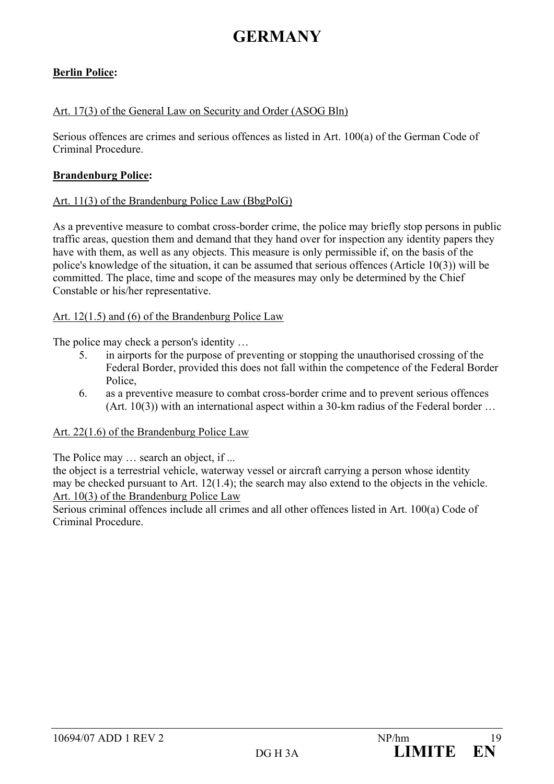### **Berlin Police:**

#### Art. 17(3) of the General Law on Security and Order (ASOG Bln)

Serious offences are crimes and serious offences as listed in Art. 100(a) of the German Code of Criminal Procedure.

#### **Brandenburg Police:**

#### Art. 11(3) of the Brandenburg Police Law (BbgPolG)

As a preventive measure to combat cross-border crime, the police may briefly stop persons in public traffic areas, question them and demand that they hand over for inspection any identity papers they have with them, as well as any objects. This measure is only permissible if, on the basis of the police's knowledge of the situation, it can be assumed that serious offences (Article 10(3)) will be committed. The place, time and scope of the measures may only be determined by the Chief Constable or his/her representative.

#### Art. 12(1.5) and (6) of the Brandenburg Police Law

The police may check a person's identity ...

- 5. in airports for the purpose of preventing or stopping the unauthorised crossing of the Federal Border, provided this does not fall within the competence of the Federal Border Police,
- 6. as a preventive measure to combat cross-border crime and to prevent serious offences  $(Art. 10(3))$  with an international aspect within a 30-km radius of the Federal border  $\dots$

#### Art. 22(1.6) of the Brandenburg Police Law

The Police may ... search an object, if ...

the object is a terrestrial vehicle, waterway vessel or aircraft carrying a person whose identity may be checked pursuant to Art. 12(1.4); the search may also extend to the objects in the vehicle. Art. 10(3) of the Brandenburg Police Law

Serious criminal offences include all crimes and all other offences listed in Art. 100(a) Code of Criminal Procedure.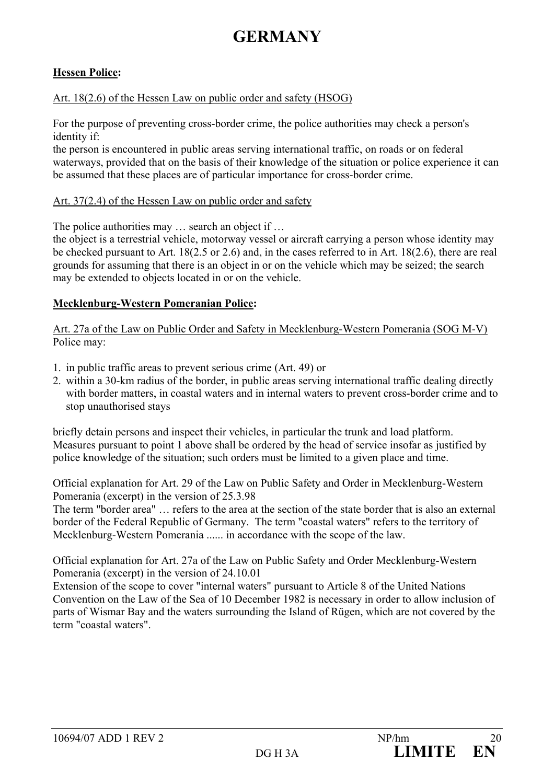### **Hessen Police:**

### Art. 18(2.6) of the Hessen Law on public order and safety (HSOG)

For the purpose of preventing cross-border crime, the police authorities may check a person's identity if:

the person is encountered in public areas serving international traffic, on roads or on federal waterways, provided that on the basis of their knowledge of the situation or police experience it can be assumed that these places are of particular importance for cross-border crime.

#### Art. 37(2.4) of the Hessen Law on public order and safety

The police authorities may  $\ldots$  search an object if  $\ldots$ 

the object is a terrestrial vehicle, motorway vessel or aircraft carrying a person whose identity may be checked pursuant to Art. 18(2.5 or 2.6) and, in the cases referred to in Art. 18(2.6), there are real grounds for assuming that there is an object in or on the vehicle which may be seized; the search may be extended to objects located in or on the vehicle.

### **Mecklenburg-Western Pomeranian Police:**

Art. 27a of the Law on Public Order and Safety in Mecklenburg-Western Pomerania (SOG M-V) Police may:

- 1. in public traffic areas to prevent serious crime (Art. 49) or
- 2. within a 30-km radius of the border, in public areas serving international traffic dealing directly with border matters, in coastal waters and in internal waters to prevent cross-border crime and to stop unauthorised stays

briefly detain persons and inspect their vehicles, in particular the trunk and load platform. Measures pursuant to point 1 above shall be ordered by the head of service insofar as justified by police knowledge of the situation; such orders must be limited to a given place and time.

Official explanation for Art. 29 of the Law on Public Safety and Order in Mecklenburg-Western Pomerania (excerpt) in the version of 25.3.98

The term "border area" … refers to the area at the section of the state border that is also an external border of the Federal Republic of Germany. The term "coastal waters" refers to the territory of Mecklenburg-Western Pomerania ...... in accordance with the scope of the law.

Official explanation for Art. 27a of the Law on Public Safety and Order Mecklenburg-Western Pomerania (excerpt) in the version of 24.10.01

Extension of the scope to cover "internal waters" pursuant to Article 8 of the United Nations Convention on the Law of the Sea of 10 December 1982 is necessary in order to allow inclusion of parts of Wismar Bay and the waters surrounding the Island of Rügen, which are not covered by the term "coastal waters".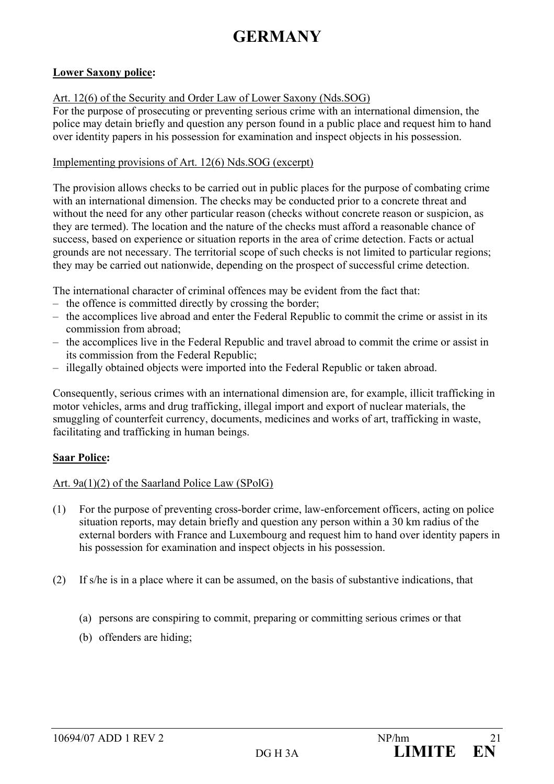### **Lower Saxony police:**

#### Art. 12(6) of the Security and Order Law of Lower Saxony (Nds.SOG)

For the purpose of prosecuting or preventing serious crime with an international dimension, the police may detain briefly and question any person found in a public place and request him to hand over identity papers in his possession for examination and inspect objects in his possession.

#### Implementing provisions of Art. 12(6) Nds.SOG (excerpt)

The provision allows checks to be carried out in public places for the purpose of combating crime with an international dimension. The checks may be conducted prior to a concrete threat and without the need for any other particular reason (checks without concrete reason or suspicion, as they are termed). The location and the nature of the checks must afford a reasonable chance of success, based on experience or situation reports in the area of crime detection. Facts or actual grounds are not necessary. The territorial scope of such checks is not limited to particular regions; they may be carried out nationwide, depending on the prospect of successful crime detection.

The international character of criminal offences may be evident from the fact that:

- the offence is committed directly by crossing the border;
- the accomplices live abroad and enter the Federal Republic to commit the crime or assist in its commission from abroad;
- the accomplices live in the Federal Republic and travel abroad to commit the crime or assist in its commission from the Federal Republic;
- illegally obtained objects were imported into the Federal Republic or taken abroad.

Consequently, serious crimes with an international dimension are, for example, illicit trafficking in motor vehicles, arms and drug trafficking, illegal import and export of nuclear materials, the smuggling of counterfeit currency, documents, medicines and works of art, trafficking in waste, facilitating and trafficking in human beings.

### **Saar Police:**

#### Art. 9a(1)(2) of the Saarland Police Law (SPolG)

- (1) For the purpose of preventing cross-border crime, law-enforcement officers, acting on police situation reports, may detain briefly and question any person within a 30 km radius of the external borders with France and Luxembourg and request him to hand over identity papers in his possession for examination and inspect objects in his possession.
- (2) If s/he is in a place where it can be assumed, on the basis of substantive indications, that
	- (a) persons are conspiring to commit, preparing or committing serious crimes or that
	- (b) offenders are hiding;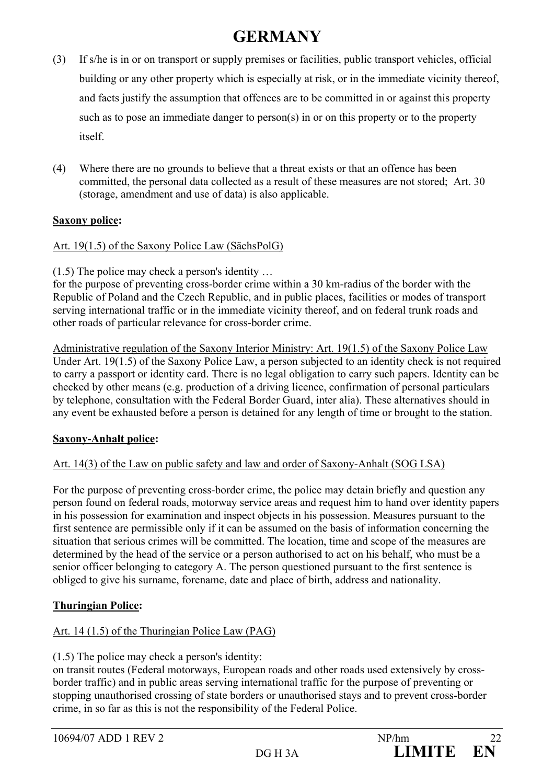- (3) If s/he is in or on transport or supply premises or facilities, public transport vehicles, official building or any other property which is especially at risk, or in the immediate vicinity thereof, and facts justify the assumption that offences are to be committed in or against this property such as to pose an immediate danger to person(s) in or on this property or to the property itself.
- (4) Where there are no grounds to believe that a threat exists or that an offence has been committed, the personal data collected as a result of these measures are not stored; Art. 30 (storage, amendment and use of data) is also applicable.

### **Saxony police:**

Art. 19(1.5) of the Saxony Police Law (SächsPolG)

(1.5) The police may check a person's identity …

for the purpose of preventing cross-border crime within a 30 km-radius of the border with the Republic of Poland and the Czech Republic, and in public places, facilities or modes of transport serving international traffic or in the immediate vicinity thereof, and on federal trunk roads and other roads of particular relevance for cross-border crime.

Administrative regulation of the Saxony Interior Ministry: Art. 19(1.5) of the Saxony Police Law Under Art. 19(1.5) of the Saxony Police Law, a person subjected to an identity check is not required to carry a passport or identity card. There is no legal obligation to carry such papers. Identity can be checked by other means (e.g. production of a driving licence, confirmation of personal particulars by telephone, consultation with the Federal Border Guard, inter alia). These alternatives should in any event be exhausted before a person is detained for any length of time or brought to the station.

### **Saxony-Anhalt police:**

### Art. 14(3) of the Law on public safety and law and order of Saxony-Anhalt (SOG LSA)

For the purpose of preventing cross-border crime, the police may detain briefly and question any person found on federal roads, motorway service areas and request him to hand over identity papers in his possession for examination and inspect objects in his possession. Measures pursuant to the first sentence are permissible only if it can be assumed on the basis of information concerning the situation that serious crimes will be committed. The location, time and scope of the measures are determined by the head of the service or a person authorised to act on his behalf, who must be a senior officer belonging to category A. The person questioned pursuant to the first sentence is obliged to give his surname, forename, date and place of birth, address and nationality.

### **Thuringian Police:**

### Art. 14 (1.5) of the Thuringian Police Law (PAG)

(1.5) The police may check a person's identity:

on transit routes (Federal motorways, European roads and other roads used extensively by crossborder traffic) and in public areas serving international traffic for the purpose of preventing or stopping unauthorised crossing of state borders or unauthorised stays and to prevent cross-border crime, in so far as this is not the responsibility of the Federal Police.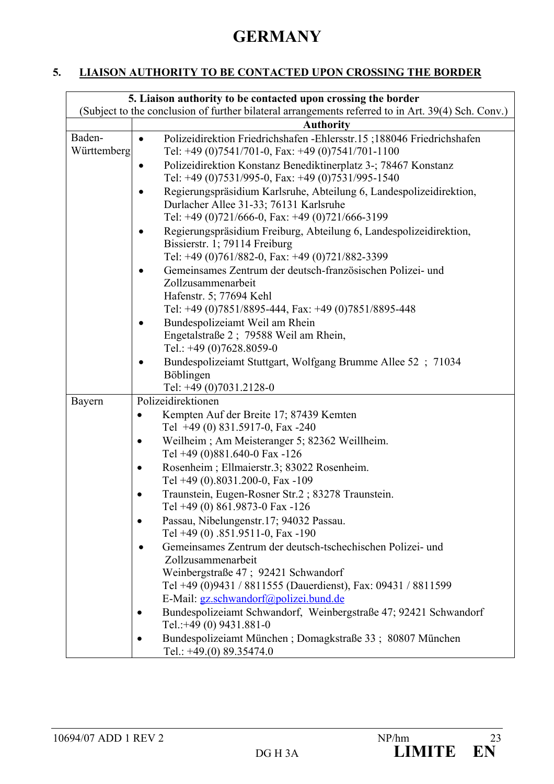### **5. LIAISON AUTHORITY TO BE CONTACTED UPON CROSSING THE BORDER**

|                                                 | 5. Liaison authority to be contacted upon crossing the border                                                               |
|-------------------------------------------------|-----------------------------------------------------------------------------------------------------------------------------|
|                                                 | (Subject to the conclusion of further bilateral arrangements referred to in Art. 39(4) Sch. Conv.)                          |
|                                                 | <b>Authority</b>                                                                                                            |
| Baden-<br>Württemberg                           | Polizeidirektion Friedrichshafen - Ehlersstr.15;188046 Friedrichshafen<br>Tel: +49 (0)7541/701-0, Fax: +49 (0)7541/701-1100 |
|                                                 | Polizeidirektion Konstanz Benediktinerplatz 3-; 78467 Konstanz<br>Tel: +49 (0)7531/995-0, Fax: +49 (0)7531/995-1540         |
|                                                 | Regierungspräsidium Karlsruhe, Abteilung 6, Landespolizeidirektion,<br>Durlacher Allee 31-33; 76131 Karlsruhe               |
|                                                 | Tel: +49 (0)721/666-0, Fax: +49 (0)721/666-3199                                                                             |
|                                                 | Regierungspräsidium Freiburg, Abteilung 6, Landespolizeidirektion,<br>Bissierstr. 1; 79114 Freiburg                         |
| Tel: +49 (0)761/882-0, Fax: +49 (0)721/882-3399 |                                                                                                                             |
|                                                 | Gemeinsames Zentrum der deutsch-französischen Polizei- und<br>Zollzusammenarbeit                                            |
|                                                 | Hafenstr. 5; 77694 Kehl                                                                                                     |
|                                                 | Tel: +49 (0)7851/8895-444, Fax: +49 (0)7851/8895-448                                                                        |
|                                                 | Bundespolizeiamt Weil am Rhein                                                                                              |
|                                                 | Engetalstraße 2; 79588 Weil am Rhein,                                                                                       |
|                                                 | Tel.: $+49(0)7628.8059-0$                                                                                                   |
|                                                 | Bundespolizeiamt Stuttgart, Wolfgang Brumme Allee 52 ; 71034                                                                |
|                                                 | Böblingen                                                                                                                   |
|                                                 | Tel: +49 (0)7031.2128-0                                                                                                     |
| Bayern                                          | Polizeidirektionen                                                                                                          |
|                                                 | Kempten Auf der Breite 17; 87439 Kemten<br>$\bullet$                                                                        |
|                                                 | Tel +49 (0) 831.5917-0, Fax -240                                                                                            |
|                                                 | Weilheim; Am Meisteranger 5; 82362 Weillheim.                                                                               |
|                                                 | Tel +49 (0)881.640-0 Fax -126                                                                                               |
|                                                 | Rosenheim; Ellmaierstr.3; 83022 Rosenheim.                                                                                  |
|                                                 | Tel +49 (0).8031.200-0, Fax -109                                                                                            |
|                                                 | Traunstein, Eugen-Rosner Str.2; 83278 Traunstein.<br>Tel +49 (0) 861.9873-0 Fax -126                                        |
|                                                 | Passau, Nibelungenstr.17; 94032 Passau.                                                                                     |
|                                                 | Tel +49 (0) .851.9511-0, Fax -190                                                                                           |
|                                                 | Gemeinsames Zentrum der deutsch-tschechischen Polizei- und                                                                  |
|                                                 | Zollzusammenarbeit                                                                                                          |
|                                                 | Weinbergstraße 47; 92421 Schwandorf                                                                                         |
|                                                 | Tel +49 (0)9431 / 8811555 (Dauerdienst), Fax: 09431 / 8811599                                                               |
|                                                 | E-Mail: gz.schwandorf@polizei.bund.de                                                                                       |
|                                                 | Bundespolizeiamt Schwandorf, Weinbergstraße 47; 92421 Schwandorf<br>Tel.:+49 (0) 9431.881-0                                 |
|                                                 | Bundespolizeiamt München; Domagkstraße 33; 80807 München<br>$\bullet$                                                       |
|                                                 | Tel.: $+49(0)$ 89.35474.0                                                                                                   |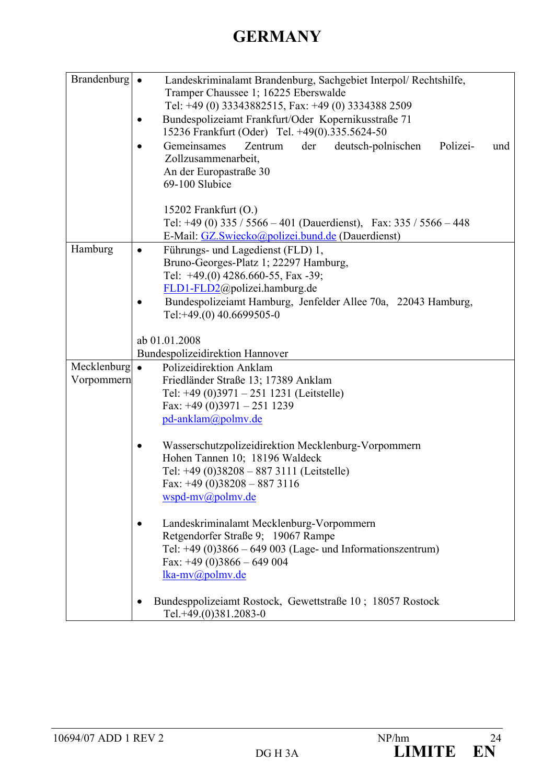| Brandenburg $\bullet$               | Landeskriminalamt Brandenburg, Sachgebiet Interpol/ Rechtshilfe,<br>Tramper Chaussee 1; 16225 Eberswalde<br>Tel: +49 (0) 33343882515, Fax: +49 (0) 3334388 2509<br>Bundespolizeiamt Frankfurt/Oder Kopernikusstraße 71<br>15236 Frankfurt (Oder) Tel. +49(0).335.5624-50 |  |  |  |
|-------------------------------------|--------------------------------------------------------------------------------------------------------------------------------------------------------------------------------------------------------------------------------------------------------------------------|--|--|--|
|                                     | Gemeinsames<br>Zentrum<br>der<br>deutsch-polnischen<br>Polizei-<br>und<br>Zollzusammenarbeit,<br>An der Europastraße 30<br>69-100 Slubice                                                                                                                                |  |  |  |
|                                     | 15202 Frankfurt $(O.)$<br>Tel: +49 (0) 335 / 5566 - 401 (Dauerdienst), Fax: $335 / 5566 - 448$<br>E-Mail: GZ.Swiecko@polizei.bund.de (Dauerdienst)                                                                                                                       |  |  |  |
| Hamburg                             | Führungs- und Lagedienst (FLD) 1,<br>Bruno-Georges-Platz 1; 22297 Hamburg,<br>Tel: $+49(0)$ 4286.660-55, Fax -39;<br>FLD1-FLD2@polizei.hamburg.de<br>Bundespolizeiamt Hamburg, Jenfelder Allee 70a, 22043 Hamburg,<br>Tel:+49.(0) 40.6699505-0                           |  |  |  |
|                                     | ab 01.01.2008                                                                                                                                                                                                                                                            |  |  |  |
|                                     | Bundespolizeidirektion Hannover                                                                                                                                                                                                                                          |  |  |  |
| Mecklenburg $\bullet$<br>Vorpommern | Polizeidirektion Anklam<br>Friedländer Straße 13; 17389 Anklam<br>Tel: +49 (0)3971 - 251 1231 (Leitstelle)<br>Fax: $+49$ (0)3971 - 251 1239<br>pd-anklam@polmv.de                                                                                                        |  |  |  |
|                                     | Wasserschutzpolizeidirektion Mecklenburg-Vorpommern<br>Hohen Tannen 10; 18196 Waldeck<br>Tel: +49 (0)38208 - 887 3111 (Leitstelle)<br>Fax: $+49$ (0)38208 - 887 3116<br>wspd-mv@polmv.de                                                                                 |  |  |  |
|                                     | Landeskriminalamt Mecklenburg-Vorpommern<br>Retgendorfer Straße 9; 19067 Rampe<br>Tel: $+49$ (0)3866 – 649 003 (Lage- und Informationszentrum)<br>Fax: $+49(0)3866 - 649004$<br>lka-mv@polmv.de                                                                          |  |  |  |
|                                     | Bundesppolizeiamt Rostock, Gewettstraße 10; 18057 Rostock<br>Tel.+49.(0)381.2083-0                                                                                                                                                                                       |  |  |  |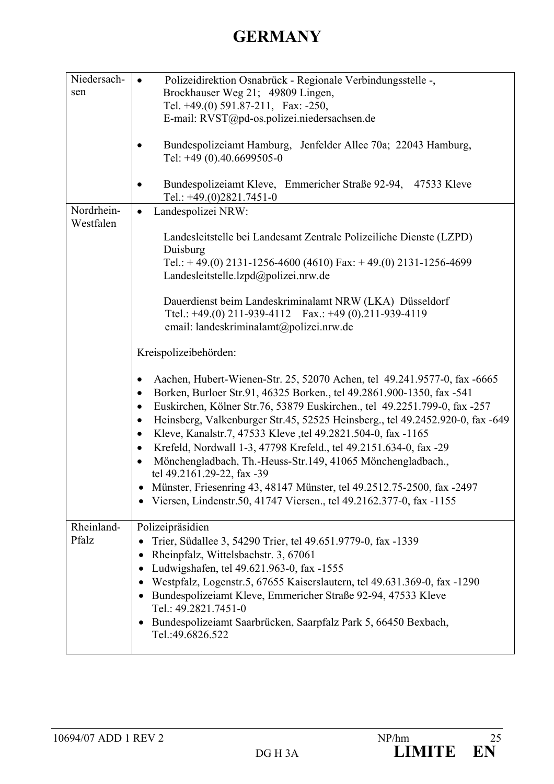| Niedersach-<br>sen      | Polizeidirektion Osnabrück - Regionale Verbindungsstelle -,<br>$\bullet$<br>Brockhauser Weg 21; 49809 Lingen,<br>Tel. $+49(0)$ 591.87-211, Fax: -250,<br>E-mail: RVST@pd-os.polizei.niedersachsen.de<br>Bundespolizeiamt Hamburg, Jenfelder Allee 70a; 22043 Hamburg,<br>Tel: +49 (0).40.6699505-0<br>Bundespolizeiamt Kleve, Emmericher Straße 92-94, 47533 Kleve<br>٠                                                                                                                                                                                                                                                                                                                                                                                                                       |
|-------------------------|-----------------------------------------------------------------------------------------------------------------------------------------------------------------------------------------------------------------------------------------------------------------------------------------------------------------------------------------------------------------------------------------------------------------------------------------------------------------------------------------------------------------------------------------------------------------------------------------------------------------------------------------------------------------------------------------------------------------------------------------------------------------------------------------------|
|                         | Tel.: $+49(0)2821.7451-0$                                                                                                                                                                                                                                                                                                                                                                                                                                                                                                                                                                                                                                                                                                                                                                     |
| Nordrhein-<br>Westfalen | Landespolizei NRW:<br>$\bullet$<br>Landesleitstelle bei Landesamt Zentrale Polizeiliche Dienste (LZPD)<br>Duisburg<br>Tel.: +49.(0) 2131-1256-4600 (4610) Fax: +49.(0) 2131-1256-4699<br>Landesleitstelle.lzpd@polizei.nrw.de<br>Dauerdienst beim Landeskriminalamt NRW (LKA) Düsseldorf<br>Ttel.: +49.(0) 211-939-4112  Fax.: +49 (0).211-939-4119<br>email: landeskriminalamt@polizei.nrw.de<br>Kreispolizeibehörden:                                                                                                                                                                                                                                                                                                                                                                       |
|                         | Aachen, Hubert-Wienen-Str. 25, 52070 Achen, tel 49.241.9577-0, fax -6665<br>$\bullet$<br>Borken, Burloer Str.91, 46325 Borken., tel 49.2861.900-1350, fax -541<br>$\bullet$<br>Euskirchen, Kölner Str.76, 53879 Euskirchen., tel 49.2251.799-0, fax -257<br>$\bullet$<br>Heinsberg, Valkenburger Str.45, 52525 Heinsberg., tel 49.2452.920-0, fax -649<br>$\bullet$<br>Kleve, Kanalstr.7, 47533 Kleve, tel 49.2821.504-0, fax -1165<br>$\bullet$<br>Krefeld, Nordwall 1-3, 47798 Krefeld., tel 49.2151.634-0, fax -29<br>$\bullet$<br>Mönchengladbach, Th.-Heuss-Str.149, 41065 Mönchengladbach.,<br>$\bullet$<br>tel 49.2161.29-22, fax -39<br>Münster, Friesenring 43, 48147 Münster, tel 49.2512.75-2500, fax -2497<br>Viersen, Lindenstr.50, 41747 Viersen., tel 49.2162.377-0, fax -1155 |
| Rheinland-<br>Pfalz     | Polizeipräsidien<br>Trier, Südallee 3, 54290 Trier, tel 49.651.9779-0, fax -1339<br>Rheinpfalz, Wittelsbachstr. 3, 67061<br>٠<br>Ludwigshafen, tel 49.621.963-0, fax -1555<br>$\bullet$<br>Westpfalz, Logenstr.5, 67655 Kaiserslautern, tel 49.631.369-0, fax -1290<br>$\bullet$<br>Bundespolizeiamt Kleve, Emmericher Straße 92-94, 47533 Kleve<br>$\bullet$<br>Tel.: 49.2821.7451-0<br>Bundespolizeiamt Saarbrücken, Saarpfalz Park 5, 66450 Bexbach,<br>$\bullet$<br>Tel.:49.6826.522                                                                                                                                                                                                                                                                                                      |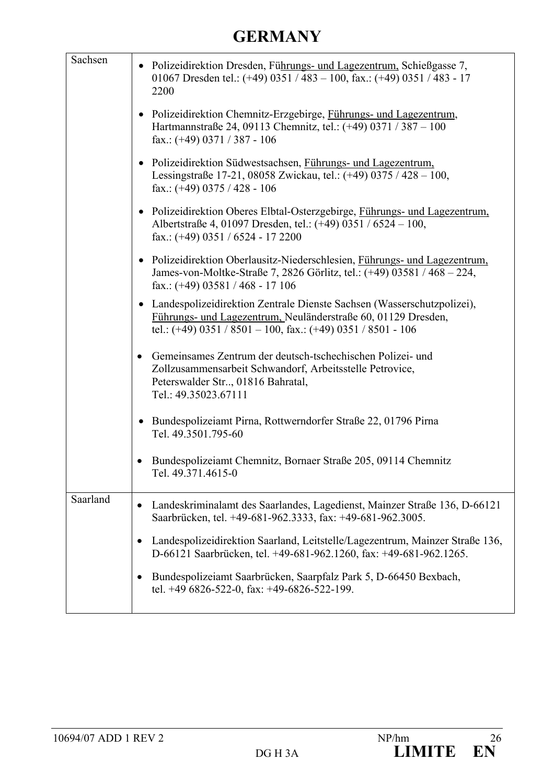| Sachsen  | • Polizeidirektion Dresden, Führungs- und Lagezentrum, Schießgasse 7,<br>01067 Dresden tel.: $(+49)$ 0351 / 483 - 100, fax.: $(+49)$ 0351 / 483 - 17<br>2200                                              |
|----------|-----------------------------------------------------------------------------------------------------------------------------------------------------------------------------------------------------------|
|          | • Polizeidirektion Chemnitz-Erzgebirge, Führungs- und Lagezentrum,<br>Hartmannstraße 24, 09113 Chemnitz, tel.: (+49) 0371 / 387 - 100<br>fax.: $(+49)$ 0371 / 387 - 106                                   |
|          | • Polizeidirektion Südwestsachsen, Führungs- und Lagezentrum,<br>Lessingstraße 17-21, 08058 Zwickau, tel.: (+49) 0375 / 428 - 100,<br>fax.: $(+49)$ 0375 / 428 - 106                                      |
|          | • Polizeidirektion Oberes Elbtal-Osterzgebirge, Führungs- und Lagezentrum,<br>Albertstraße 4, 01097 Dresden, tel.: (+49) 0351 / 6524 – 100,<br>fax.: $(+49)$ 0351 / 6524 - 17 2200                        |
|          | • Polizeidirektion Oberlausitz-Niederschlesien, Führungs- und Lagezentrum,<br>James-von-Moltke-Straße 7, 2826 Görlitz, tel.: (+49) 03581 / 468 - 224,<br>fax.: $(+49)$ 03581 / 468 - 17 106               |
|          | • Landespolizeidirektion Zentrale Dienste Sachsen (Wasserschutzpolizei),<br>Führungs- und Lagezentrum, Neuländerstraße 60, 01129 Dresden,<br>tel.: (+49) 0351 / 8501 - 100, fax.: (+49) 0351 / 8501 - 106 |
|          | Gemeinsames Zentrum der deutsch-tschechischen Polizei- und<br>Zollzusammensarbeit Schwandorf, Arbeitsstelle Petrovice,<br>Peterswalder Str, 01816 Bahratal,<br>Tel.: 49.35023.67111                       |
|          | Bundespolizeiamt Pirna, Rottwerndorfer Straße 22, 01796 Pirna<br>Tel. 49.3501.795-60                                                                                                                      |
|          | Bundespolizeiamt Chemnitz, Bornaer Straße 205, 09114 Chemnitz<br>Tel. 49.371.4615-0                                                                                                                       |
| Saarland | Landeskriminalamt des Saarlandes, Lagedienst, Mainzer Straße 136, D-66121<br>Saarbrücken, tel. +49-681-962.3333, fax: +49-681-962.3005.                                                                   |
|          | Landespolizeidirektion Saarland, Leitstelle/Lagezentrum, Mainzer Straße 136,<br>D-66121 Saarbrücken, tel. +49-681-962.1260, fax: +49-681-962.1265.                                                        |
|          | Bundespolizeiamt Saarbrücken, Saarpfalz Park 5, D-66450 Bexbach,<br>tel. +49 6826-522-0, fax: +49-6826-522-199.                                                                                           |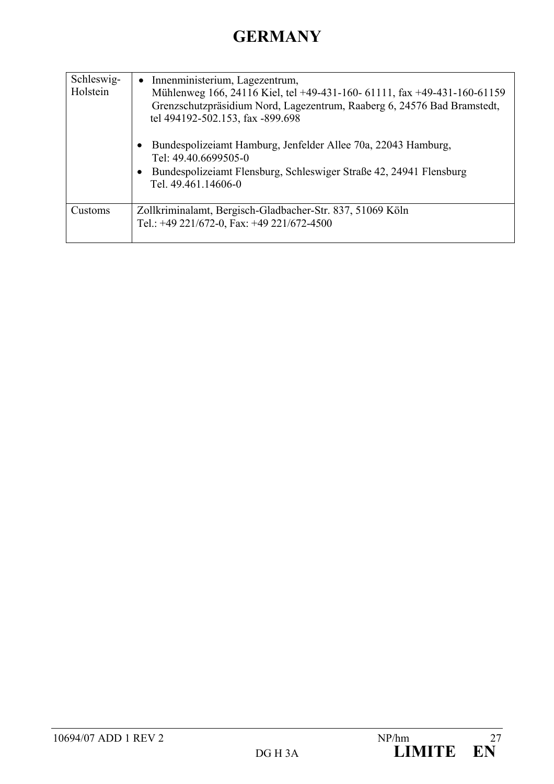| Schleswig-<br>Holstein | Innenministerium, Lagezentrum,<br>Mühlenweg 166, 24116 Kiel, tel +49-431-160- 61111, fax +49-431-160-61159<br>Grenzschutzpräsidium Nord, Lagezentrum, Raaberg 6, 24576 Bad Bramstedt,<br>tel 494192-502.153, fax -899.698 |
|------------------------|---------------------------------------------------------------------------------------------------------------------------------------------------------------------------------------------------------------------------|
|                        | Bundespolizeiamt Hamburg, Jenfelder Allee 70a, 22043 Hamburg,<br>$\bullet$<br>Tel: 49.40.6699505-0<br>Bundespolizeiamt Flensburg, Schleswiger Straße 42, 24941 Flensburg<br>$\bullet$<br>Tel. 49.461.14606-0              |
| Customs                | Zollkriminalamt, Bergisch-Gladbacher-Str. 837, 51069 Köln<br>Tel.: +49 221/672-0, Fax: +49 221/672-4500                                                                                                                   |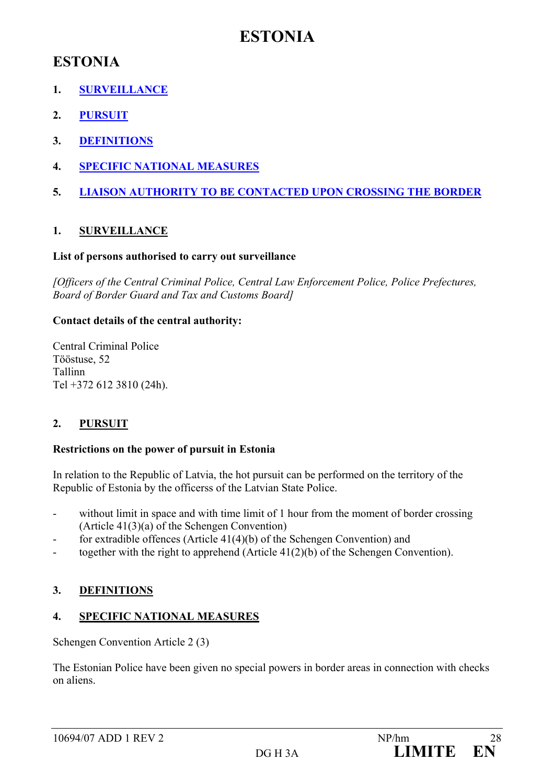## **ESTONIA**

## **ESTONIA**

- **1. SURVEILLANCE**
- **2. PURSUIT**
- **3. DEFINITIONS**
- **4. SPECIFIC NATIONAL MEASURES**
- **5. LIAISON AUTHORITY TO BE CONTACTED UPON CROSSING THE BORDER**

### **1. SURVEILLANCE**

### **List of persons authorised to carry out surveillance**

*[Officers of the Central Criminal Police, Central Law Enforcement Police, Police Prefectures, Board of Border Guard and Tax and Customs Board]* 

### **Contact details of the central authority:**

Central Criminal Police Tööstuse, 52 Tallinn Tel +372 612 3810 (24h).

### **2. PURSUIT**

### **Restrictions on the power of pursuit in Estonia**

In relation to the Republic of Latvia, the hot pursuit can be performed on the territory of the Republic of Estonia by the officerss of the Latvian State Police.

- without limit in space and with time limit of 1 hour from the moment of border crossing (Article 41(3)(a) of the Schengen Convention)
- for extradible offences (Article  $41(4)(b)$  of the Schengen Convention) and
- together with the right to apprehend (Article 41(2)(b) of the Schengen Convention).

### **3. DEFINITIONS**

### **4. SPECIFIC NATIONAL MEASURES**

Schengen Convention Article 2 (3)

The Estonian Police have been given no special powers in border areas in connection with checks on aliens.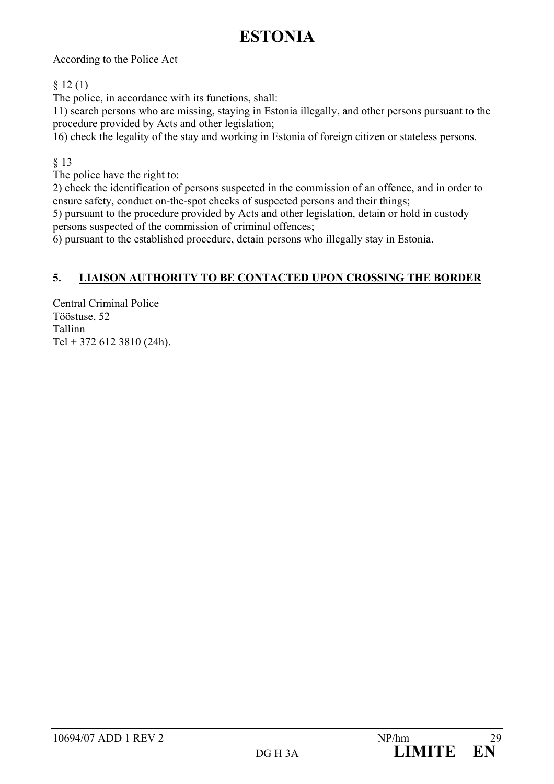## **ESTONIA**

According to the Police Act

### $§ 12(1)$

The police, in accordance with its functions, shall:

11) search persons who are missing, staying in Estonia illegally, and other persons pursuant to the procedure provided by Acts and other legislation;

16) check the legality of the stay and working in Estonia of foreign citizen or stateless persons.

### § 13

The police have the right to:

2) check the identification of persons suspected in the commission of an offence, and in order to ensure safety, conduct on-the-spot checks of suspected persons and their things;

5) pursuant to the procedure provided by Acts and other legislation, detain or hold in custody persons suspected of the commission of criminal offences;

6) pursuant to the established procedure, detain persons who illegally stay in Estonia.

### **5. LIAISON AUTHORITY TO BE CONTACTED UPON CROSSING THE BORDER**

Central Criminal Police Tööstuse, 52 Tallinn Tel + 372 612 3810 (24h).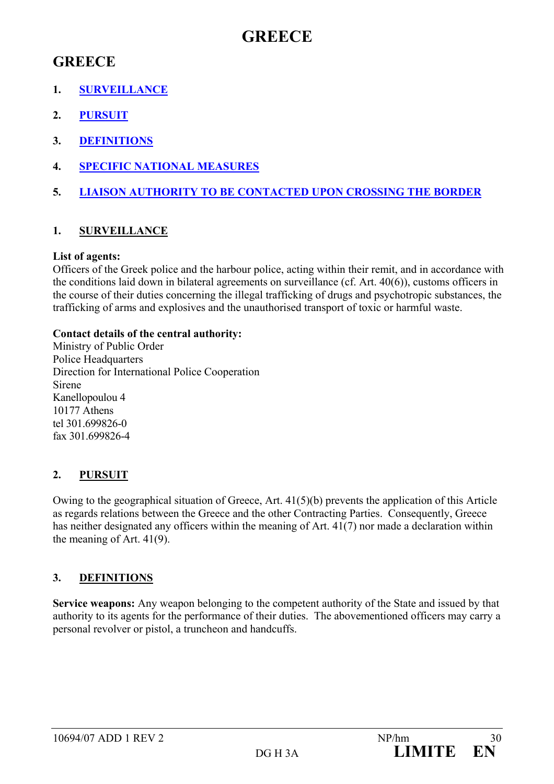## **GREECE**

## **GREECE**

- **1. SURVEILLANCE**
- **2. PURSUIT**
- **3. DEFINITIONS**
- **4. SPECIFIC NATIONAL MEASURES**
- **5. LIAISON AUTHORITY TO BE CONTACTED UPON CROSSING THE BORDER**

## **1. SURVEILLANCE**

### **List of agents:**

Officers of the Greek police and the harbour police, acting within their remit, and in accordance with the conditions laid down in bilateral agreements on surveillance (cf. Art. 40(6)), customs officers in the course of their duties concerning the illegal trafficking of drugs and psychotropic substances, the trafficking of arms and explosives and the unauthorised transport of toxic or harmful waste.

### **Contact details of the central authority:**

Ministry of Public Order Police Headquarters Direction for International Police Cooperation Sirene Kanellopoulou 4 10177 Athens tel 301.699826-0 fax 301.699826-4

## **2. PURSUIT**

Owing to the geographical situation of Greece, Art. 41(5)(b) prevents the application of this Article as regards relations between the Greece and the other Contracting Parties. Consequently, Greece has neither designated any officers within the meaning of Art. 41(7) nor made a declaration within the meaning of Art. 41(9).

## **3. DEFINITIONS**

**Service weapons:** Any weapon belonging to the competent authority of the State and issued by that authority to its agents for the performance of their duties. The abovementioned officers may carry a personal revolver or pistol, a truncheon and handcuffs.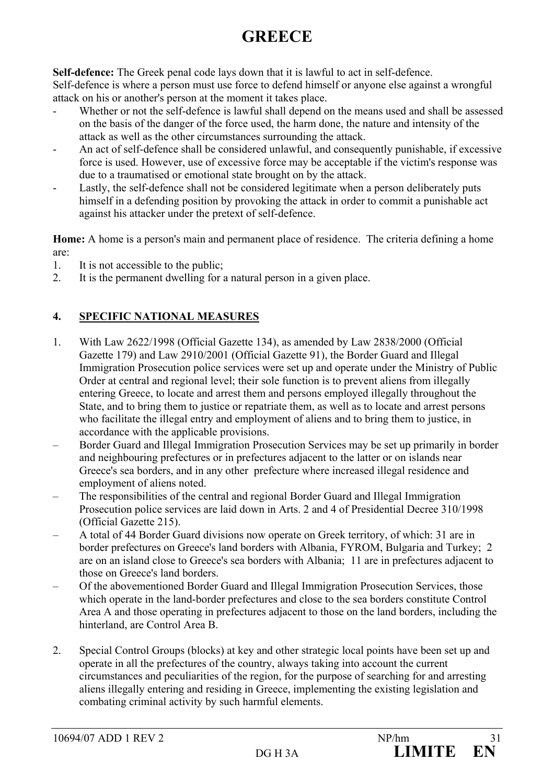# **GREECE**

**Self-defence:** The Greek penal code lays down that it is lawful to act in self-defence. Self-defence is where a person must use force to defend himself or anyone else against a wrongful attack on his or another's person at the moment it takes place.

- Whether or not the self-defence is lawful shall depend on the means used and shall be assessed on the basis of the danger of the force used, the harm done, the nature and intensity of the attack as well as the other circumstances surrounding the attack.
- An act of self-defence shall be considered unlawful, and consequently punishable, if excessive force is used. However, use of excessive force may be acceptable if the victim's response was due to a traumatised or emotional state brought on by the attack.
- Lastly, the self-defence shall not be considered legitimate when a person deliberately puts himself in a defending position by provoking the attack in order to commit a punishable act against his attacker under the pretext of self-defence.

**Home:** A home is a person's main and permanent place of residence. The criteria defining a home are:

- 1. It is not accessible to the public;
- 2. It is the permanent dwelling for a natural person in a given place.

## **4. SPECIFIC NATIONAL MEASURES**

- 1. With Law 2622/1998 (Official Gazette 134), as amended by Law 2838/2000 (Official Gazette 179) and Law 2910/2001 (Official Gazette 91), the Border Guard and Illegal Immigration Prosecution police services were set up and operate under the Ministry of Public Order at central and regional level; their sole function is to prevent aliens from illegally entering Greece, to locate and arrest them and persons employed illegally throughout the State, and to bring them to justice or repatriate them, as well as to locate and arrest persons who facilitate the illegal entry and employment of aliens and to bring them to justice, in accordance with the applicable provisions.
- Border Guard and Illegal Immigration Prosecution Services may be set up primarily in border and neighbouring prefectures or in prefectures adjacent to the latter or on islands near Greece's sea borders, and in any other prefecture where increased illegal residence and employment of aliens noted.
- The responsibilities of the central and regional Border Guard and Illegal Immigration Prosecution police services are laid down in Arts. 2 and 4 of Presidential Decree 310/1998 (Official Gazette 215).
- A total of 44 Border Guard divisions now operate on Greek territory, of which: 31 are in border prefectures on Greece's land borders with Albania, FYROM, Bulgaria and Turkey; 2 are on an island close to Greece's sea borders with Albania; 11 are in prefectures adjacent to those on Greece's land borders.
- Of the abovementioned Border Guard and Illegal Immigration Prosecution Services, those which operate in the land-border prefectures and close to the sea borders constitute Control Area A and those operating in prefectures adjacent to those on the land borders, including the hinterland, are Control Area B.
- 2. Special Control Groups (blocks) at key and other strategic local points have been set up and operate in all the prefectures of the country, always taking into account the current circumstances and peculiarities of the region, for the purpose of searching for and arresting aliens illegally entering and residing in Greece, implementing the existing legislation and combating criminal activity by such harmful elements.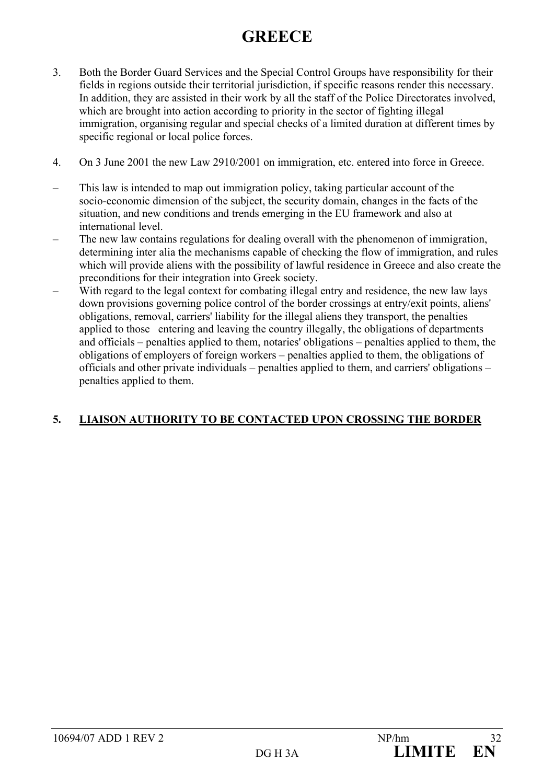# **GREECE**

- 3. Both the Border Guard Services and the Special Control Groups have responsibility for their fields in regions outside their territorial jurisdiction, if specific reasons render this necessary. In addition, they are assisted in their work by all the staff of the Police Directorates involved, which are brought into action according to priority in the sector of fighting illegal immigration, organising regular and special checks of a limited duration at different times by specific regional or local police forces.
- 4. On 3 June 2001 the new Law 2910/2001 on immigration, etc. entered into force in Greece.
- This law is intended to map out immigration policy, taking particular account of the socio-economic dimension of the subject, the security domain, changes in the facts of the situation, and new conditions and trends emerging in the EU framework and also at international level.
- The new law contains regulations for dealing overall with the phenomenon of immigration, determining inter alia the mechanisms capable of checking the flow of immigration, and rules which will provide aliens with the possibility of lawful residence in Greece and also create the preconditions for their integration into Greek society.
- With regard to the legal context for combating illegal entry and residence, the new law lays down provisions governing police control of the border crossings at entry/exit points, aliens' obligations, removal, carriers' liability for the illegal aliens they transport, the penalties applied to those entering and leaving the country illegally, the obligations of departments and officials – penalties applied to them, notaries' obligations – penalties applied to them, the obligations of employers of foreign workers – penalties applied to them, the obligations of officials and other private individuals – penalties applied to them, and carriers' obligations – penalties applied to them.

## **5. LIAISON AUTHORITY TO BE CONTACTED UPON CROSSING THE BORDER**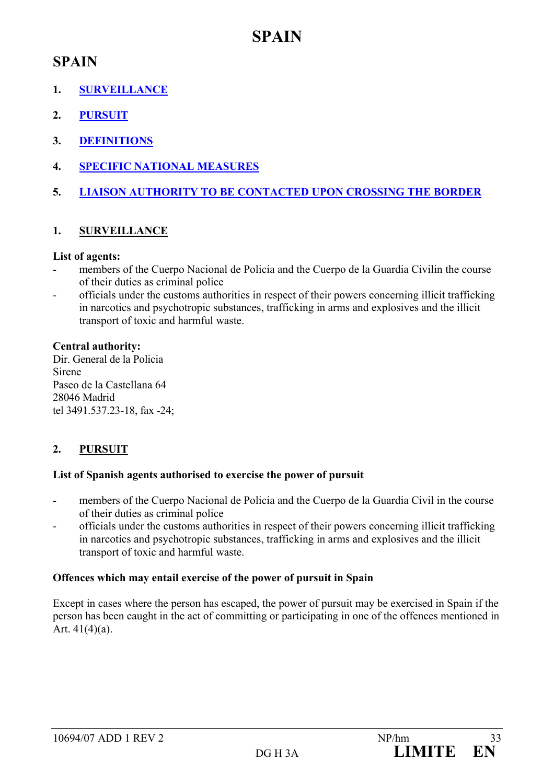## **SPAIN**

## **SPAIN**

- **1. SURVEILLANCE**
- **2. PURSUIT**
- **3. DEFINITIONS**
- **4. SPECIFIC NATIONAL MEASURES**
- **5. LIAISON AUTHORITY TO BE CONTACTED UPON CROSSING THE BORDER**

## **1. SURVEILLANCE**

### **List of agents:**

- members of the Cuerpo Nacional de Policia and the Cuerpo de la Guardia Civilin the course of their duties as criminal police
- officials under the customs authorities in respect of their powers concerning illicit trafficking in narcotics and psychotropic substances, trafficking in arms and explosives and the illicit transport of toxic and harmful waste.

### **Central authority:**

Dir. General de la Policia Sirene Paseo de la Castellana 64 28046 Madrid tel 3491.537.23-18, fax -24;

## **2. PURSUIT**

### **List of Spanish agents authorised to exercise the power of pursuit**

- members of the Cuerpo Nacional de Policia and the Cuerpo de la Guardia Civil in the course of their duties as criminal police
- officials under the customs authorities in respect of their powers concerning illicit trafficking in narcotics and psychotropic substances, trafficking in arms and explosives and the illicit transport of toxic and harmful waste.

## **Offences which may entail exercise of the power of pursuit in Spain**

Except in cases where the person has escaped, the power of pursuit may be exercised in Spain if the person has been caught in the act of committing or participating in one of the offences mentioned in Art. 41(4)(a).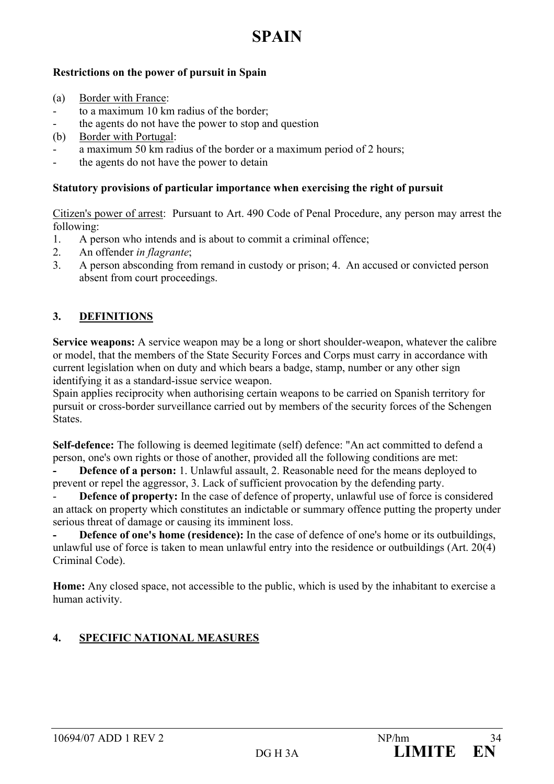## **SPAIN**

### **Restrictions on the power of pursuit in Spain**

- (a) Border with France:
- to a maximum 10 km radius of the border;
- the agents do not have the power to stop and question
- (b) Border with Portugal:
- a maximum 50 km radius of the border or a maximum period of 2 hours;
- the agents do not have the power to detain

### **Statutory provisions of particular importance when exercising the right of pursuit**

Citizen's power of arrest: Pursuant to Art. 490 Code of Penal Procedure, any person may arrest the following:

- 1. A person who intends and is about to commit a criminal offence;
- 2. An offender *in flagrante*;
- 3. A person absconding from remand in custody or prison; 4. An accused or convicted person absent from court proceedings.

## **3. DEFINITIONS**

**Service weapons:** A service weapon may be a long or short shoulder-weapon, whatever the calibre or model, that the members of the State Security Forces and Corps must carry in accordance with current legislation when on duty and which bears a badge, stamp, number or any other sign identifying it as a standard-issue service weapon.

Spain applies reciprocity when authorising certain weapons to be carried on Spanish territory for pursuit or cross-border surveillance carried out by members of the security forces of the Schengen States.

**Self-defence:** The following is deemed legitimate (self) defence: "An act committed to defend a person, one's own rights or those of another, provided all the following conditions are met:

**Defence of a person:** 1. Unlawful assault, 2. Reasonable need for the means deployed to prevent or repel the aggressor, 3. Lack of sufficient provocation by the defending party.

**Defence of property:** In the case of defence of property, unlawful use of force is considered an attack on property which constitutes an indictable or summary offence putting the property under serious threat of damage or causing its imminent loss.

**- Defence of one's home (residence):** In the case of defence of one's home or its outbuildings, unlawful use of force is taken to mean unlawful entry into the residence or outbuildings (Art. 20(4) Criminal Code).

**Home:** Any closed space, not accessible to the public, which is used by the inhabitant to exercise a human activity.

## **4. SPECIFIC NATIONAL MEASURES**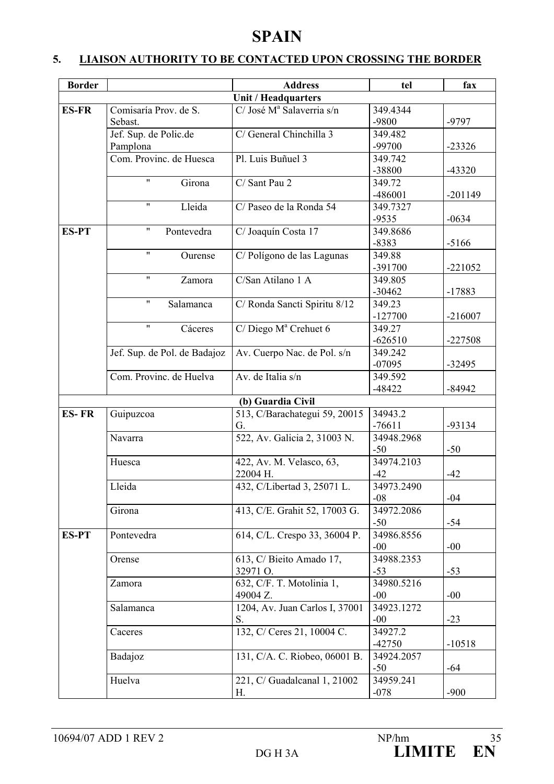## **SPAIN**

## **5. LIAISON AUTHORITY TO BE CONTACTED UPON CROSSING THE BORDER**

| <b>Border</b> |                                  | <b>Address</b>                        | tel                  | fax       |
|---------------|----------------------------------|---------------------------------------|----------------------|-----------|
|               |                                  | <b>Unit / Headquarters</b>            |                      |           |
| <b>ES-FR</b>  | Comisaría Prov. de S.            | C/ José M <sup>ª</sup> Salaverria s/n | 349.4344             |           |
|               | Sebast.                          |                                       | -9800                | $-9797$   |
|               | Jef. Sup. de Polic.de            | C/ General Chinchilla 3               | 349.482              |           |
|               | Pamplona                         |                                       | -99700               | $-23326$  |
|               | Com. Provinc. de Huesca          | Pl. Luis Buñuel 3                     | 349.742              |           |
|               |                                  |                                       | -38800               | $-43320$  |
|               | $\pmb{\mathsf{H}}$<br>Girona     | C/ Sant Pau 2                         | 349.72               |           |
|               |                                  |                                       | -486001              | $-201149$ |
|               | $\pmb{\mathsf{H}}$<br>Lleida     | C/ Paseo de la Ronda 54               | 349.7327             |           |
|               |                                  |                                       | $-9535$              | $-0634$   |
| <b>ES-PT</b>  | $\pmb{\mathsf{H}}$<br>Pontevedra | C/ Joaquín Costa 17                   | 349.8686             |           |
|               |                                  |                                       | $-8383$              | $-5166$   |
|               | $\pmb{\mathsf{H}}$<br>Ourense    | C/Polígono de las Lagunas             | 349.88               |           |
|               |                                  |                                       | -391700              | $-221052$ |
|               | $\pmb{\mathsf{H}}$<br>Zamora     | C/San Atilano 1 A                     | 349.805              |           |
|               |                                  |                                       | $-30462$             | $-17883$  |
|               | $\pmb{\mathsf{H}}$<br>Salamanca  | C/ Ronda Sancti Spiritu 8/12          | 349.23               |           |
|               |                                  |                                       | $-127700$            | $-216007$ |
|               | $\pmb{\mathsf{H}}$<br>Cáceres    | $C/Diego M^a Crehuet 6$               | 349.27               |           |
|               |                                  |                                       | $-626510$            | $-227508$ |
|               | Jef. Sup. de Pol. de Badajoz     | Av. Cuerpo Nac. de Pol. s/n           | 349.242              |           |
|               |                                  |                                       | $-07095$             | $-32495$  |
|               | Com. Provinc. de Huelva          | Av. de Italia s/n                     | 349.592              |           |
|               |                                  |                                       | $-48422$             | $-84942$  |
|               |                                  | (b) Guardia Civil                     |                      |           |
| <b>ES-FR</b>  | Guipuzcoa                        | 513, C/Barachategui 59, 20015         | 34943.2<br>$-76611$  |           |
|               |                                  | G.                                    |                      | -93134    |
|               | Navarra                          | 522, Av. Galicia 2, 31003 N.          | 34948.2968<br>$-50$  | $-50$     |
|               | Huesca                           | 422, Av. M. Velasco, 63,              | 34974.2103           |           |
|               |                                  | 22004 H.                              | $-42$                | $-42$     |
|               | Lleida                           | 432, C/Libertad 3, 25071 L.           | 34973.2490           |           |
|               |                                  |                                       | $-08$                | $-04$     |
|               | Girona                           | 413, C/E. Grahit 52, 17003 G.         | 34972.2086           |           |
|               |                                  |                                       | $-50$                | $-54$     |
| <b>ES-PT</b>  | Pontevedra                       | 614, C/L. Crespo 33, 36004 P.         | 34986.8556           |           |
|               |                                  |                                       | $-00$                | $-00$     |
|               | Orense                           | 613, C/ Bieito Amado 17,              | 34988.2353           |           |
|               |                                  | 32971 O.                              | $-53$                | $-53$     |
|               | Zamora                           | 632, C/F. T. Motolinia 1,             | 34980.5216           |           |
|               |                                  | 49004 Z.                              | $-00$                | $-00$     |
|               | Salamanca                        | 1204, Av. Juan Carlos I, 37001        | 34923.1272           |           |
|               |                                  | S.                                    | $-00$                | $-23$     |
|               | Caceres                          | 132, C/ Ceres 21, 10004 C.            | $34927.\overline{2}$ |           |
|               |                                  |                                       | $-42750$             | $-10518$  |
|               | Badajoz                          | 131, C/A. C. Riobeo, 06001 B.         | 34924.2057           |           |
|               |                                  |                                       | $-50$                | $-64$     |
|               | Huelva                           | 221, C/ Guadalcanal 1, 21002          | 34959.241            |           |
|               |                                  | Н.                                    | $-078$               | $-900$    |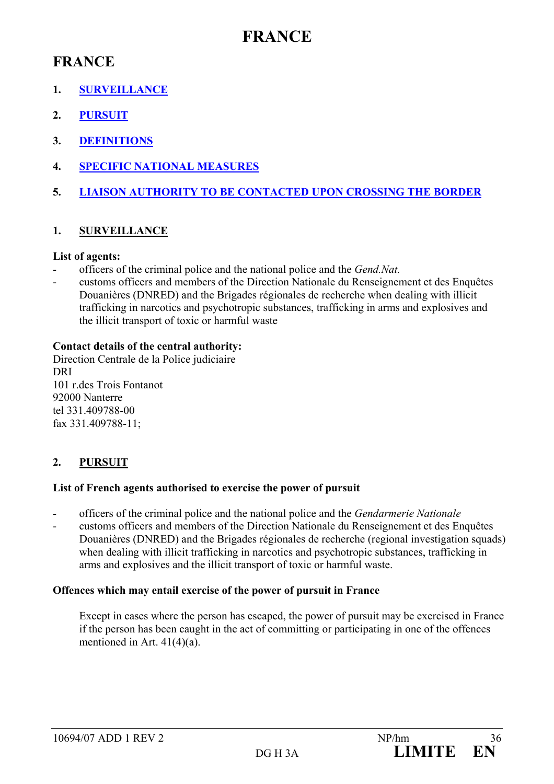## **FRANCE**

## **FRANCE**

- **1. SURVEILLANCE**
- **2. PURSUIT**
- **3. DEFINITIONS**
- **4. SPECIFIC NATIONAL MEASURES**
- **5. LIAISON AUTHORITY TO BE CONTACTED UPON CROSSING THE BORDER**

## **1. SURVEILLANCE**

### **List of agents:**

- officers of the criminal police and the national police and the *Gend.Nat.*
- customs officers and members of the Direction Nationale du Renseignement et des Enquêtes Douanières (DNRED) and the Brigades régionales de recherche when dealing with illicit trafficking in narcotics and psychotropic substances, trafficking in arms and explosives and the illicit transport of toxic or harmful waste

### **Contact details of the central authority:**

Direction Centrale de la Police judiciaire DRI 101 r.des Trois Fontanot 92000 Nanterre tel 331.409788-00 fax 331.409788-11;

## **2. PURSUIT**

### **List of French agents authorised to exercise the power of pursuit**

- officers of the criminal police and the national police and the *Gendarmerie Nationale*
- customs officers and members of the Direction Nationale du Renseignement et des Enquêtes Douanières (DNRED) and the Brigades régionales de recherche (regional investigation squads) when dealing with illicit trafficking in narcotics and psychotropic substances, trafficking in arms and explosives and the illicit transport of toxic or harmful waste.

## **Offences which may entail exercise of the power of pursuit in France**

Except in cases where the person has escaped, the power of pursuit may be exercised in France if the person has been caught in the act of committing or participating in one of the offences mentioned in Art. 41(4)(a).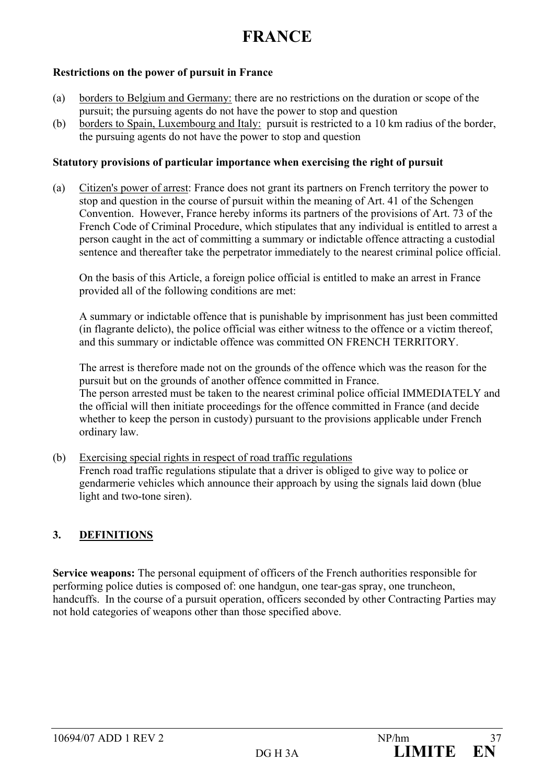#### **Restrictions on the power of pursuit in France**

- (a) borders to Belgium and Germany: there are no restrictions on the duration or scope of the pursuit; the pursuing agents do not have the power to stop and question
- (b) borders to Spain, Luxembourg and Italy: pursuit is restricted to a 10 km radius of the border, the pursuing agents do not have the power to stop and question

#### **Statutory provisions of particular importance when exercising the right of pursuit**

(a) Citizen's power of arrest: France does not grant its partners on French territory the power to stop and question in the course of pursuit within the meaning of Art. 41 of the Schengen Convention. However, France hereby informs its partners of the provisions of Art. 73 of the French Code of Criminal Procedure, which stipulates that any individual is entitled to arrest a person caught in the act of committing a summary or indictable offence attracting a custodial sentence and thereafter take the perpetrator immediately to the nearest criminal police official.

On the basis of this Article, a foreign police official is entitled to make an arrest in France provided all of the following conditions are met:

A summary or indictable offence that is punishable by imprisonment has just been committed (in flagrante delicto), the police official was either witness to the offence or a victim thereof, and this summary or indictable offence was committed ON FRENCH TERRITORY.

The arrest is therefore made not on the grounds of the offence which was the reason for the pursuit but on the grounds of another offence committed in France. The person arrested must be taken to the nearest criminal police official IMMEDIATELY and the official will then initiate proceedings for the offence committed in France (and decide whether to keep the person in custody) pursuant to the provisions applicable under French ordinary law.

(b) Exercising special rights in respect of road traffic regulations French road traffic regulations stipulate that a driver is obliged to give way to police or gendarmerie vehicles which announce their approach by using the signals laid down (blue light and two-tone siren).

## **3. DEFINITIONS**

**Service weapons:** The personal equipment of officers of the French authorities responsible for performing police duties is composed of: one handgun, one tear-gas spray, one truncheon, handcuffs. In the course of a pursuit operation, officers seconded by other Contracting Parties may not hold categories of weapons other than those specified above.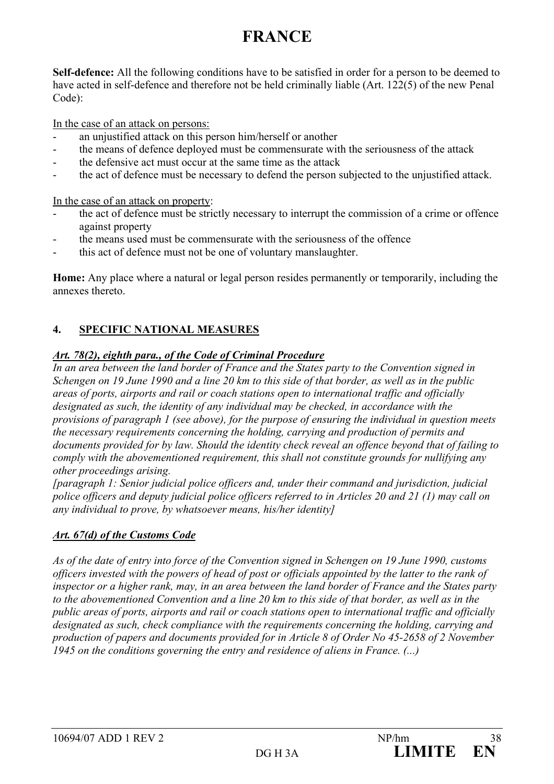**Self-defence:** All the following conditions have to be satisfied in order for a person to be deemed to have acted in self-defence and therefore not be held criminally liable (Art. 122(5) of the new Penal Code):

In the case of an attack on persons:

- an unjustified attack on this person him/herself or another
- the means of defence deployed must be commensurate with the seriousness of the attack
- the defensive act must occur at the same time as the attack
- the act of defence must be necessary to defend the person subjected to the unjustified attack.

In the case of an attack on property:

- the act of defence must be strictly necessary to interrupt the commission of a crime or offence against property
- the means used must be commensurate with the seriousness of the offence
- this act of defence must not be one of voluntary manslaughter.

**Home:** Any place where a natural or legal person resides permanently or temporarily, including the annexes thereto.

## **4. SPECIFIC NATIONAL MEASURES**

#### *Art. 78(2), eighth para., of the Code of Criminal Procedure*

*In an area between the land border of France and the States party to the Convention signed in Schengen on 19 June 1990 and a line 20 km to this side of that border, as well as in the public areas of ports, airports and rail or coach stations open to international traffic and officially designated as such, the identity of any individual may be checked, in accordance with the provisions of paragraph 1 (see above), for the purpose of ensuring the individual in question meets the necessary requirements concerning the holding, carrying and production of permits and documents provided for by law. Should the identity check reveal an offence beyond that of failing to comply with the abovementioned requirement, this shall not constitute grounds for nullifying any other proceedings arising.* 

*[paragraph 1: Senior judicial police officers and, under their command and jurisdiction, judicial police officers and deputy judicial police officers referred to in Articles 20 and 21 (1) may call on any individual to prove, by whatsoever means, his/her identity]* 

## *Art. 67(d) of the Customs Code*

*As of the date of entry into force of the Convention signed in Schengen on 19 June 1990, customs officers invested with the powers of head of post or officials appointed by the latter to the rank of inspector or a higher rank, may, in an area between the land border of France and the States party to the abovementioned Convention and a line 20 km to this side of that border, as well as in the public areas of ports, airports and rail or coach stations open to international traffic and officially designated as such, check compliance with the requirements concerning the holding, carrying and production of papers and documents provided for in Article 8 of Order No 45-2658 of 2 November 1945 on the conditions governing the entry and residence of aliens in France. (...)*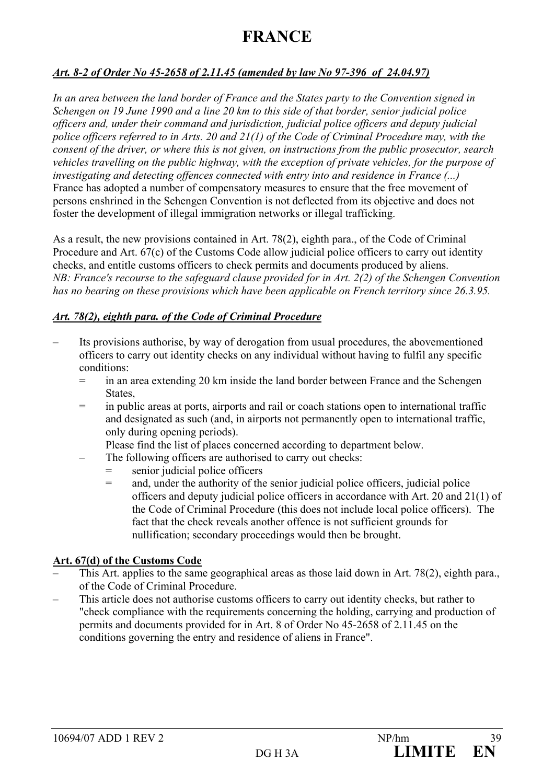#### *Art. 8-2 of Order No 45-2658 of 2.11.45 (amended by law No 97-396 of 24.04.97)*

*In an area between the land border of France and the States party to the Convention signed in Schengen on 19 June 1990 and a line 20 km to this side of that border, senior judicial police officers and, under their command and jurisdiction, judicial police officers and deputy judicial police officers referred to in Arts. 20 and 21(1) of the Code of Criminal Procedure may, with the consent of the driver, or where this is not given, on instructions from the public prosecutor, search vehicles travelling on the public highway, with the exception of private vehicles, for the purpose of investigating and detecting offences connected with entry into and residence in France (...)*  France has adopted a number of compensatory measures to ensure that the free movement of persons enshrined in the Schengen Convention is not deflected from its objective and does not foster the development of illegal immigration networks or illegal trafficking.

As a result, the new provisions contained in Art. 78(2), eighth para., of the Code of Criminal Procedure and Art. 67(c) of the Customs Code allow judicial police officers to carry out identity checks, and entitle customs officers to check permits and documents produced by aliens. *NB: France's recourse to the safeguard clause provided for in Art. 2(2) of the Schengen Convention has no bearing on these provisions which have been applicable on French territory since 26.3.95.*

#### *Art. 78(2), eighth para. of the Code of Criminal Procedure*

- Its provisions authorise, by way of derogation from usual procedures, the abovementioned officers to carry out identity checks on any individual without having to fulfil any specific conditions:
	- = in an area extending 20 km inside the land border between France and the Schengen States,
	- = in public areas at ports, airports and rail or coach stations open to international traffic and designated as such (and, in airports not permanently open to international traffic, only during opening periods).

Please find the list of places concerned according to department below.

- The following officers are authorised to carry out checks:
	- senior judicial police officers
	- = and, under the authority of the senior judicial police officers, judicial police officers and deputy judicial police officers in accordance with Art. 20 and 21(1) of the Code of Criminal Procedure (this does not include local police officers). The fact that the check reveals another offence is not sufficient grounds for nullification; secondary proceedings would then be brought.

## **Art. 67(d) of the Customs Code**

- This Art. applies to the same geographical areas as those laid down in Art. 78(2), eighth para., of the Code of Criminal Procedure.
- This article does not authorise customs officers to carry out identity checks, but rather to "check compliance with the requirements concerning the holding, carrying and production of permits and documents provided for in Art. 8 of Order No 45-2658 of 2.11.45 on the conditions governing the entry and residence of aliens in France".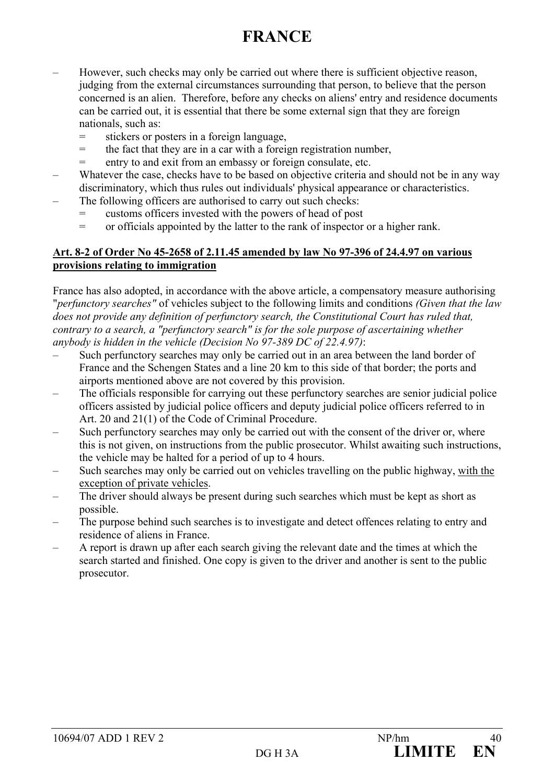- However, such checks may only be carried out where there is sufficient objective reason, judging from the external circumstances surrounding that person, to believe that the person concerned is an alien. Therefore, before any checks on aliens' entry and residence documents can be carried out, it is essential that there be some external sign that they are foreign nationals, such as:
	- = stickers or posters in a foreign language,
	- = the fact that they are in a car with a foreign registration number,
	- = entry to and exit from an embassy or foreign consulate, etc.
- Whatever the case, checks have to be based on objective criteria and should not be in any way discriminatory, which thus rules out individuals' physical appearance or characteristics.
- The following officers are authorised to carry out such checks:
	- = customs officers invested with the powers of head of post
	- = or officials appointed by the latter to the rank of inspector or a higher rank.

#### **Art. 8-2 of Order No 45-2658 of 2.11.45 amended by law No 97-396 of 24.4.97 on various provisions relating to immigration**

France has also adopted, in accordance with the above article, a compensatory measure authorising "*perfunctory searches"* of vehicles subject to the following limits and conditions *(Given that the law does not provide any definition of perfunctory search, the Constitutional Court has ruled that, contrary to a search, a "perfunctory search" is for the sole purpose of ascertaining whether anybody is hidden in the vehicle (Decision No 97-389 DC of 22.4.97)*:

- Such perfunctory searches may only be carried out in an area between the land border of France and the Schengen States and a line 20 km to this side of that border; the ports and airports mentioned above are not covered by this provision.
- The officials responsible for carrying out these perfunctory searches are senior judicial police officers assisted by judicial police officers and deputy judicial police officers referred to in Art. 20 and 21(1) of the Code of Criminal Procedure.
- Such perfunctory searches may only be carried out with the consent of the driver or, where this is not given, on instructions from the public prosecutor. Whilst awaiting such instructions, the vehicle may be halted for a period of up to 4 hours.
- Such searches may only be carried out on vehicles travelling on the public highway, with the exception of private vehicles.
- The driver should always be present during such searches which must be kept as short as possible.
- The purpose behind such searches is to investigate and detect offences relating to entry and residence of aliens in France.
- A report is drawn up after each search giving the relevant date and the times at which the search started and finished. One copy is given to the driver and another is sent to the public prosecutor.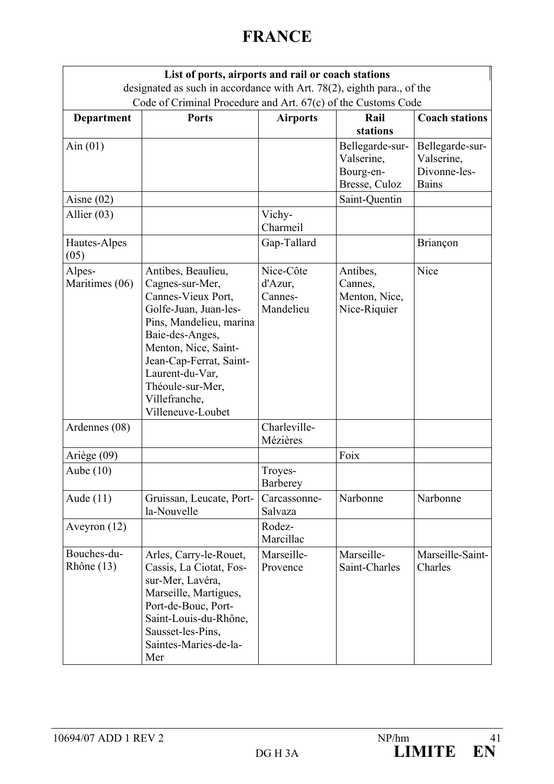|                          | List of ports, airports and rail or coach stations                                                                                                                                                                                                                 |                                              |                                                             |                                                               |
|--------------------------|--------------------------------------------------------------------------------------------------------------------------------------------------------------------------------------------------------------------------------------------------------------------|----------------------------------------------|-------------------------------------------------------------|---------------------------------------------------------------|
|                          | designated as such in accordance with Art. 78(2), eighth para., of the<br>Code of Criminal Procedure and Art. 67(c) of the Customs Code                                                                                                                            |                                              |                                                             |                                                               |
| Department               | <b>Ports</b>                                                                                                                                                                                                                                                       | <b>Airports</b>                              | Rail<br>stations                                            | <b>Coach stations</b>                                         |
| Ain $(01)$               |                                                                                                                                                                                                                                                                    |                                              | Bellegarde-sur-<br>Valserine,<br>Bourg-en-<br>Bresse, Culoz | Bellegarde-sur-<br>Valserine,<br>Divonne-les-<br><b>Bains</b> |
| Aisne $(02)$             |                                                                                                                                                                                                                                                                    |                                              | Saint-Quentin                                               |                                                               |
| Allier $(03)$            |                                                                                                                                                                                                                                                                    | Vichy-<br>Charmeil                           |                                                             |                                                               |
| Hautes-Alpes<br>(05)     |                                                                                                                                                                                                                                                                    | Gap-Tallard                                  |                                                             | Briançon                                                      |
| Alpes-<br>Maritimes (06) | Antibes, Beaulieu,<br>Cagnes-sur-Mer,<br>Cannes-Vieux Port,<br>Golfe-Juan, Juan-les-<br>Pins, Mandelieu, marina<br>Baie-des-Anges,<br>Menton, Nice, Saint-<br>Jean-Cap-Ferrat, Saint-<br>Laurent-du-Var,<br>Théoule-sur-Mer,<br>Villefranche,<br>Villeneuve-Loubet | Nice-Côte<br>d'Azur,<br>Cannes-<br>Mandelieu | Antibes,<br>Cannes,<br>Menton, Nice,<br>Nice-Riquier        | Nice                                                          |
| Ardennes (08)            |                                                                                                                                                                                                                                                                    | Charleville-<br>Mézières                     |                                                             |                                                               |
| Ariège (09)              |                                                                                                                                                                                                                                                                    |                                              | Foix                                                        |                                                               |
| Aube $(10)$              |                                                                                                                                                                                                                                                                    | Troyes-<br><b>Barberey</b>                   |                                                             |                                                               |
| Aude $(11)$              | Gruissan, Leucate, Port-<br>la-Nouvelle                                                                                                                                                                                                                            | Carcassonne-<br>Salvaza                      | Narbonne                                                    | Narbonne                                                      |
| Aveyron $(12)$           |                                                                                                                                                                                                                                                                    | Rodez-<br>Marcillac                          |                                                             |                                                               |
| Bouches-du-<br>Rhône(13) | Arles, Carry-le-Rouet,<br>Cassis, La Ciotat, Fos-<br>sur-Mer, Lavéra,<br>Marseille, Martigues,<br>Port-de-Bouc, Port-<br>Saint-Louis-du-Rhône,<br>Sausset-les-Pins,<br>Saintes-Maries-de-la-<br>Mer                                                                | Marseille-<br>Provence                       | Marseille-<br>Saint-Charles                                 | Marseille-Saint-<br>Charles                                   |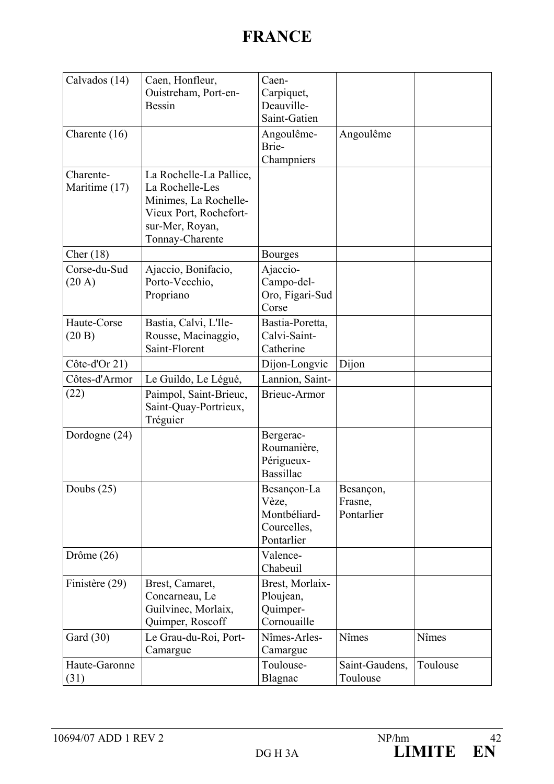| Calvados (14)                    | Caen, Honfleur,<br>Ouistreham, Port-en-<br><b>Bessin</b>                                                                            | Caen-<br>Carpiquet,<br>Deauville-<br>Saint-Gatien                 |                                    |          |
|----------------------------------|-------------------------------------------------------------------------------------------------------------------------------------|-------------------------------------------------------------------|------------------------------------|----------|
| Charente (16)                    |                                                                                                                                     | Angoulême-<br>Brie-<br>Champniers                                 | Angoulême                          |          |
| Charente-<br>Maritime (17)       | La Rochelle-La Pallice,<br>La Rochelle-Les<br>Minimes, La Rochelle-<br>Vieux Port, Rochefort-<br>sur-Mer, Royan,<br>Tonnay-Charente |                                                                   |                                    |          |
| Cher $(18)$                      |                                                                                                                                     | <b>Bourges</b>                                                    |                                    |          |
| Corse-du-Sud<br>$(20 \text{ A})$ | Ajaccio, Bonifacio,<br>Porto-Vecchio,<br>Propriano                                                                                  | Ajaccio-<br>Campo-del-<br>Oro, Figari-Sud<br>Corse                |                                    |          |
| Haute-Corse<br>(20 B)            | Bastia, Calvi, L'Ile-<br>Rousse, Macinaggio,<br>Saint-Florent                                                                       | Bastia-Poretta,<br>Calvi-Saint-<br>Catherine                      |                                    |          |
| Côte-d'Or 21)                    |                                                                                                                                     | Dijon-Longvic                                                     | Dijon                              |          |
| Côtes-d'Armor                    | Le Guildo, Le Légué,                                                                                                                | Lannion, Saint-                                                   |                                    |          |
| (22)                             | Paimpol, Saint-Brieuc,<br>Saint-Quay-Portrieux,<br>Tréguier                                                                         | <b>Brieuc-Armor</b>                                               |                                    |          |
| Dordogne (24)                    |                                                                                                                                     | Bergerac-<br>Roumanière,<br>Périgueux-<br><b>Bassillac</b>        |                                    |          |
| Doubs $(25)$                     |                                                                                                                                     | Besançon-La<br>Vèze,<br>Montbéliard-<br>Courcelles,<br>Pontarlier | Besançon,<br>Frasne,<br>Pontarlier |          |
| Drôme $(26)$                     |                                                                                                                                     | Valence-<br>Chabeuil                                              |                                    |          |
| Finistère (29)                   | Brest, Camaret,<br>Concarneau, Le<br>Guilvinec, Morlaix,<br>Quimper, Roscoff                                                        | Brest, Morlaix-<br>Ploujean,<br>Quimper-<br>Cornouaille           |                                    |          |
| Gard (30)                        | Le Grau-du-Roi, Port-<br>Camargue                                                                                                   | Nîmes-Arles-<br>Camargue                                          | Nîmes                              | Nîmes    |
| Haute-Garonne<br>(31)            |                                                                                                                                     | Toulouse-<br>Blagnac                                              | Saint-Gaudens,<br>Toulouse         | Toulouse |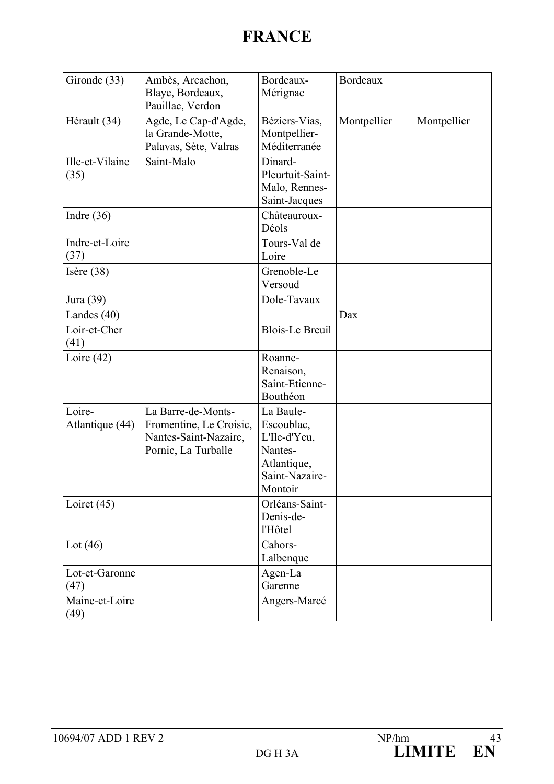| Gironde (33)              | Ambès, Arcachon,<br>Blaye, Bordeaux,<br>Pauillac, Verdon                                      | Bordeaux-<br>Mérignac                                                                          | Bordeaux    |             |
|---------------------------|-----------------------------------------------------------------------------------------------|------------------------------------------------------------------------------------------------|-------------|-------------|
| Hérault (34)              | Agde, Le Cap-d'Agde,<br>la Grande-Motte,<br>Palavas, Sète, Valras                             | Béziers-Vias,<br>Montpellier-<br>Méditerranée                                                  | Montpellier | Montpellier |
| Ille-et-Vilaine<br>(35)   | Saint-Malo                                                                                    | Dinard-<br>Pleurtuit-Saint-<br>Malo, Rennes-<br>Saint-Jacques                                  |             |             |
| Indre $(36)$              |                                                                                               | Châteauroux-<br>Déols                                                                          |             |             |
| Indre-et-Loire<br>(37)    |                                                                                               | Tours-Val de<br>Loire                                                                          |             |             |
| Isère $(38)$              |                                                                                               | Grenoble-Le<br>Versoud                                                                         |             |             |
| Jura (39)                 |                                                                                               | Dole-Tavaux                                                                                    |             |             |
| Landes $(40)$             |                                                                                               |                                                                                                | Dax         |             |
| Loir-et-Cher<br>(41)      |                                                                                               | <b>Blois-Le Breuil</b>                                                                         |             |             |
| Loire $(42)$              |                                                                                               | Roanne-<br>Renaison,<br>Saint-Etienne-<br>Bouthéon                                             |             |             |
| Loire-<br>Atlantique (44) | La Barre-de-Monts-<br>Fromentine, Le Croisic,<br>Nantes-Saint-Nazaire,<br>Pornic, La Turballe | La Baule-<br>Escoublac,<br>L'Ile-d'Yeu,<br>Nantes-<br>Atlantique,<br>Saint-Nazaire-<br>Montoir |             |             |
| Loiret $(45)$             |                                                                                               | Orléans-Saint-<br>Denis-de-<br>l'Hôtel                                                         |             |             |
| Lot $(46)$                |                                                                                               | Cahors-<br>Lalbenque                                                                           |             |             |
| Lot-et-Garonne<br>(47)    |                                                                                               | Agen-La<br>Garenne                                                                             |             |             |
| Maine-et-Loire<br>(49)    |                                                                                               | Angers-Marcé                                                                                   |             |             |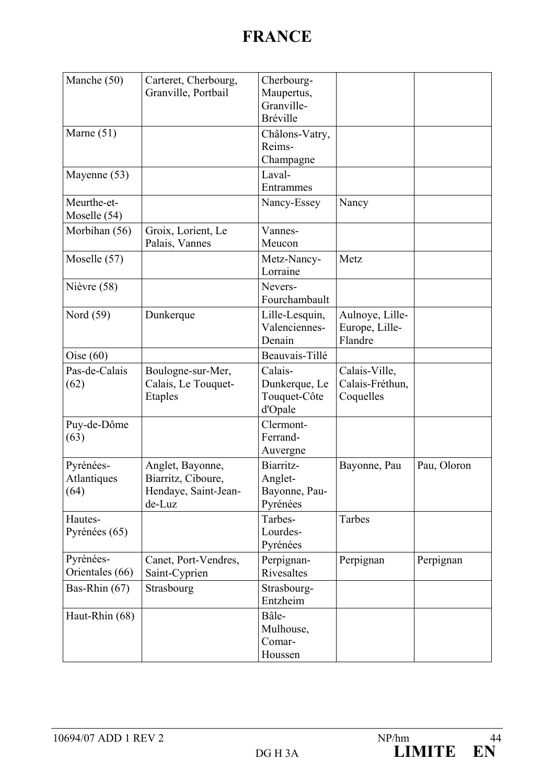| Manche (50)                      | Carteret, Cherbourg,<br>Granville, Portbail                              | Cherbourg-<br>Maupertus,<br>Granville-<br><b>Bréville</b> |                                               |             |
|----------------------------------|--------------------------------------------------------------------------|-----------------------------------------------------------|-----------------------------------------------|-------------|
| Marne $(51)$                     |                                                                          | Châlons-Vatry,<br>Reims-<br>Champagne                     |                                               |             |
| Mayenne (53)                     |                                                                          | Laval-<br>Entrammes                                       |                                               |             |
| Meurthe-et-<br>Moselle (54)      |                                                                          | Nancy-Essey                                               | Nancy                                         |             |
| Morbihan (56)                    | Groix, Lorient, Le<br>Palais, Vannes                                     | Vannes-<br>Meucon                                         |                                               |             |
| Moselle (57)                     |                                                                          | Metz-Nancy-<br>Lorraine                                   | Metz                                          |             |
| Nièvre (58)                      |                                                                          | Nevers-<br>Fourchambault                                  |                                               |             |
| Nord (59)                        | Dunkerque                                                                | Lille-Lesquin,<br>Valenciennes-<br>Denain                 | Aulnoye, Lille-<br>Europe, Lille-<br>Flandre  |             |
| Oise $(60)$                      |                                                                          | Beauvais-Tillé                                            |                                               |             |
| Pas-de-Calais<br>(62)            | Boulogne-sur-Mer,<br>Calais, Le Touquet-<br><b>Etaples</b>               | Calais-<br>Dunkerque, Le<br>Touquet-Côte<br>d'Opale       | Calais-Ville,<br>Calais-Fréthun,<br>Coquelles |             |
| Puy-de-Dôme<br>(63)              |                                                                          | Clermont-<br>Ferrand-<br>Auvergne                         |                                               |             |
| Pyrénées-<br>Atlantiques<br>(64) | Anglet, Bayonne,<br>Biarritz, Ciboure,<br>Hendaye, Saint-Jean-<br>de-Luz | Biarritz-<br>Anglet-<br>Bayonne, Pau-<br>Pyrénées         | Bayonne, Pau                                  | Pau, Oloron |
| Hautes-<br>Pyrénées (65)         |                                                                          | Tarbes-<br>Lourdes-<br>Pyrénées                           | Tarbes                                        |             |
| Pyrénées-<br>Orientales (66)     | Canet, Port-Vendres,<br>Saint-Cyprien                                    | Perpignan-<br>Rivesaltes                                  | Perpignan                                     | Perpignan   |
| Bas-Rhin (67)                    | Strasbourg                                                               | Strasbourg-<br>Entzheim                                   |                                               |             |
| Haut-Rhin (68)                   |                                                                          | Bâle-<br>Mulhouse,<br>Comar-<br>Houssen                   |                                               |             |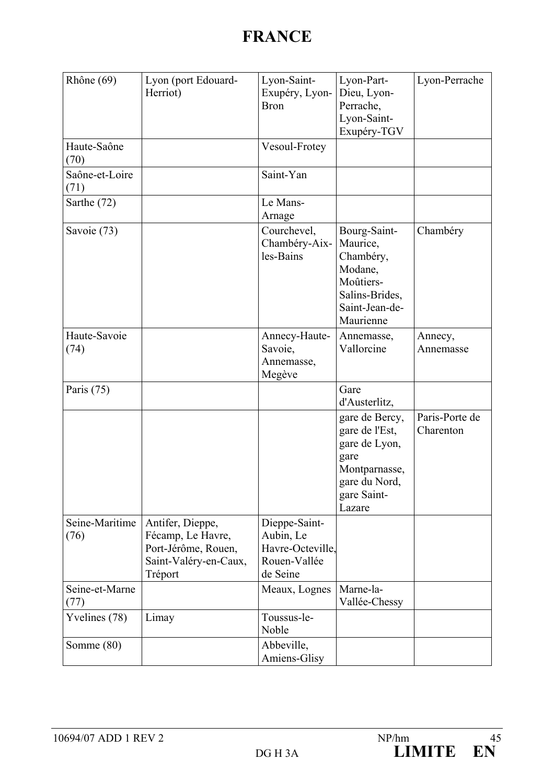| Rhône (69)             | Lyon (port Edouard-<br>Herriot)                                                                  | Lyon-Saint-<br>Exupéry, Lyon-<br><b>Bron</b>                               | Lyon-Part-<br>Dieu, Lyon-<br>Perrache,<br>Lyon-Saint-<br>Exupéry-TGV                                                 | Lyon-Perrache               |
|------------------------|--------------------------------------------------------------------------------------------------|----------------------------------------------------------------------------|----------------------------------------------------------------------------------------------------------------------|-----------------------------|
| Haute-Saône<br>(70)    |                                                                                                  | Vesoul-Frotey                                                              |                                                                                                                      |                             |
| Saône-et-Loire<br>(71) |                                                                                                  | Saint-Yan                                                                  |                                                                                                                      |                             |
| Sarthe (72)            |                                                                                                  | Le Mans-<br>Arnage                                                         |                                                                                                                      |                             |
| Savoie (73)            |                                                                                                  | Courchevel,<br>Chambéry-Aix-<br>les-Bains                                  | Bourg-Saint-<br>Maurice,<br>Chambéry,<br>Modane,<br>Moûtiers-<br>Salins-Brides,<br>Saint-Jean-de-<br>Maurienne       | Chambéry                    |
| Haute-Savoie<br>(74)   |                                                                                                  | Annecy-Haute-<br>Savoie,<br>Annemasse,<br>Megève                           | Annemasse,<br>Vallorcine                                                                                             | Annecy,<br>Annemasse        |
| Paris $(75)$           |                                                                                                  |                                                                            | Gare<br>d'Austerlitz,                                                                                                |                             |
|                        |                                                                                                  |                                                                            | gare de Bercy,<br>gare de l'Est,<br>gare de Lyon,<br>gare<br>Montparnasse,<br>gare du Nord,<br>gare Saint-<br>Lazare | Paris-Porte de<br>Charenton |
| Seine-Maritime<br>(76) | Antifer, Dieppe,<br>Fécamp, Le Havre,<br>Port-Jérôme, Rouen,<br>Saint-Valéry-en-Caux,<br>Tréport | Dieppe-Saint-<br>Aubin, Le<br>Havre-Octeville.<br>Rouen-Vallée<br>de Seine |                                                                                                                      |                             |
| Seine-et-Marne<br>(77) |                                                                                                  | Meaux, Lognes                                                              | Marne-la-<br>Vallée-Chessy                                                                                           |                             |
| Yvelines (78)          | Limay                                                                                            | Toussus-le-<br>Noble                                                       |                                                                                                                      |                             |
| Somme (80)             |                                                                                                  | Abbeville,<br>Amiens-Glisy                                                 |                                                                                                                      |                             |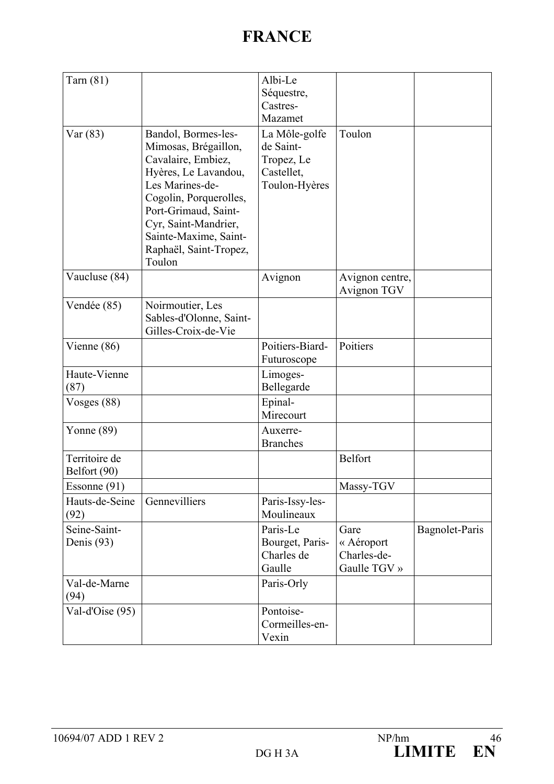| Tarn $(81)$                   |                                                                                                                                                                                                                                                     | Albi-Le<br>Séquestre,<br>Castres-<br>Mazamet                            |                                                   |                |
|-------------------------------|-----------------------------------------------------------------------------------------------------------------------------------------------------------------------------------------------------------------------------------------------------|-------------------------------------------------------------------------|---------------------------------------------------|----------------|
| Var(83)                       | Bandol, Bormes-les-<br>Mimosas, Brégaillon,<br>Cavalaire, Embiez,<br>Hyères, Le Lavandou,<br>Les Marines-de-<br>Cogolin, Porquerolles,<br>Port-Grimaud, Saint-<br>Cyr, Saint-Mandrier,<br>Sainte-Maxime, Saint-<br>Raphaël, Saint-Tropez,<br>Toulon | La Môle-golfe<br>de Saint-<br>Tropez, Le<br>Castellet,<br>Toulon-Hyères | Toulon                                            |                |
| Vaucluse (84)                 |                                                                                                                                                                                                                                                     | Avignon                                                                 | Avignon centre,<br>Avignon TGV                    |                |
| Vendée (85)                   | Noirmoutier, Les<br>Sables-d'Olonne, Saint-<br>Gilles-Croix-de-Vie                                                                                                                                                                                  |                                                                         |                                                   |                |
| Vienne (86)                   |                                                                                                                                                                                                                                                     | Poitiers-Biard-<br>Futuroscope                                          | Poitiers                                          |                |
| Haute-Vienne<br>(87)          |                                                                                                                                                                                                                                                     | Limoges-<br>Bellegarde                                                  |                                                   |                |
| Vosges $(88)$                 |                                                                                                                                                                                                                                                     | Epinal-<br>Mirecourt                                                    |                                                   |                |
| Yonne $(89)$                  |                                                                                                                                                                                                                                                     | Auxerre-<br><b>Branches</b>                                             |                                                   |                |
| Territoire de<br>Belfort (90) |                                                                                                                                                                                                                                                     |                                                                         | Belfort                                           |                |
| Essonne (91)                  |                                                                                                                                                                                                                                                     |                                                                         | Massy-TGV                                         |                |
| Hauts-de-Seine<br>(92)        | Gennevilliers                                                                                                                                                                                                                                       | Paris-Issy-les-<br>Moulineaux                                           |                                                   |                |
| Seine-Saint-<br>Denis (93)    |                                                                                                                                                                                                                                                     | Paris-Le<br>Bourget, Paris-<br>Charles de<br>Gaulle                     | Gare<br>« Aéroport<br>Charles-de-<br>Gaulle TGV » | Bagnolet-Paris |
| Val-de-Marne<br>(94)          |                                                                                                                                                                                                                                                     | Paris-Orly                                                              |                                                   |                |
| Val-d'Oise (95)               |                                                                                                                                                                                                                                                     | Pontoise-<br>Cormeilles-en-<br>Vexin                                    |                                                   |                |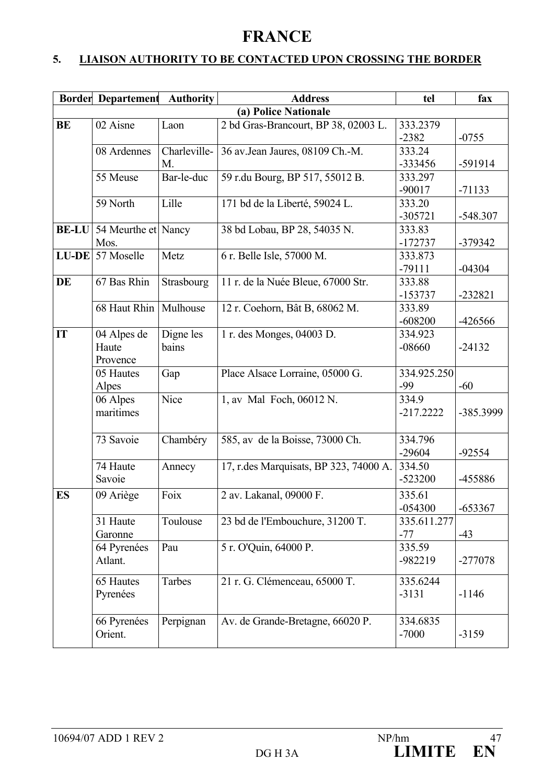## **5. LIAISON AUTHORITY TO BE CONTACTED UPON CROSSING THE BORDER**

|              | <b>Border Departement</b> | <b>Authority</b> | <b>Address</b>                         | tel         | fax        |
|--------------|---------------------------|------------------|----------------------------------------|-------------|------------|
|              |                           |                  | (a) Police Nationale                   |             |            |
| <b>BE</b>    | 02 Aisne                  | Laon             | 2 bd Gras-Brancourt, BP 38, 02003 L.   | 333.2379    |            |
|              |                           |                  |                                        | $-2382$     | $-0755$    |
|              | 08 Ardennes               | Charleville-     | 36 av.Jean Jaures, 08109 Ch.-M.        | 333.24      |            |
|              |                           | M.               |                                        | -333456     | -591914    |
|              | 55 Meuse                  | Bar-le-duc       | 59 r.du Bourg, BP 517, 55012 B.        | 333.297     |            |
|              |                           |                  |                                        | $-90017$    | $-71133$   |
|              | 59 North                  | Lille            | 171 bd de la Liberté, 59024 L.         | 333.20      |            |
|              |                           |                  |                                        | $-305721$   | $-548.307$ |
| <b>BE-LU</b> | 54 Meurthe et Nancy       |                  | 38 bd Lobau, BP 28, 54035 N.           | 333.83      |            |
|              | Mos.                      |                  |                                        | $-172737$   | -379342    |
|              | $LU-DE$ 57 Moselle        | Metz             | 6 r. Belle Isle, 57000 M.              | 333.873     |            |
|              |                           |                  |                                        | $-79111$    | $-04304$   |
| DE           | 67 Bas Rhin               | Strasbourg       | 11 r. de la Nuée Bleue, 67000 Str.     | 333.88      |            |
|              |                           |                  |                                        | $-153737$   | $-232821$  |
|              | 68 Haut Rhin              | Mulhouse         | 12 r. Coehorn, Bât B, 68062 M.         | 333.89      |            |
|              |                           |                  |                                        | $-608200$   | -426566    |
| IT           | 04 Alpes de               | Digne les        | 1 r. des Monges, 04003 D.              | 334.923     |            |
|              | Haute                     | bains            |                                        | $-08660$    | $-24132$   |
|              | Provence                  |                  |                                        |             |            |
|              | 05 Hautes                 | Gap              | Place Alsace Lorraine, 05000 G.        | 334.925.250 |            |
|              | Alpes                     |                  |                                        | $-99$       | $-60$      |
|              | 06 Alpes                  | Nice             | 1, av Mal Foch, 06012 N.               | 334.9       |            |
|              | maritimes                 |                  |                                        | $-217.2222$ | -385.3999  |
|              |                           |                  |                                        |             |            |
|              | 73 Savoie                 | Chambéry         | 585, av de la Boisse, 73000 Ch.        | 334.796     |            |
|              |                           |                  |                                        | $-29604$    | $-92554$   |
|              | 74 Haute                  | Annecy           | 17, r.des Marquisats, BP 323, 74000 A. | 334.50      |            |
|              | Savoie                    |                  |                                        | $-523200$   | -455886    |
| <b>ES</b>    | 09 Ariège                 | Foix             | 2 av. Lakanal, 09000 F.                | 335.61      |            |
|              |                           |                  |                                        | $-054300$   | $-653367$  |
|              | 31 Haute                  | Toulouse         | 23 bd de l'Embouchure, 31200 T.        | 335.611.277 |            |
|              | Garonne                   |                  |                                        | $-77$       | $-43$      |
|              | 64 Pyrenées               | Pau              | 5 r. O'Quin, 64000 P.                  | 335.59      |            |
|              | Atlant.                   |                  |                                        | -982219     | -277078    |
|              |                           |                  |                                        |             |            |
|              | 65 Hautes                 | Tarbes           | 21 r. G. Clémenceau, 65000 T.          | 335.6244    |            |
|              | Pyrenées                  |                  |                                        | $-3131$     | $-1146$    |
|              |                           |                  |                                        |             |            |
|              | 66 Pyrenées               | Perpignan        | Av. de Grande-Bretagne, 66020 P.       | 334.6835    |            |
|              | Orient.                   |                  |                                        | $-7000$     | $-3159$    |
|              |                           |                  |                                        |             |            |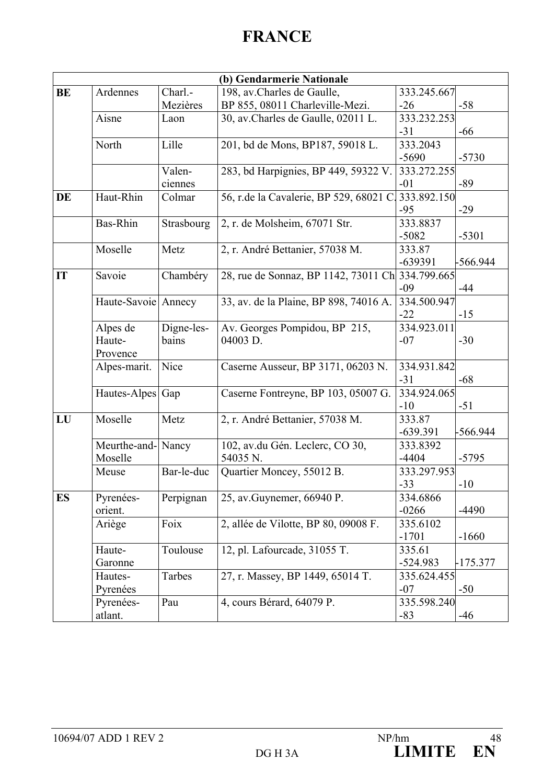|           |                     |            | (b) Gendarmerie Nationale               |             |            |
|-----------|---------------------|------------|-----------------------------------------|-------------|------------|
| <b>BE</b> | Ardennes            | Charl.-    | 198, av.Charles de Gaulle,              | 333.245.667 |            |
|           |                     | Mezières   | BP 855, 08011 Charleville-Mezi.         | $-26$       | $-58$      |
|           | Aisne               | Laon       | 30, av. Charles de Gaulle, 02011 L.     | 333.232.253 |            |
|           |                     |            |                                         | $-31$       | $-66$      |
|           | North               | Lille      | 201, bd de Mons, BP187, 59018 L.        | 333.2043    |            |
|           |                     |            |                                         | $-5690$     | $-5730$    |
|           |                     | Valen-     | 283, bd Harpignies, BP 449, 59322 V.    | 333.272.255 |            |
|           |                     | ciennes    |                                         | $-01$       | $-89$      |
| DE        | Haut-Rhin           | Colmar     | 56, r.de la Cavalerie, BP 529, 68021 C. | 333.892.150 |            |
|           |                     |            |                                         | $-95$       | $-29$      |
|           | Bas-Rhin            | Strasbourg | 2, r. de Molsheim, 67071 Str.           | 333.8837    |            |
|           |                     |            |                                         | $-5082$     | $-5301$    |
|           | Moselle             | Metz       | 2, r. André Bettanier, 57038 M.         | 333.87      |            |
|           |                     |            |                                         | $-639391$   | -566.944   |
| IT        | Savoie              | Chambéry   | 28, rue de Sonnaz, BP 1142, 73011 Ch    | 334.799.665 |            |
|           |                     |            |                                         | $-09$       | -44        |
|           | Haute-Savoie Annecy |            | 33, av. de la Plaine, BP 898, 74016 A.  | 334.500.947 |            |
|           |                     |            |                                         | $-22$       | $-15$      |
|           | Alpes de            | Digne-les- | Av. Georges Pompidou, BP 215,           | 334.923.011 |            |
|           | Haute-              | bains      | 04003 D.                                | $-07$       | $-30$      |
|           | Provence            |            |                                         |             |            |
|           | Alpes-marit.        | Nice       | Caserne Ausseur, BP 3171, 06203 N.      | 334.931.842 |            |
|           |                     |            |                                         | $-31$       | $-68$      |
|           | Hautes-Alpes Gap    |            | Caserne Fontreyne, BP 103, 05007 G.     | 334.924.065 |            |
|           |                     |            |                                         | $-10$       | $-51$      |
| LU        | Moselle             | Metz       | 2, r. André Bettanier, 57038 M.         | 333.87      |            |
|           |                     |            |                                         | $-639.391$  | -566.944   |
|           | Meurthe-and-Nancy   |            | 102, av.du Gén. Leclerc, CO 30,         | 333.8392    |            |
|           | Moselle             |            | 54035 N.                                | $-4404$     | $-5795$    |
|           | Meuse               | Bar-le-duc | Quartier Moncey, 55012 B.               | 333.297.953 |            |
|           |                     |            |                                         | $-33$       | $-10$      |
| <b>ES</b> | Pyrenées-           | Perpignan  | 25, av. Guynemer, 66940 P.              | 334.6866    |            |
|           | orient.             |            |                                         | $-0266$     | $-4490$    |
|           | Ariège              | Foix       | 2, allée de Vilotte, BP 80, 09008 F.    | 335.6102    |            |
|           |                     |            |                                         | $-1701$     | $-1660$    |
|           | Haute-              | Toulouse   | 12, pl. Lafourcade, 31055 T.            | 335.61      |            |
|           | Garonne             |            |                                         | $-524.983$  | $-175.377$ |
|           | Hautes-             | Tarbes     | 27, r. Massey, BP 1449, 65014 T.        | 335.624.455 |            |
|           | Pyrenées            |            |                                         | $-07$       | $-50$      |
|           | Pyrenées-           | Pau        | 4, cours Bérard, 64079 P.               | 335.598.240 |            |
|           | atlant.             |            |                                         | $-83$       | $-46$      |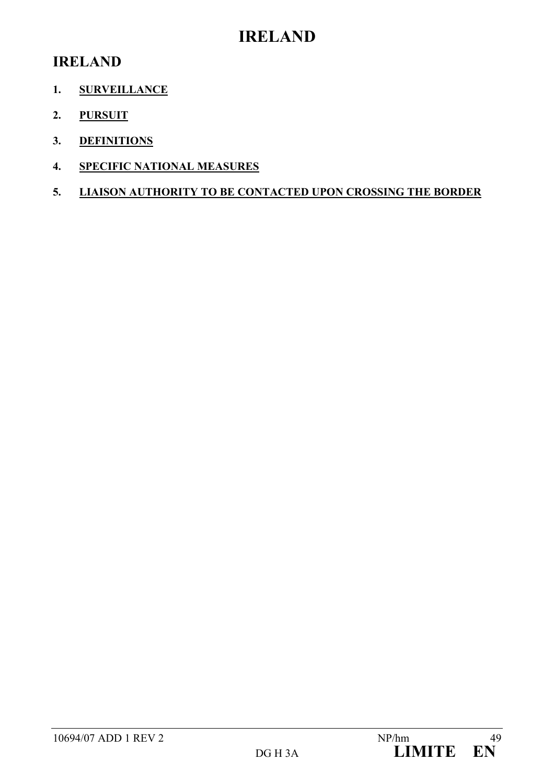## **IRELAND**

## **IRELAND**

- **1. SURVEILLANCE**
- **2. PURSUIT**
- **3. DEFINITIONS**
- **4. SPECIFIC NATIONAL MEASURES**
- **5. LIAISON AUTHORITY TO BE CONTACTED UPON CROSSING THE BORDER**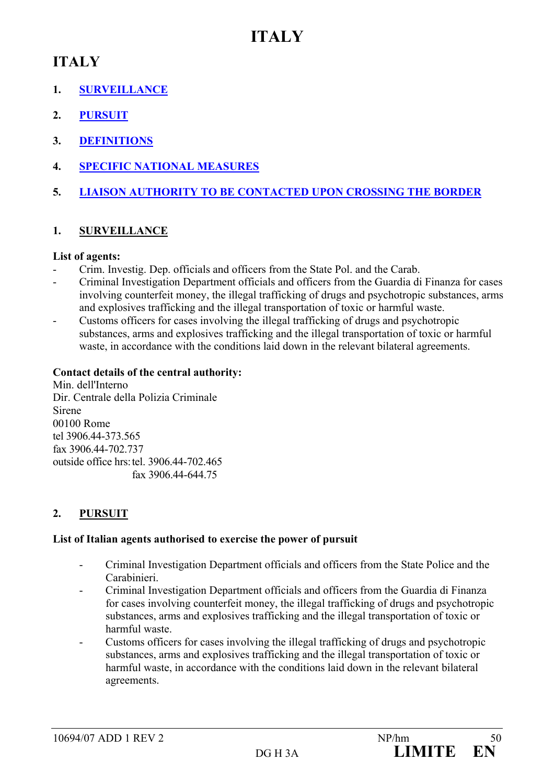## **ITALY**

## **ITALY**

- **1. SURVEILLANCE**
- **2. PURSUIT**
- **3. DEFINITIONS**
- **4. SPECIFIC NATIONAL MEASURES**
- **5. LIAISON AUTHORITY TO BE CONTACTED UPON CROSSING THE BORDER**

## **1. SURVEILLANCE**

## **List of agents:**

- Crim. Investig. Dep. officials and officers from the State Pol. and the Carab.
- Criminal Investigation Department officials and officers from the Guardia di Finanza for cases involving counterfeit money, the illegal trafficking of drugs and psychotropic substances, arms and explosives trafficking and the illegal transportation of toxic or harmful waste.
- Customs officers for cases involving the illegal trafficking of drugs and psychotropic substances, arms and explosives trafficking and the illegal transportation of toxic or harmful waste, in accordance with the conditions laid down in the relevant bilateral agreements.

## **Contact details of the central authority:**

Min. dell'Interno Dir. Centrale della Polizia Criminale Sirene 00100 Rome tel 3906.44-373.565 fax 3906.44-702.737 outside office hrs: tel. 3906.44-702.465 fax 3906.44-644.75

## **2. PURSUIT**

## **List of Italian agents authorised to exercise the power of pursuit**

- Criminal Investigation Department officials and officers from the State Police and the Carabinieri.
- Criminal Investigation Department officials and officers from the Guardia di Finanza for cases involving counterfeit money, the illegal trafficking of drugs and psychotropic substances, arms and explosives trafficking and the illegal transportation of toxic or harmful waste.
- Customs officers for cases involving the illegal trafficking of drugs and psychotropic substances, arms and explosives trafficking and the illegal transportation of toxic or harmful waste, in accordance with the conditions laid down in the relevant bilateral agreements.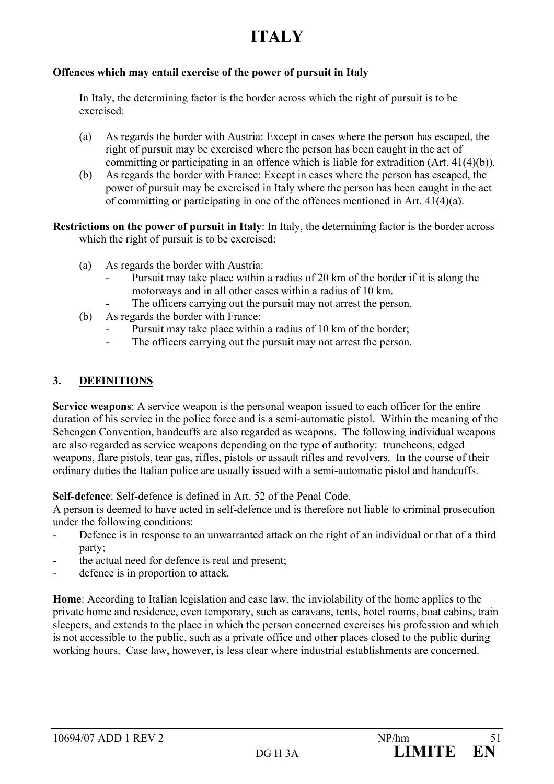# **ITALY**

#### **Offences which may entail exercise of the power of pursuit in Italy**

In Italy, the determining factor is the border across which the right of pursuit is to be exercised:

- (a) As regards the border with Austria: Except in cases where the person has escaped, the right of pursuit may be exercised where the person has been caught in the act of committing or participating in an offence which is liable for extradition (Art. 41(4)(b)).
- (b) As regards the border with France: Except in cases where the person has escaped, the power of pursuit may be exercised in Italy where the person has been caught in the act of committing or participating in one of the offences mentioned in Art.  $41(4)(a)$ .
- **Restrictions on the power of pursuit in Italy**: In Italy, the determining factor is the border across which the right of pursuit is to be exercised:
	- (a) As regards the border with Austria:
		- Pursuit may take place within a radius of 20 km of the border if it is along the motorways and in all other cases within a radius of 10 km.
			- The officers carrying out the pursuit may not arrest the person.
	- (b) As regards the border with France:
		- Pursuit may take place within a radius of 10 km of the border;
		- The officers carrying out the pursuit may not arrest the person.

## **3. DEFINITIONS**

**Service weapons**: A service weapon is the personal weapon issued to each officer for the entire duration of his service in the police force and is a semi-automatic pistol. Within the meaning of the Schengen Convention, handcuffs are also regarded as weapons. The following individual weapons are also regarded as service weapons depending on the type of authority: truncheons, edged weapons, flare pistols, tear gas, rifles, pistols or assault rifles and revolvers. In the course of their ordinary duties the Italian police are usually issued with a semi-automatic pistol and handcuffs.

**Self-defence**: Self-defence is defined in Art. 52 of the Penal Code.

A person is deemed to have acted in self-defence and is therefore not liable to criminal prosecution under the following conditions:

- Defence is in response to an unwarranted attack on the right of an individual or that of a third party;
- the actual need for defence is real and present;
- defence is in proportion to attack.

**Home**: According to Italian legislation and case law, the inviolability of the home applies to the private home and residence, even temporary, such as caravans, tents, hotel rooms, boat cabins, train sleepers, and extends to the place in which the person concerned exercises his profession and which is not accessible to the public, such as a private office and other places closed to the public during working hours. Case law, however, is less clear where industrial establishments are concerned.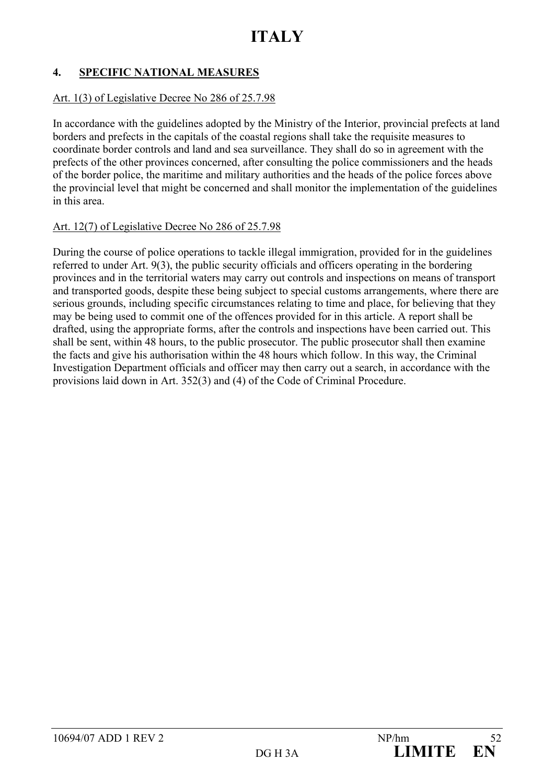## **4. SPECIFIC NATIONAL MEASURES**

#### Art. 1(3) of Legislative Decree No 286 of 25.7.98

In accordance with the guidelines adopted by the Ministry of the Interior, provincial prefects at land borders and prefects in the capitals of the coastal regions shall take the requisite measures to coordinate border controls and land and sea surveillance. They shall do so in agreement with the prefects of the other provinces concerned, after consulting the police commissioners and the heads of the border police, the maritime and military authorities and the heads of the police forces above the provincial level that might be concerned and shall monitor the implementation of the guidelines in this area.

#### Art. 12(7) of Legislative Decree No 286 of 25.7.98

During the course of police operations to tackle illegal immigration, provided for in the guidelines referred to under Art. 9(3), the public security officials and officers operating in the bordering provinces and in the territorial waters may carry out controls and inspections on means of transport and transported goods, despite these being subject to special customs arrangements, where there are serious grounds, including specific circumstances relating to time and place, for believing that they may be being used to commit one of the offences provided for in this article. A report shall be drafted, using the appropriate forms, after the controls and inspections have been carried out. This shall be sent, within 48 hours, to the public prosecutor. The public prosecutor shall then examine the facts and give his authorisation within the 48 hours which follow. In this way, the Criminal Investigation Department officials and officer may then carry out a search, in accordance with the provisions laid down in Art. 352(3) and (4) of the Code of Criminal Procedure.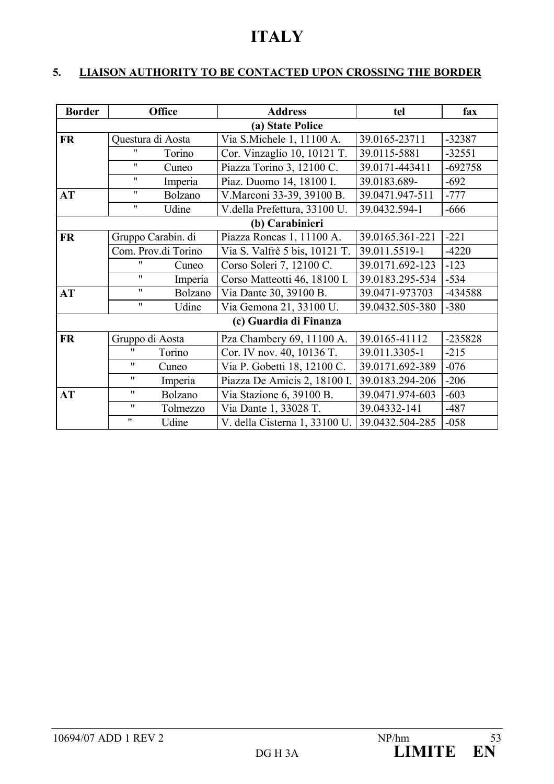## **ITALY**

## **5. LIAISON AUTHORITY TO BE CONTACTED UPON CROSSING THE BORDER**

| <b>Border</b> | <b>Office</b>       |          | <b>Address</b>                | tel             | fax       |
|---------------|---------------------|----------|-------------------------------|-----------------|-----------|
|               |                     |          | (a) State Police              |                 |           |
| <b>FR</b>     | Questura di Aosta   |          | Via S.Michele 1, 11100 A.     | 39.0165-23711   | $-32387$  |
|               | "                   | Torino   | Cor. Vinzaglio 10, 10121 T.   | 39.0115-5881    | $-32551$  |
|               | $\mathbf{H}$        | Cuneo    | Piazza Torino 3, 12100 C.     | 39.0171-443411  | $-692758$ |
|               | $\mathbf{H}$        | Imperia  | Piaz. Duomo 14, 18100 I.      | 39.0183.689-    | $-692$    |
| AT            | $^{\prime\prime}$   | Bolzano  | V. Marconi 33-39, 39100 B.    | 39.0471.947-511 | $-777$    |
|               | $\mathbf{H}$        | Udine    | V.della Prefettura, 33100 U.  | 39.0432.594-1   | $-666$    |
|               |                     |          | (b) Carabinieri               |                 |           |
| <b>FR</b>     | Gruppo Carabin. di  |          | Piazza Roncas 1, 11100 A.     | 39.0165.361-221 | $-221$    |
|               | Com. Prov.di Torino |          | Via S. Valfrè 5 bis, 10121 T. | 39.011.5519-1   | $-4220$   |
|               | "                   | Cuneo    | Corso Soleri 7, 12100 C.      | 39.0171.692-123 | $-123$    |
|               | $^{\prime\prime}$   | Imperia  | Corso Matteotti 46, 18100 I.  | 39.0183.295-534 | $-534$    |
| <b>AT</b>     | $^{\prime\prime}$   | Bolzano  | Via Dante 30, 39100 B.        | 39.0471-973703  | -434588   |
|               | $^{\prime\prime}$   | Udine    | Via Gemona 21, 33100 U.       | 39.0432.505-380 | $-380$    |
|               |                     |          | (c) Guardia di Finanza        |                 |           |
| <b>FR</b>     | Gruppo di Aosta     |          | Pza Chambery 69, 11100 A.     | 39.0165-41112   | -235828   |
|               | "                   | Torino   | Cor. IV nov. 40, 10136 T.     | 39.011.3305-1   | $-215$    |
|               | 11                  | Cuneo    | Via P. Gobetti 18, 12100 C.   | 39.0171.692-389 | $-076$    |
|               | $^{\prime\prime}$   | Imperia  | Piazza De Amicis 2, 18100 I.  | 39.0183.294-206 | $-206$    |
| AT            | $^{\prime\prime}$   | Bolzano  | Via Stazione 6, 39100 B.      | 39.0471.974-603 | $-603$    |
|               | $^{\prime\prime}$   | Tolmezzo | Via Dante 1, 33028 T.         | 39.04332-141    | $-487$    |
|               | $\pmb{\mathsf{H}}$  | Udine    | V. della Cisterna 1, 33100 U. | 39.0432.504-285 | $-058$    |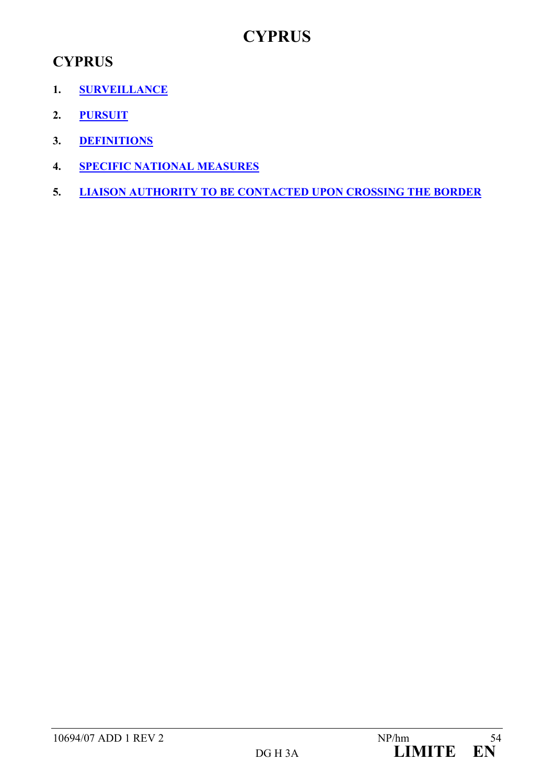## **CYPRUS**

## **CYPRUS**

- **1. SURVEILLANCE**
- **2. PURSUIT**
- **3. DEFINITIONS**
- **4. SPECIFIC NATIONAL MEASURES**
- **5. LIAISON AUTHORITY TO BE CONTACTED UPON CROSSING THE BORDER**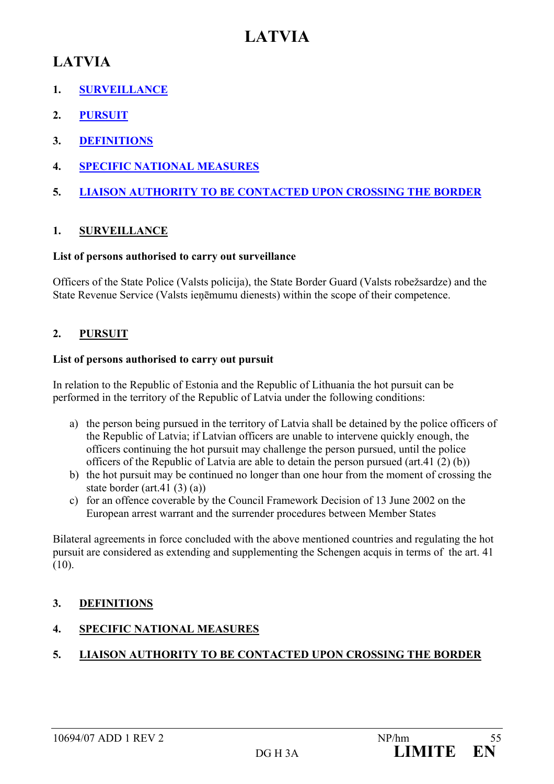## **LATVIA**

## **LATVIA**

- **1. SURVEILLANCE**
- **2. PURSUIT**
- **3. DEFINITIONS**
- **4. SPECIFIC NATIONAL MEASURES**
- **5. LIAISON AUTHORITY TO BE CONTACTED UPON CROSSING THE BORDER**

## **1. SURVEILLANCE**

## **List of persons authorised to carry out surveillance**

Officers of the State Police (Valsts policija), the State Border Guard (Valsts robežsardze) and the State Revenue Service (Valsts ieņēmumu dienests) within the scope of their competence.

## **2. PURSUIT**

#### **List of persons authorised to carry out pursuit**

In relation to the Republic of Estonia and the Republic of Lithuania the hot pursuit can be performed in the territory of the Republic of Latvia under the following conditions:

- a) the person being pursued in the territory of Latvia shall be detained by the police officers of the Republic of Latvia; if Latvian officers are unable to intervene quickly enough, the officers continuing the hot pursuit may challenge the person pursued, until the police officers of the Republic of Latvia are able to detain the person pursued (art.41 (2) (b))
- b) the hot pursuit may be continued no longer than one hour from the moment of crossing the state border (art.41 (3) (a))
- c) for an offence coverable by the Council Framework Decision of 13 June 2002 on the European arrest warrant and the surrender procedures between Member States

Bilateral agreements in force concluded with the above mentioned countries and regulating the hot pursuit are considered as extending and supplementing the Schengen acquis in terms of the art. 41  $(10).$ 

## **3. DEFINITIONS**

## **4. SPECIFIC NATIONAL MEASURES**

## **5. LIAISON AUTHORITY TO BE CONTACTED UPON CROSSING THE BORDER**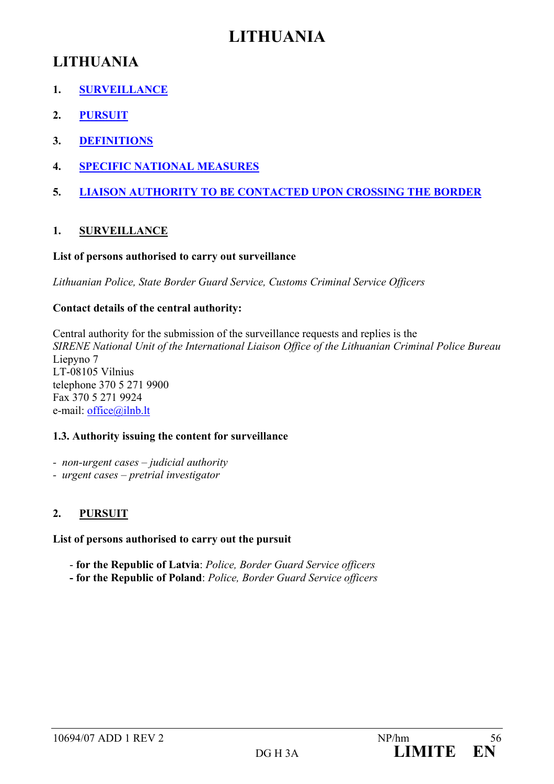## **LITHUANIA**

- **1. SURVEILLANCE**
- **2. PURSUIT**
- **3. DEFINITIONS**
- **4. SPECIFIC NATIONAL MEASURES**
- **5. LIAISON AUTHORITY TO BE CONTACTED UPON CROSSING THE BORDER**

## **1. SURVEILLANCE**

## **List of persons authorised to carry out surveillance**

*Lithuanian Police, State Border Guard Service, Customs Criminal Service Officers* 

## **Contact details of the central authority:**

Central authority for the submission of the surveillance requests and replies is the *SIRENE National Unit of the International Liaison Office of the Lithuanian Criminal Police Bureau*  Liepyno 7 LT-08105 Vilnius telephone 370 5 271 9900 Fax 370 5 271 9924 e-mail: office@ilnb.lt

## **1.3. Authority issuing the content for surveillance**

- *non-urgent cases judicial authority*
- *urgent cases pretrial investigator*

## **2. PURSUIT**

**List of persons authorised to carry out the pursuit**

- **for the Republic of Latvia**: *Police, Border Guard Service officers*
- **for the Republic of Poland**: *Police, Border Guard Service officers*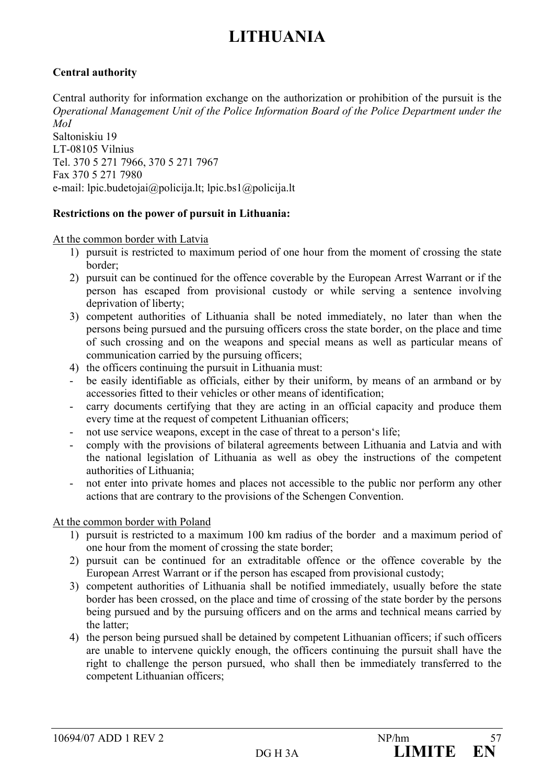## **Central authority**

Central authority for information exchange on the authorization or prohibition of the pursuit is the *Operational Management Unit of the Police Information Board of the Police Department under the MoI*  Saltoniskiu 19

LT-08105 Vilnius Tel. 370 5 271 7966, 370 5 271 7967 Fax 370 5 271 7980 e-mail: lpic.budetojai@policija.lt; lpic.bs1@policija.lt

#### **Restrictions on the power of pursuit in Lithuania:**

At the common border with Latvia

- 1) pursuit is restricted to maximum period of one hour from the moment of crossing the state border;
- 2) pursuit can be continued for the offence coverable by the European Arrest Warrant or if the person has escaped from provisional custody or while serving a sentence involving deprivation of liberty;
- 3) competent authorities of Lithuania shall be noted immediately, no later than when the persons being pursued and the pursuing officers cross the state border, on the place and time of such crossing and on the weapons and special means as well as particular means of communication carried by the pursuing officers;
- 4) the officers continuing the pursuit in Lithuania must:
- be easily identifiable as officials, either by their uniform, by means of an armband or by accessories fitted to their vehicles or other means of identification;
- carry documents certifying that they are acting in an official capacity and produce them every time at the request of competent Lithuanian officers;
- not use service weapons, except in the case of threat to a person's life;
- comply with the provisions of bilateral agreements between Lithuania and Latvia and with the national legislation of Lithuania as well as obey the instructions of the competent authorities of Lithuania;
- not enter into private homes and places not accessible to the public nor perform any other actions that are contrary to the provisions of the Schengen Convention.

#### At the common border with Poland

- 1) pursuit is restricted to a maximum 100 km radius of the border and a maximum period of one hour from the moment of crossing the state border;
- 2) pursuit can be continued for an extraditable offence or the offence coverable by the European Arrest Warrant or if the person has escaped from provisional custody;
- 3) competent authorities of Lithuania shall be notified immediately, usually before the state border has been crossed, on the place and time of crossing of the state border by the persons being pursued and by the pursuing officers and on the arms and technical means carried by the latter;
- 4) the person being pursued shall be detained by competent Lithuanian officers; if such officers are unable to intervene quickly enough, the officers continuing the pursuit shall have the right to challenge the person pursued, who shall then be immediately transferred to the competent Lithuanian officers;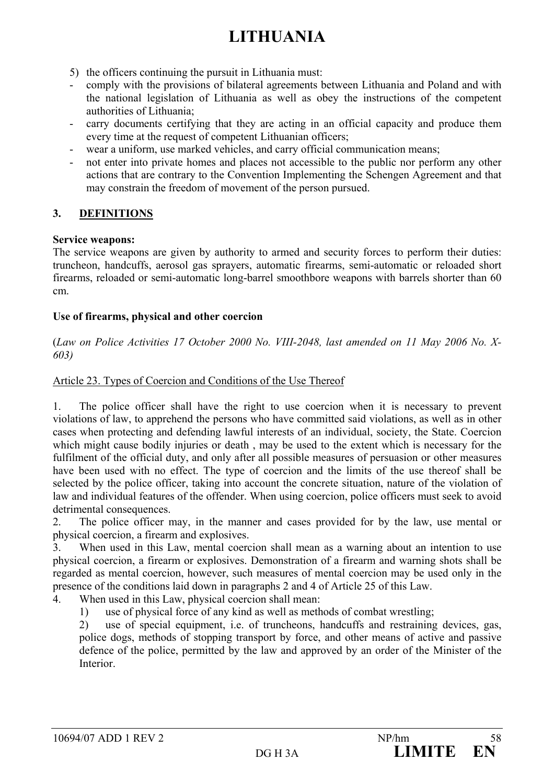- 5) the officers continuing the pursuit in Lithuania must:
- comply with the provisions of bilateral agreements between Lithuania and Poland and with the national legislation of Lithuania as well as obey the instructions of the competent authorities of Lithuania;
- carry documents certifying that they are acting in an official capacity and produce them every time at the request of competent Lithuanian officers;
- wear a uniform, use marked vehicles, and carry official communication means;
- not enter into private homes and places not accessible to the public nor perform any other actions that are contrary to the Convention Implementing the Schengen Agreement and that may constrain the freedom of movement of the person pursued.

## **3. DEFINITIONS**

#### **Service weapons:**

The service weapons are given by authority to armed and security forces to perform their duties: truncheon, handcuffs, aerosol gas sprayers, automatic firearms, semi-automatic or reloaded short firearms, reloaded or semi-automatic long-barrel smoothbore weapons with barrels shorter than 60 cm.

#### **Use of firearms, physical and other coercion**

(*Law on Police Activities 17 October 2000 No. VIII-2048, last amended on 11 May 2006 No. X-603)* 

## Article 23. Types of Coercion and Conditions of the Use Thereof

1. The police officer shall have the right to use coercion when it is necessary to prevent violations of law, to apprehend the persons who have committed said violations, as well as in other cases when protecting and defending lawful interests of an individual, society, the State. Coercion which might cause bodily injuries or death , may be used to the extent which is necessary for the fulfilment of the official duty, and only after all possible measures of persuasion or other measures have been used with no effect. The type of coercion and the limits of the use thereof shall be selected by the police officer, taking into account the concrete situation, nature of the violation of law and individual features of the offender. When using coercion, police officers must seek to avoid detrimental consequences.

2. The police officer may, in the manner and cases provided for by the law, use mental or physical coercion, a firearm and explosives.

3. When used in this Law, mental coercion shall mean as a warning about an intention to use physical coercion, a firearm or explosives. Demonstration of a firearm and warning shots shall be regarded as mental coercion, however, such measures of mental coercion may be used only in the presence of the conditions laid down in paragraphs 2 and 4 of Article 25 of this Law.

4. When used in this Law, physical coercion shall mean:

1) use of physical force of any kind as well as methods of combat wrestling;

2) use of special equipment, i.e. of truncheons, handcuffs and restraining devices, gas, police dogs, methods of stopping transport by force, and other means of active and passive defence of the police, permitted by the law and approved by an order of the Minister of the **Interior**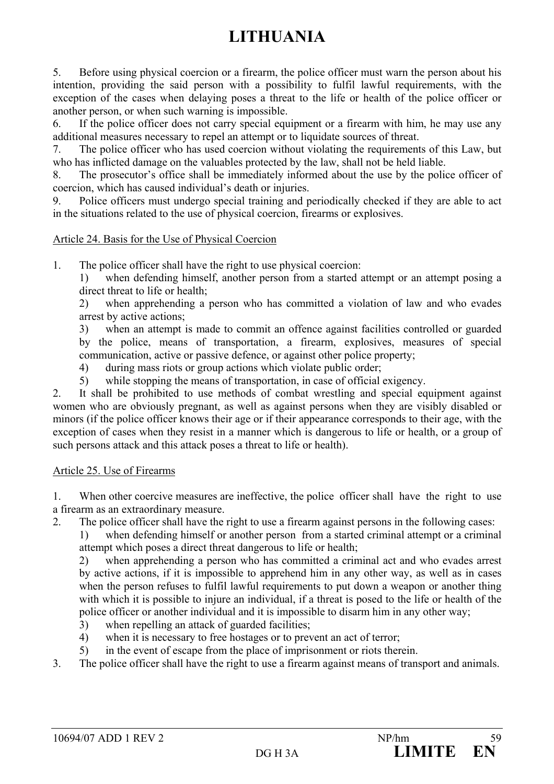5. Before using physical coercion or a firearm, the police officer must warn the person about his intention, providing the said person with a possibility to fulfil lawful requirements, with the exception of the cases when delaying poses a threat to the life or health of the police officer or another person, or when such warning is impossible.

6. If the police officer does not carry special equipment or a firearm with him, he may use any additional measures necessary to repel an attempt or to liquidate sources of threat.

7. The police officer who has used coercion without violating the requirements of this Law, but who has inflicted damage on the valuables protected by the law, shall not be held liable.

8. The prosecutor's office shall be immediately informed about the use by the police officer of coercion, which has caused individual's death or injuries.

9. Police officers must undergo special training and periodically checked if they are able to act in the situations related to the use of physical coercion, firearms or explosives.

## Article 24. Basis for the Use of Physical Coercion

1. The police officer shall have the right to use physical coercion:

1) when defending himself, another person from a started attempt or an attempt posing a direct threat to life or health;

2) when apprehending a person who has committed a violation of law and who evades arrest by active actions;

3) when an attempt is made to commit an offence against facilities controlled or guarded by the police, means of transportation, a firearm, explosives, measures of special communication, active or passive defence, or against other police property;

4) during mass riots or group actions which violate public order;

5) while stopping the means of transportation, in case of official exigency.

2. It shall be prohibited to use methods of combat wrestling and special equipment against women who are obviously pregnant, as well as against persons when they are visibly disabled or minors (if the police officer knows their age or if their appearance corresponds to their age, with the exception of cases when they resist in a manner which is dangerous to life or health, or a group of such persons attack and this attack poses a threat to life or health).

#### Article 25. Use of Firearms

1. When other coercive measures are ineffective, the police officer shall have the right to use a firearm as an extraordinary measure.

2. The police officer shall have the right to use a firearm against persons in the following cases:

1) when defending himself or another person from a started criminal attempt or a criminal attempt which poses a direct threat dangerous to life or health;

2) when apprehending a person who has committed a criminal act and who evades arrest by active actions, if it is impossible to apprehend him in any other way, as well as in cases when the person refuses to fulfil lawful requirements to put down a weapon or another thing with which it is possible to injure an individual, if a threat is posed to the life or health of the police officer or another individual and it is impossible to disarm him in any other way;

- 3) when repelling an attack of guarded facilities;
- 4) when it is necessary to free hostages or to prevent an act of terror;
- 5) in the event of escape from the place of imprisonment or riots therein.
- 3. The police officer shall have the right to use a firearm against means of transport and animals.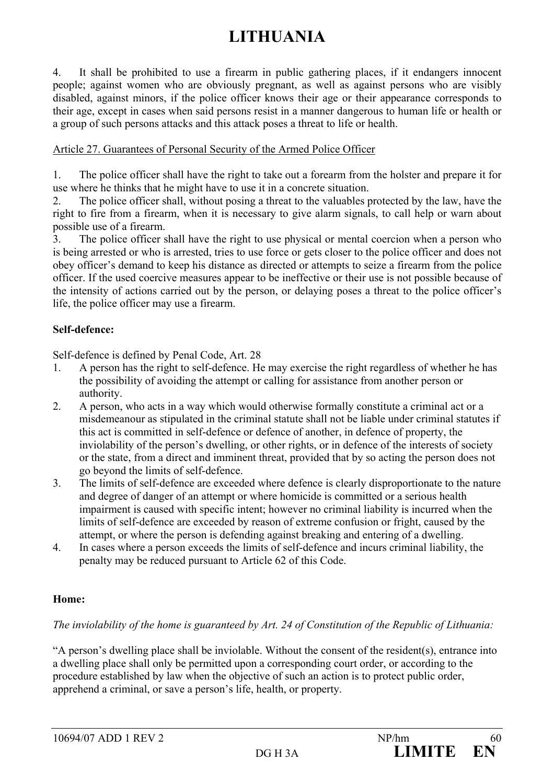4. It shall be prohibited to use a firearm in public gathering places, if it endangers innocent people; against women who are obviously pregnant, as well as against persons who are visibly disabled, against minors, if the police officer knows their age or their appearance corresponds to their age, except in cases when said persons resist in a manner dangerous to human life or health or a group of such persons attacks and this attack poses a threat to life or health.

#### Article 27. Guarantees of Personal Security of the Armed Police Officer

1. The police officer shall have the right to take out a forearm from the holster and prepare it for use where he thinks that he might have to use it in a concrete situation.

2. The police officer shall, without posing a threat to the valuables protected by the law, have the right to fire from a firearm, when it is necessary to give alarm signals, to call help or warn about possible use of a firearm.

3. The police officer shall have the right to use physical or mental coercion when a person who is being arrested or who is arrested, tries to use force or gets closer to the police officer and does not obey officer's demand to keep his distance as directed or attempts to seize a firearm from the police officer. If the used coercive measures appear to be ineffective or their use is not possible because of the intensity of actions carried out by the person, or delaying poses a threat to the police officer's life, the police officer may use a firearm.

## **Self-defence:**

Self-defence is defined by Penal Code, Art. 28

- 1. A person has the right to self-defence. He may exercise the right regardless of whether he has the possibility of avoiding the attempt or calling for assistance from another person or authority.
- 2. A person, who acts in a way which would otherwise formally constitute a criminal act or a misdemeanour as stipulated in the criminal statute shall not be liable under criminal statutes if this act is committed in self-defence or defence of another, in defence of property, the inviolability of the person's dwelling, or other rights, or in defence of the interests of society or the state, from a direct and imminent threat, provided that by so acting the person does not go beyond the limits of self-defence.
- 3. The limits of self-defence are exceeded where defence is clearly disproportionate to the nature and degree of danger of an attempt or where homicide is committed or a serious health impairment is caused with specific intent; however no criminal liability is incurred when the limits of self-defence are exceeded by reason of extreme confusion or fright, caused by the attempt, or where the person is defending against breaking and entering of a dwelling.
- 4. In cases where a person exceeds the limits of self-defence and incurs criminal liability, the penalty may be reduced pursuant to Article 62 of this Code.

## **Home:**

## *The inviolability of the home is guaranteed by Art. 24 of Constitution of the Republic of Lithuania:*

"A person's dwelling place shall be inviolable. Without the consent of the resident(s), entrance into a dwelling place shall only be permitted upon a corresponding court order, or according to the procedure established by law when the objective of such an action is to protect public order, apprehend a criminal, or save a person's life, health, or property.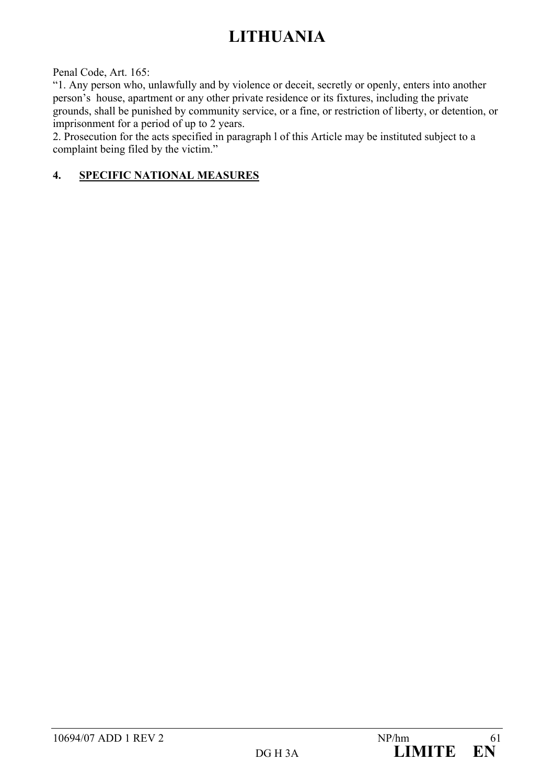Penal Code, Art. 165:

"1. Any person who, unlawfully and by violence or deceit, secretly or openly, enters into another person's house, apartment or any other private residence or its fixtures, including the private grounds, shall be punished by community service, or a fine, or restriction of liberty, or detention, or imprisonment for a period of up to 2 years.

2. Prosecution for the acts specified in paragraph l of this Article may be instituted subject to a complaint being filed by the victim."

## **4. SPECIFIC NATIONAL MEASURES**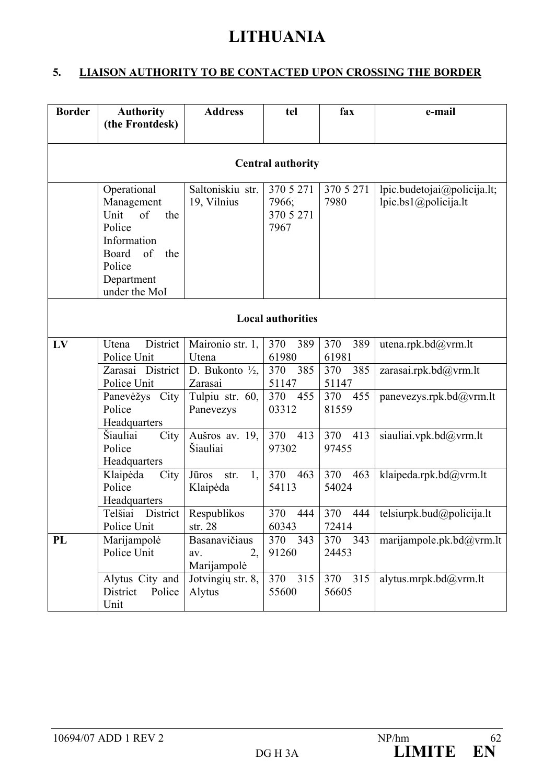## **5. LIAISON AUTHORITY TO BE CONTACTED UPON CROSSING THE BORDER**

| <b>Border</b> | <b>Authority</b><br>(the Frontdesk)                                                                                                    | <b>Address</b>                            | tel                                     | fax                 | e-mail                                                        |  |  |  |
|---------------|----------------------------------------------------------------------------------------------------------------------------------------|-------------------------------------------|-----------------------------------------|---------------------|---------------------------------------------------------------|--|--|--|
|               |                                                                                                                                        |                                           |                                         |                     |                                                               |  |  |  |
|               |                                                                                                                                        |                                           | <b>Central authority</b>                |                     |                                                               |  |  |  |
|               | Operational<br>Management<br>of<br>Unit<br>the<br>Police<br>Information<br>Board<br>of<br>the<br>Police<br>Department<br>under the MoI | Saltoniskiu str.<br>19, Vilnius           | 370 5 271<br>7966;<br>370 5 271<br>7967 | 370 5 271<br>7980   | lpic.budetojai@policija.lt;<br>lpic.bs $1$ ( $a$ )policija.lt |  |  |  |
|               | <b>Local authorities</b>                                                                                                               |                                           |                                         |                     |                                                               |  |  |  |
| LV            | District<br>Utena<br>Police Unit                                                                                                       | Maironio str. 1,<br>Utena                 | 370<br>389<br>61980                     | 370<br>389<br>61981 | utena.rpk.bd@vrm.lt                                           |  |  |  |
|               | Zarasai District<br>Police Unit                                                                                                        | D. Bukonto $\frac{1}{2}$ ,<br>Zarasai     | 385<br>370<br>51147                     | 385<br>370<br>51147 | zarasai.rpk.bd@vrm.lt                                         |  |  |  |
|               | Panevėžys City<br>Police<br>Headquarters                                                                                               | Tulpiu str. 60,<br>Panevezys              | 370<br>455<br>03312                     | 455<br>370<br>81559 | panevezys.rpk.bd@vrm.lt                                       |  |  |  |
|               | Šiauliai<br>City<br>Police<br>Headquarters                                                                                             | Aušros av. 19,<br>Šiauliai                | 370<br>413<br>97302                     | 370<br>413<br>97455 | siauliai.vpk.bd@vrm.lt                                        |  |  |  |
|               | Klaipėda<br>City<br>Police<br>Headquarters                                                                                             | 1,<br>Jūros<br>str.<br>Klaipėda           | 370<br>463<br>54113                     | 370<br>463<br>54024 | klaipeda.rpk.bd@vrm.lt                                        |  |  |  |
|               | District<br>Telšiai<br>Police Unit                                                                                                     | Respublikos<br>str. 28                    | 370<br>444<br>60343                     | 370<br>444<br>72414 | telsiurpk.bud@policija.lt                                     |  |  |  |
| PL            | Marijampolė<br>Police Unit                                                                                                             | Basanavičiaus<br>2,<br>av.<br>Marijampolė | 370<br>343<br>91260                     | 370<br>343<br>24453 | marijampole.pk.bd $@$ yrm.lt                                  |  |  |  |
|               | Alytus City and<br>District<br>Police<br>Unit                                                                                          | Jotvingių str. 8,<br>Alytus               | 315<br>370<br>55600                     | 315<br>370<br>56605 | alytus.mrpk.bd@yrm.lt                                         |  |  |  |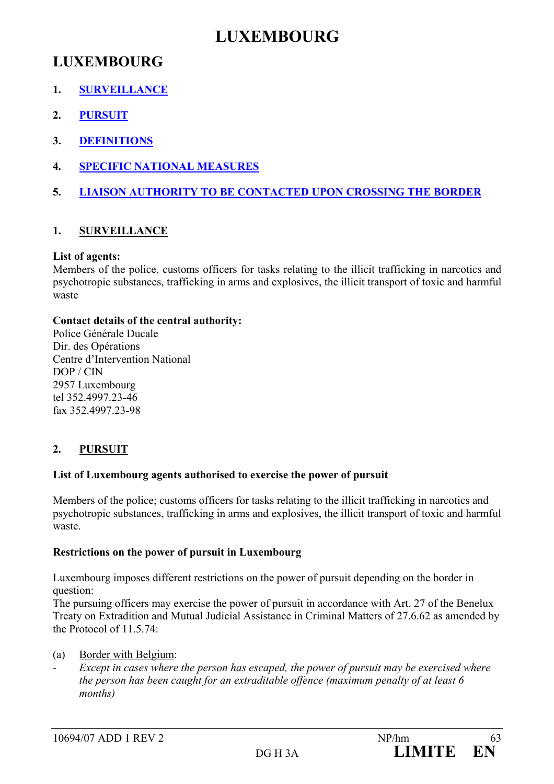## **LUXEMBOURG**

## **LUXEMBOURG**

- **1. SURVEILLANCE**
- **2. PURSUIT**
- **3. DEFINITIONS**
- **4. SPECIFIC NATIONAL MEASURES**
- **5. LIAISON AUTHORITY TO BE CONTACTED UPON CROSSING THE BORDER**

## **1. SURVEILLANCE**

## **List of agents:**

Members of the police, customs officers for tasks relating to the illicit trafficking in narcotics and psychotropic substances, trafficking in arms and explosives, the illicit transport of toxic and harmful waste

## **Contact details of the central authority:**

Police Générale Ducale Dir. des Opérations Centre d'Intervention National DOP / CIN 2957 Luxembourg tel 352.4997.23-46 fax 352.4997.23-98

## **2. PURSUIT**

## **List of Luxembourg agents authorised to exercise the power of pursuit**

Members of the police; customs officers for tasks relating to the illicit trafficking in narcotics and psychotropic substances, trafficking in arms and explosives, the illicit transport of toxic and harmful waste.

## **Restrictions on the power of pursuit in Luxembourg**

Luxembourg imposes different restrictions on the power of pursuit depending on the border in question:

The pursuing officers may exercise the power of pursuit in accordance with Art. 27 of the Benelux Treaty on Extradition and Mutual Judicial Assistance in Criminal Matters of 27.6.62 as amended by the Protocol of 11.5.74 $\cdot$ 

(a) Border with Belgium:

*- Except in cases where the person has escaped, the power of pursuit may be exercised where the person has been caught for an extraditable offence (maximum penalty of at least 6 months)*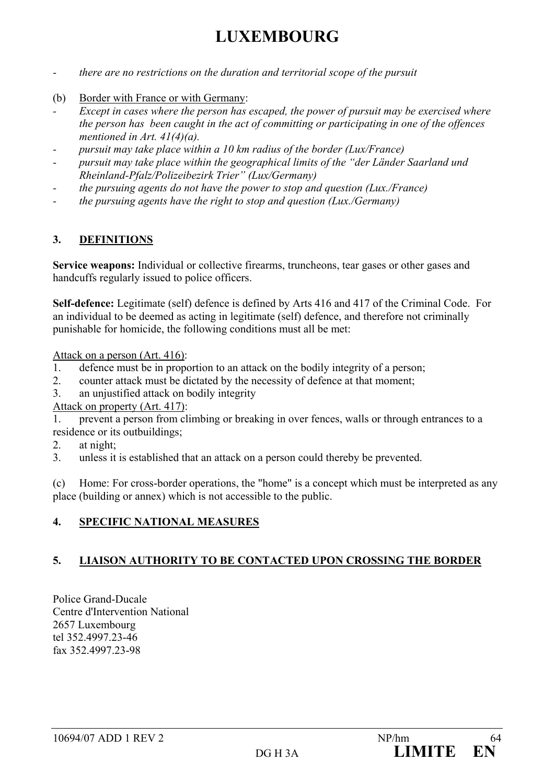## **LUXEMBOURG**

- *there are no restrictions on the duration and territorial scope of the pursuit*
- (b) Border with France or with Germany:
- *Except in cases where the person has escaped, the power of pursuit may be exercised where the person has been caught in the act of committing or participating in one of the offences mentioned in Art. 41(4)(a).*
- *pursuit may take place within a 10 km radius of the border (Lux/France)*
- *pursuit may take place within the geographical limits of the "der Länder Saarland und Rheinland-Pfalz/Polizeibezirk Trier" (Lux/Germany)*
- *the pursuing agents do not have the power to stop and question (Lux./France)*
- *the pursuing agents have the right to stop and question (Lux./Germany)*

## **3. DEFINITIONS**

**Service weapons:** Individual or collective firearms, truncheons, tear gases or other gases and handcuffs regularly issued to police officers.

**Self-defence:** Legitimate (self) defence is defined by Arts 416 and 417 of the Criminal Code. For an individual to be deemed as acting in legitimate (self) defence, and therefore not criminally punishable for homicide, the following conditions must all be met:

Attack on a person (Art. 416):

- 1. defence must be in proportion to an attack on the bodily integrity of a person;
- 2. counter attack must be dictated by the necessity of defence at that moment;
- 3. an unjustified attack on bodily integrity
- Attack on property (Art. 417):

1. prevent a person from climbing or breaking in over fences, walls or through entrances to a residence or its outbuildings;

- 2 at night:
- 3. unless it is established that an attack on a person could thereby be prevented.

(c) Home: For cross-border operations, the "home" is a concept which must be interpreted as any place (building or annex) which is not accessible to the public.

## **4. SPECIFIC NATIONAL MEASURES**

## **5. LIAISON AUTHORITY TO BE CONTACTED UPON CROSSING THE BORDER**

Police Grand-Ducale Centre d'Intervention National 2657 Luxembourg tel 352.4997.23-46 fax 352.4997.23-98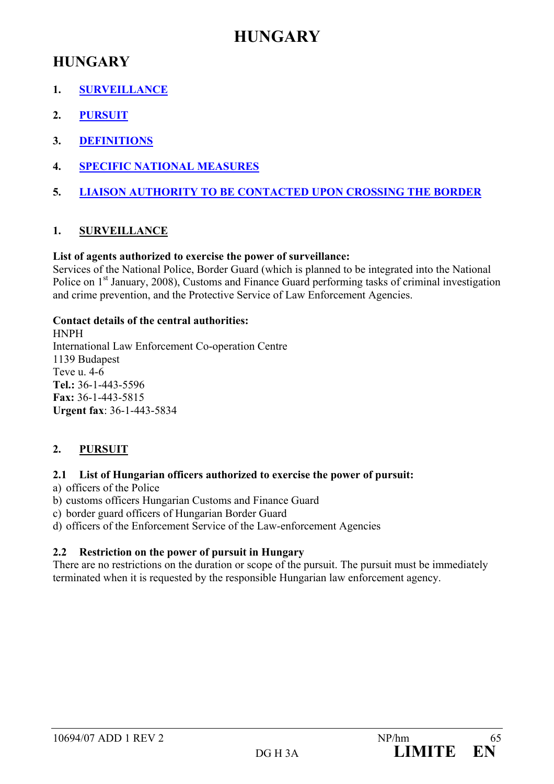## **HUNGARY**

## **HUNGARY**

- **1. SURVEILLANCE**
- **2. PURSUIT**
- **3. DEFINITIONS**
- **4. SPECIFIC NATIONAL MEASURES**
- **5. LIAISON AUTHORITY TO BE CONTACTED UPON CROSSING THE BORDER**

## **1. SURVEILLANCE**

## **List of agents authorized to exercise the power of surveillance:**

Services of the National Police, Border Guard (which is planned to be integrated into the National Police on 1<sup>st</sup> January, 2008), Customs and Finance Guard performing tasks of criminal investigation and crime prevention, and the Protective Service of Law Enforcement Agencies.

## **Contact details of the central authorities:**

HNPH International Law Enforcement Co-operation Centre 1139 Budapest Teve u. 4-6 **Tel.:** 36-1-443-5596 **Fax:** 36-1-443-5815 **Urgent fax**: 36-1-443-5834

## **2. PURSUIT**

## **2.1 List of Hungarian officers authorized to exercise the power of pursuit:**

a) officers of the Police

- b) customs officers Hungarian Customs and Finance Guard
- c) border guard officers of Hungarian Border Guard
- d) officers of the Enforcement Service of the Law-enforcement Agencies

## **2.2 Restriction on the power of pursuit in Hungary**

There are no restrictions on the duration or scope of the pursuit. The pursuit must be immediately terminated when it is requested by the responsible Hungarian law enforcement agency.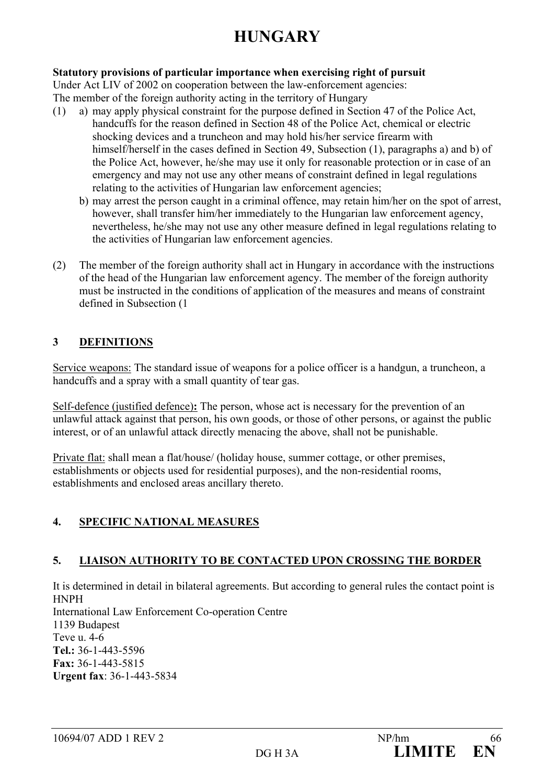# **HUNGARY**

## **Statutory provisions of particular importance when exercising right of pursuit**

Under Act LIV of 2002 on cooperation between the law-enforcement agencies:

The member of the foreign authority acting in the territory of Hungary

- (1) a) may apply physical constraint for the purpose defined in Section 47 of the Police Act, handcuffs for the reason defined in Section 48 of the Police Act, chemical or electric shocking devices and a truncheon and may hold his/her service firearm with himself/herself in the cases defined in Section 49, Subsection (1), paragraphs a) and b) of the Police Act, however, he/she may use it only for reasonable protection or in case of an emergency and may not use any other means of constraint defined in legal regulations relating to the activities of Hungarian law enforcement agencies;
	- b) may arrest the person caught in a criminal offence, may retain him/her on the spot of arrest, however, shall transfer him/her immediately to the Hungarian law enforcement agency, nevertheless, he/she may not use any other measure defined in legal regulations relating to the activities of Hungarian law enforcement agencies.
- (2) The member of the foreign authority shall act in Hungary in accordance with the instructions of the head of the Hungarian law enforcement agency. The member of the foreign authority must be instructed in the conditions of application of the measures and means of constraint defined in Subsection (1

## **3 DEFINITIONS**

Service weapons: The standard issue of weapons for a police officer is a handgun, a truncheon, a handcuffs and a spray with a small quantity of tear gas.

Self-defence (justified defence)**:** The person, whose act is necessary for the prevention of an unlawful attack against that person, his own goods, or those of other persons, or against the public interest, or of an unlawful attack directly menacing the above, shall not be punishable.

Private flat: shall mean a flat/house/ (holiday house, summer cottage, or other premises, establishments or objects used for residential purposes), and the non-residential rooms, establishments and enclosed areas ancillary thereto.

## **4. SPECIFIC NATIONAL MEASURES**

## **5. LIAISON AUTHORITY TO BE CONTACTED UPON CROSSING THE BORDER**

It is determined in detail in bilateral agreements. But according to general rules the contact point is HNPH International Law Enforcement Co-operation Centre 1139 Budapest Teve u. 4-6 **Tel.:** 36-1-443-5596 **Fax:** 36-1-443-5815 **Urgent fax**: 36-1-443-5834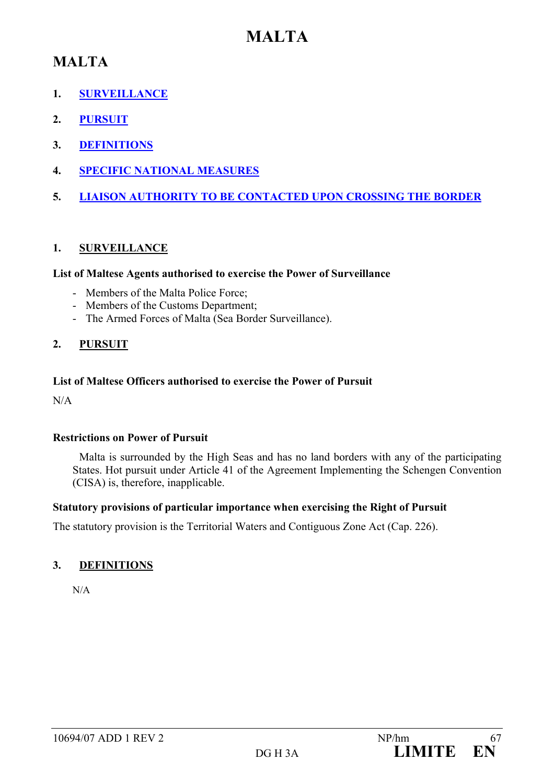## **MALTA**

## **MALTA**

- **1. SURVEILLANCE**
- **2. PURSUIT**
- **3. DEFINITIONS**
- **4. SPECIFIC NATIONAL MEASURES**
- **5. LIAISON AUTHORITY TO BE CONTACTED UPON CROSSING THE BORDER**

## **1. SURVEILLANCE**

#### **List of Maltese Agents authorised to exercise the Power of Surveillance**

- Members of the Malta Police Force;
- Members of the Customs Department;
- The Armed Forces of Malta (Sea Border Surveillance).

## **2. PURSUIT**

#### **List of Maltese Officers authorised to exercise the Power of Pursuit**

N/A

## **Restrictions on Power of Pursuit**

 Malta is surrounded by the High Seas and has no land borders with any of the participating States. Hot pursuit under Article 41 of the Agreement Implementing the Schengen Convention (CISA) is, therefore, inapplicable.

## **Statutory provisions of particular importance when exercising the Right of Pursuit**

The statutory provision is the Territorial Waters and Contiguous Zone Act (Cap. 226).

## **3. DEFINITIONS**

N/A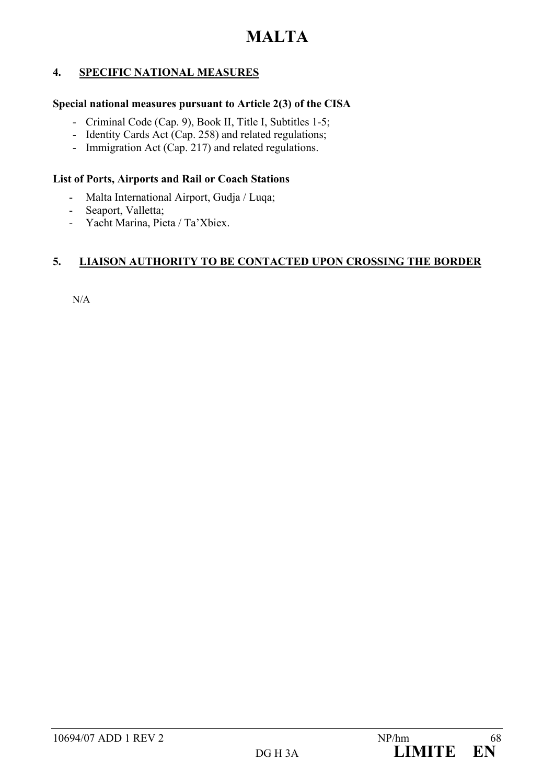## **4. SPECIFIC NATIONAL MEASURES**

#### **Special national measures pursuant to Article 2(3) of the CISA**

- Criminal Code (Cap. 9), Book II, Title I, Subtitles 1-5;
- Identity Cards Act (Cap. 258) and related regulations;
- Immigration Act (Cap. 217) and related regulations.

#### **List of Ports, Airports and Rail or Coach Stations**

- Malta International Airport, Gudja / Luqa;
- Seaport, Valletta;
- Yacht Marina, Pieta / Ta'Xbiex.

## **5. LIAISON AUTHORITY TO BE CONTACTED UPON CROSSING THE BORDER**

N/A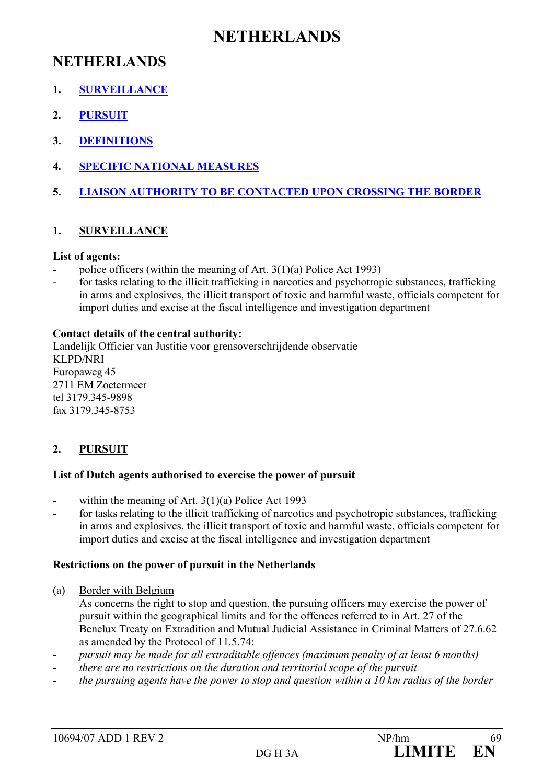## **NETHERLANDS**

## **NETHERLANDS**

- **1. SURVEILLANCE**
- **2. PURSUIT**
- **3. DEFINITIONS**
- **4. SPECIFIC NATIONAL MEASURES**
- **5. LIAISON AUTHORITY TO BE CONTACTED UPON CROSSING THE BORDER**

## **1. SURVEILLANCE**

#### **List of agents:**

- police officers (within the meaning of Art.  $3(1)(a)$  Police Act 1993)
- for tasks relating to the illicit trafficking in narcotics and psychotropic substances, trafficking in arms and explosives, the illicit transport of toxic and harmful waste, officials competent for import duties and excise at the fiscal intelligence and investigation department

#### **Contact details of the central authority:**

Landelijk Officier van Justitie voor grensoverschrijdende observatie KLPD/NRI Europaweg 45 2711 EM Zoetermeer tel 3179.345-9898 fax 3179.345-8753

## **2. PURSUIT**

#### **List of Dutch agents authorised to exercise the power of pursuit**

- within the meaning of Art.  $3(1)(a)$  Police Act 1993
- for tasks relating to the illicit trafficking of narcotics and psychotropic substances, trafficking in arms and explosives, the illicit transport of toxic and harmful waste, officials competent for import duties and excise at the fiscal intelligence and investigation department

#### **Restrictions on the power of pursuit in the Netherlands**

(a) Border with Belgium

As concerns the right to stop and question, the pursuing officers may exercise the power of pursuit within the geographical limits and for the offences referred to in Art. 27 of the Benelux Treaty on Extradition and Mutual Judicial Assistance in Criminal Matters of 27.6.62 as amended by the Protocol of 11.5.74:

- *pursuit may be made for all extraditable offences (maximum penalty of at least 6 months)*
- *there are no restrictions on the duration and territorial scope of the pursuit*
- *the pursuing agents have the power to stop and question within a 10 km radius of the border*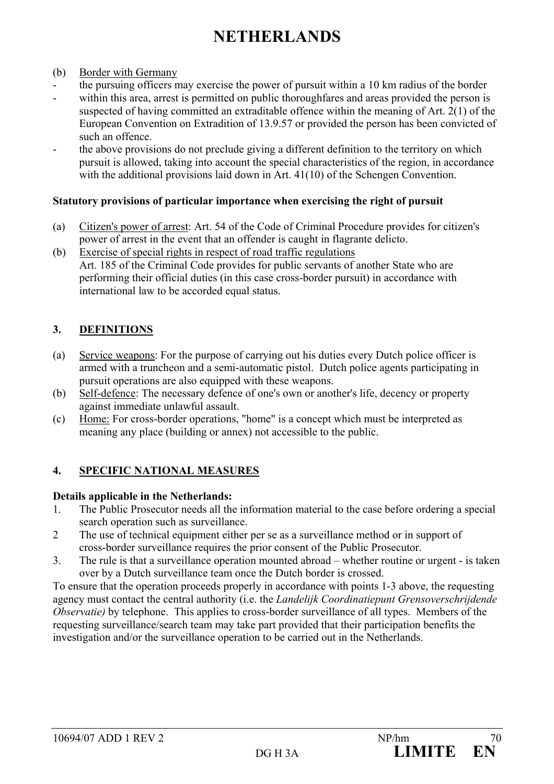# **NETHERLANDS**

- (b) Border with Germany
- the pursuing officers may exercise the power of pursuit within a 10 km radius of the border
- within this area, arrest is permitted on public thoroughfares and areas provided the person is suspected of having committed an extraditable offence within the meaning of Art. 2(1) of the European Convention on Extradition of 13.9.57 or provided the person has been convicted of such an offence.
- the above provisions do not preclude giving a different definition to the territory on which pursuit is allowed, taking into account the special characteristics of the region, in accordance with the additional provisions laid down in Art. 41(10) of the Schengen Convention.

#### **Statutory provisions of particular importance when exercising the right of pursuit**

- (a) Citizen's power of arrest: Art. 54 of the Code of Criminal Procedure provides for citizen's power of arrest in the event that an offender is caught in flagrante delicto.
- (b) Exercise of special rights in respect of road traffic regulations Art. 185 of the Criminal Code provides for public servants of another State who are performing their official duties (in this case cross-border pursuit) in accordance with international law to be accorded equal status.

## **3. DEFINITIONS**

- (a) Service weapons: For the purpose of carrying out his duties every Dutch police officer is armed with a truncheon and a semi-automatic pistol. Dutch police agents participating in pursuit operations are also equipped with these weapons.
- (b) Self-defence: The necessary defence of one's own or another's life, decency or property against immediate unlawful assault.
- (c) Home: For cross-border operations, "home" is a concept which must be interpreted as meaning any place (building or annex) not accessible to the public.

## **4. SPECIFIC NATIONAL MEASURES**

## **Details applicable in the Netherlands:**

- 1. The Public Prosecutor needs all the information material to the case before ordering a special search operation such as surveillance.
- 2 The use of technical equipment either per se as a surveillance method or in support of cross-border surveillance requires the prior consent of the Public Prosecutor.
- 3. The rule is that a surveillance operation mounted abroad whether routine or urgent is taken over by a Dutch surveillance team once the Dutch border is crossed.

To ensure that the operation proceeds properly in accordance with points 1-3 above, the requesting agency must contact the central authority (i.e. the *Landelijk Coordinatiepunt Grensoverschrijdende Observatie*) by telephone. This applies to cross-border surveillance of all types. Members of the requesting surveillance/search team may take part provided that their participation benefits the investigation and/or the surveillance operation to be carried out in the Netherlands.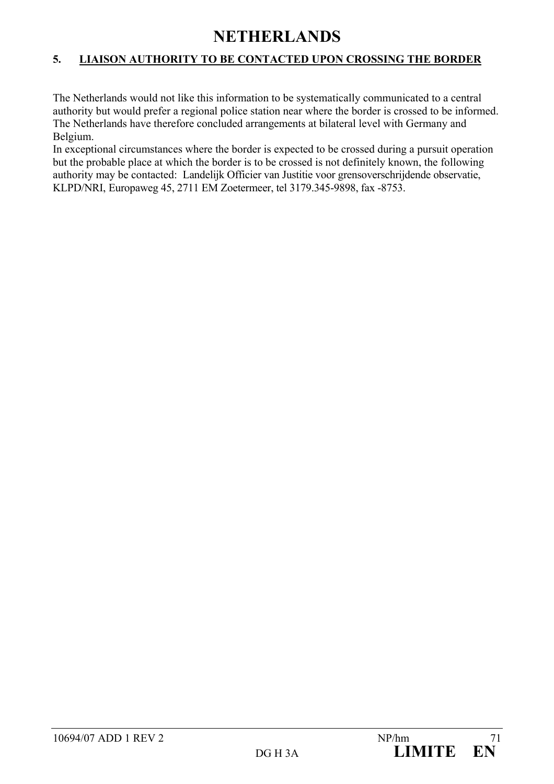## **NETHERLANDS**

## **5. LIAISON AUTHORITY TO BE CONTACTED UPON CROSSING THE BORDER**

The Netherlands would not like this information to be systematically communicated to a central authority but would prefer a regional police station near where the border is crossed to be informed. The Netherlands have therefore concluded arrangements at bilateral level with Germany and Belgium.

In exceptional circumstances where the border is expected to be crossed during a pursuit operation but the probable place at which the border is to be crossed is not definitely known, the following authority may be contacted: Landelijk Officier van Justitie voor grensoverschrijdende observatie, KLPD/NRI, Europaweg 45, 2711 EM Zoetermeer, tel 3179.345-9898, fax -8753.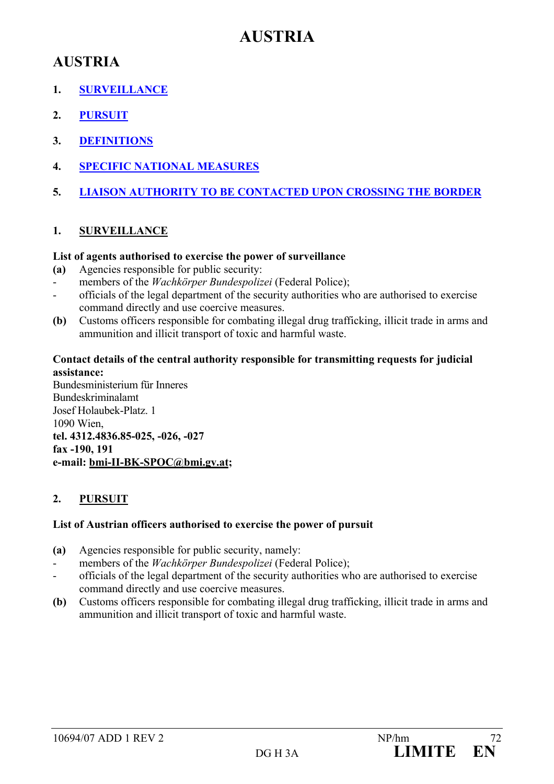## **AUSTRIA**

## **AUSTRIA**

- **1. SURVEILLANCE**
- **2. PURSUIT**
- **3. DEFINITIONS**
- **4. SPECIFIC NATIONAL MEASURES**
- **5. LIAISON AUTHORITY TO BE CONTACTED UPON CROSSING THE BORDER**

## **1. SURVEILLANCE**

#### **List of agents authorised to exercise the power of surveillance**

- **(a)** Agencies responsible for public security:
- members of the *Wachkörper Bundespolizei* (Federal Police);
- officials of the legal department of the security authorities who are authorised to exercise command directly and use coercive measures.
- **(b)** Customs officers responsible for combating illegal drug trafficking, illicit trade in arms and ammunition and illicit transport of toxic and harmful waste.

## **Contact details of the central authority responsible for transmitting requests for judicial assistance:**

Bundesministerium für Inneres Bundeskriminalamt Josef Holaubek-Platz. 1 1090 Wien, **tel. 4312.4836.85-025, -026, -027 fax -190, 191 e-mail: bmi-II-BK-SPOC@bmi.gv.at;** 

## **2. PURSUIT**

## **List of Austrian officers authorised to exercise the power of pursuit**

- **(a)** Agencies responsible for public security, namely:
- members of the *Wachkörper Bundespolizei* (Federal Police);
- officials of the legal department of the security authorities who are authorised to exercise command directly and use coercive measures.
- **(b)** Customs officers responsible for combating illegal drug trafficking, illicit trade in arms and ammunition and illicit transport of toxic and harmful waste.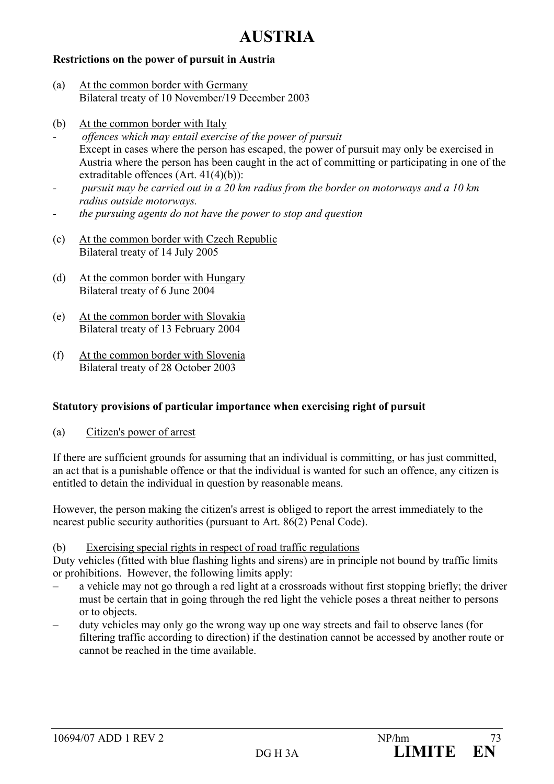## **AUSTRIA**

#### **Restrictions on the power of pursuit in Austria**

- (a) At the common border with Germany Bilateral treaty of 10 November/19 December 2003
- (b) At the common border with Italy
- *offences which may entail exercise of the power of pursuit*  Except in cases where the person has escaped, the power of pursuit may only be exercised in Austria where the person has been caught in the act of committing or participating in one of the extraditable offences (Art. 41(4)(b)):
- *pursuit may be carried out in a 20 km radius from the border on motorways and a 10 km radius outside motorways.*
- *the pursuing agents do not have the power to stop and question*
- (c) At the common border with Czech Republic Bilateral treaty of 14 July 2005
- (d) At the common border with Hungary Bilateral treaty of 6 June 2004
- (e) At the common border with Slovakia Bilateral treaty of 13 February 2004
- (f) At the common border with Slovenia Bilateral treaty of 28 October 2003

#### **Statutory provisions of particular importance when exercising right of pursuit**

(a) Citizen's power of arrest

If there are sufficient grounds for assuming that an individual is committing, or has just committed, an act that is a punishable offence or that the individual is wanted for such an offence, any citizen is entitled to detain the individual in question by reasonable means.

However, the person making the citizen's arrest is obliged to report the arrest immediately to the nearest public security authorities (pursuant to Art. 86(2) Penal Code).

#### (b) Exercising special rights in respect of road traffic regulations

Duty vehicles (fitted with blue flashing lights and sirens) are in principle not bound by traffic limits or prohibitions. However, the following limits apply:

- a vehicle may not go through a red light at a crossroads without first stopping briefly; the driver must be certain that in going through the red light the vehicle poses a threat neither to persons or to objects.
- duty vehicles may only go the wrong way up one way streets and fail to observe lanes (for filtering traffic according to direction) if the destination cannot be accessed by another route or cannot be reached in the time available.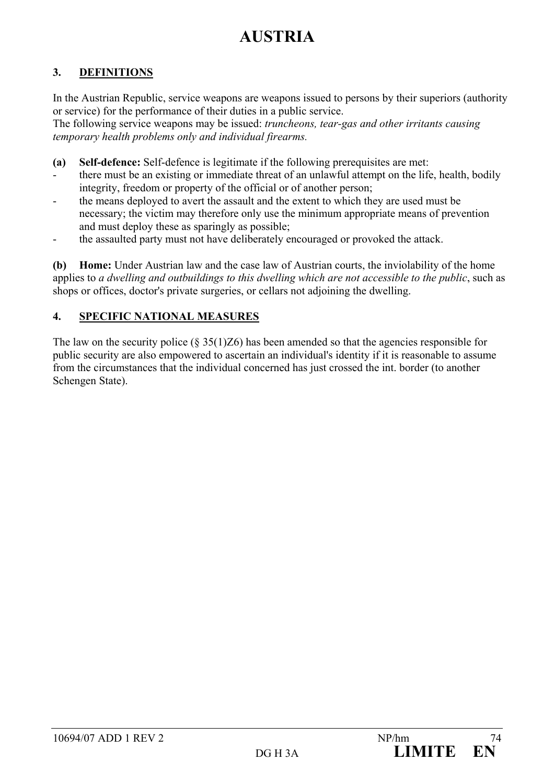# **AUSTRIA**

## **3. DEFINITIONS**

In the Austrian Republic, service weapons are weapons issued to persons by their superiors (authority or service) for the performance of their duties in a public service. The following service weapons may be issued: *truncheons, tear-gas and other irritants causing* 

*temporary health problems only and individual firearms.* 

- **(a) Self-defence:** Self-defence is legitimate if the following prerequisites are met:
- there must be an existing or immediate threat of an unlawful attempt on the life, health, bodily integrity, freedom or property of the official or of another person;
- the means deployed to avert the assault and the extent to which they are used must be necessary; the victim may therefore only use the minimum appropriate means of prevention and must deploy these as sparingly as possible;
- the assaulted party must not have deliberately encouraged or provoked the attack.

**(b) Home:** Under Austrian law and the case law of Austrian courts, the inviolability of the home applies to *a dwelling and outbuildings to this dwelling which are not accessible to the public*, such as shops or offices, doctor's private surgeries, or cellars not adjoining the dwelling.

## **4. SPECIFIC NATIONAL MEASURES**

The law on the security police ( $\S 35(1)Z6$ ) has been amended so that the agencies responsible for public security are also empowered to ascertain an individual's identity if it is reasonable to assume from the circumstances that the individual concerned has just crossed the int. border (to another Schengen State).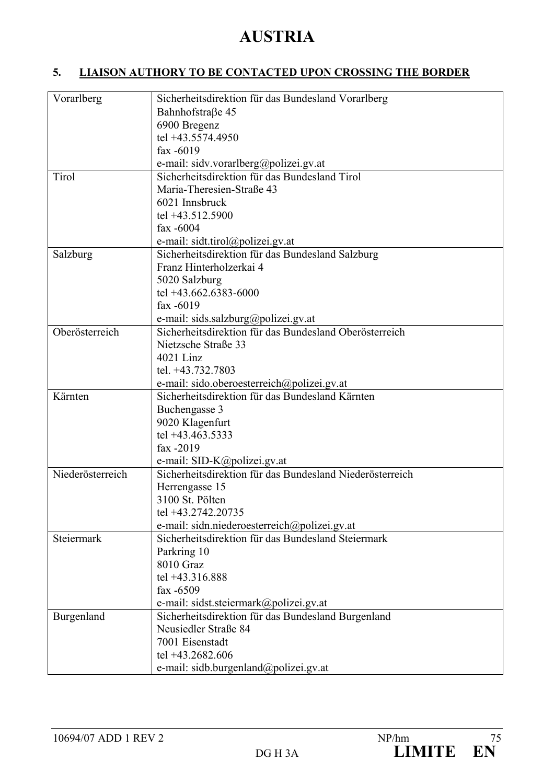## **AUSTRIA**

## **5. LIAISON AUTHORY TO BE CONTACTED UPON CROSSING THE BORDER**

| Vorarlberg       | Sicherheitsdirektion für das Bundesland Vorarlberg       |
|------------------|----------------------------------------------------------|
|                  | Bahnhofstraße 45                                         |
|                  | 6900 Bregenz                                             |
|                  | tel +43.5574.4950                                        |
|                  | fax -6019                                                |
|                  | e-mail: sidv.vorarlberg@polizei.gv.at                    |
| Tirol            | Sicherheitsdirektion für das Bundesland Tirol            |
|                  | Maria-Theresien-Straße 43                                |
|                  | 6021 Innsbruck                                           |
|                  | tel +43.512.5900                                         |
|                  |                                                          |
|                  | fax $-6004$                                              |
|                  | e-mail: sidt.tirol@polizei.gv.at                         |
| Salzburg         | Sicherheitsdirektion für das Bundesland Salzburg         |
|                  | Franz Hinterholzerkai 4                                  |
|                  | 5020 Salzburg                                            |
|                  | tel +43.662.6383-6000                                    |
|                  | fax -6019                                                |
|                  | e-mail: sids.salzburg@polizei.gv.at                      |
| Oberösterreich   | Sicherheitsdirektion für das Bundesland Oberösterreich   |
|                  | Nietzsche Straße 33                                      |
|                  | 4021 Linz                                                |
|                  | tel. +43.732.7803                                        |
|                  | e-mail: sido.oberoesterreich@polizei.gv.at               |
| Kärnten          | Sicherheitsdirektion für das Bundesland Kärnten          |
|                  | Buchengasse 3                                            |
|                  | 9020 Klagenfurt                                          |
|                  | tel +43.463.5333                                         |
|                  | fax -2019                                                |
|                  | e-mail: SID-K@polizei.gv.at                              |
| Niederösterreich | Sicherheitsdirektion für das Bundesland Niederösterreich |
|                  | Herrengasse 15                                           |
|                  | 3100 St. Pölten                                          |
|                  | tel +43.2742.20735                                       |
|                  | e-mail: sidn.niederoesterreich@polizei.gv.at             |
| Steiermark       | Sicherheitsdirektion für das Bundesland Steiermark       |
|                  | Parkring 10                                              |
|                  | 8010 Graz                                                |
|                  | tel +43.316.888                                          |
|                  | fax $-6509$                                              |
|                  |                                                          |
|                  | e-mail: sidst.steiermark@polizei.gv.at                   |
| Burgenland       | Sicherheitsdirektion für das Bundesland Burgenland       |
|                  | Neusiedler Straße 84                                     |
|                  | 7001 Eisenstadt                                          |
|                  | tel +43.2682.606                                         |
|                  | e-mail: sidb.burgenland@polizei.gv.at                    |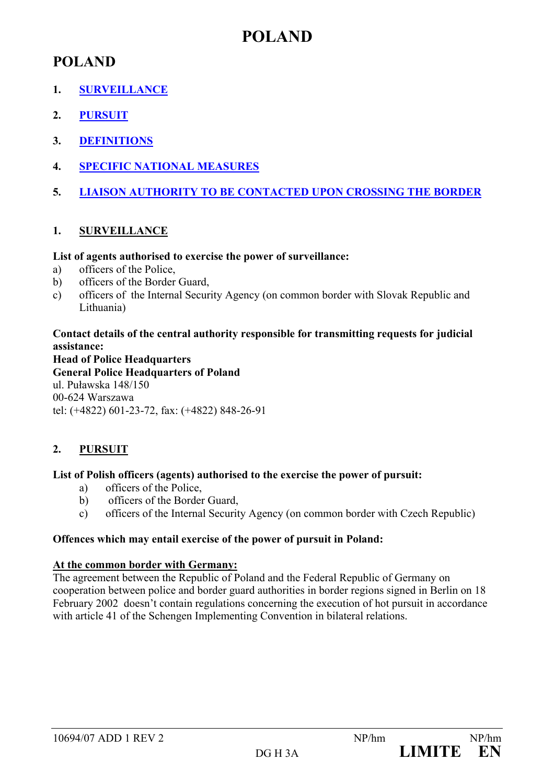## **POLAND**

- **1. SURVEILLANCE**
- **2. PURSUIT**
- **3. DEFINITIONS**
- **4. SPECIFIC NATIONAL MEASURES**
- **5. LIAISON AUTHORITY TO BE CONTACTED UPON CROSSING THE BORDER**

## **1. SURVEILLANCE**

## **List of agents authorised to exercise the power of surveillance:**

- a) officers of the Police,
- b) officers of the Border Guard,
- c) officers of the Internal Security Agency (on common border with Slovak Republic and Lithuania)

**Contact details of the central authority responsible for transmitting requests for judicial assistance:**

**Head of Police Headquarters General Police Headquarters of Poland**  ul. Puławska 148/150 00-624 Warszawa tel: (+4822) 601-23-72, fax: (+4822) 848-26-91

## **2. PURSUIT**

## **List of Polish officers (agents) authorised to the exercise the power of pursuit:**

- a) officers of the Police,
- b) officers of the Border Guard,
- c) officers of the Internal Security Agency (on common border with Czech Republic)

## **Offences which may entail exercise of the power of pursuit in Poland:**

## **At the common border with Germany:**

The agreement between the Republic of Poland and the Federal Republic of Germany on cooperation between police and border guard authorities in border regions signed in Berlin on 18 February 2002 doesn't contain regulations concerning the execution of hot pursuit in accordance with article 41 of the Schengen Implementing Convention in bilateral relations.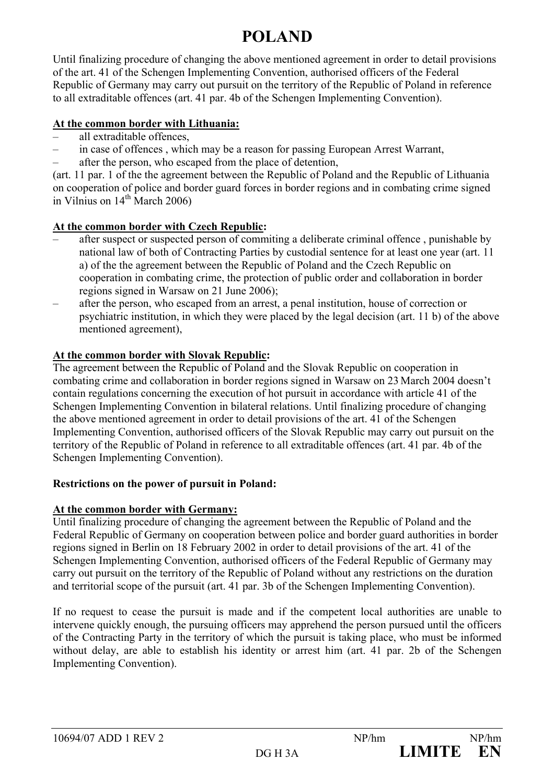Until finalizing procedure of changing the above mentioned agreement in order to detail provisions of the art. 41 of the Schengen Implementing Convention, authorised officers of the Federal Republic of Germany may carry out pursuit on the territory of the Republic of Poland in reference to all extraditable offences (art. 41 par. 4b of the Schengen Implementing Convention).

## **At the common border with Lithuania:**

- all extraditable offences,
- in case of offences , which may be a reason for passing European Arrest Warrant,
- after the person, who escaped from the place of detention,

(art. 11 par. 1 of the the agreement between the Republic of Poland and the Republic of Lithuania on cooperation of police and border guard forces in border regions and in combating crime signed in Vilnius on  $14<sup>th</sup>$  March 2006)

## **At the common border with Czech Republic:**

- after suspect or suspected person of commiting a deliberate criminal offence , punishable by national law of both of Contracting Parties by custodial sentence for at least one year (art. 11 a) of the the agreement between the Republic of Poland and the Czech Republic on cooperation in combating crime, the protection of public order and collaboration in border regions signed in Warsaw on 21 June 2006);
- after the person, who escaped from an arrest, a penal institution, house of correction or psychiatric institution, in which they were placed by the legal decision (art. 11 b) of the above mentioned agreement),

## **At the common border with Slovak Republic:**

The agreement between the Republic of Poland and the Slovak Republic on cooperation in combating crime and collaboration in border regions signed in Warsaw on 23 March 2004 doesn't contain regulations concerning the execution of hot pursuit in accordance with article 41 of the Schengen Implementing Convention in bilateral relations. Until finalizing procedure of changing the above mentioned agreement in order to detail provisions of the art. 41 of the Schengen Implementing Convention, authorised officers of the Slovak Republic may carry out pursuit on the territory of the Republic of Poland in reference to all extraditable offences (art. 41 par. 4b of the Schengen Implementing Convention).

## **Restrictions on the power of pursuit in Poland:**

## **At the common border with Germany:**

Until finalizing procedure of changing the agreement between the Republic of Poland and the Federal Republic of Germany on cooperation between police and border guard authorities in border regions signed in Berlin on 18 February 2002 in order to detail provisions of the art. 41 of the Schengen Implementing Convention, authorised officers of the Federal Republic of Germany may carry out pursuit on the territory of the Republic of Poland without any restrictions on the duration and territorial scope of the pursuit (art. 41 par. 3b of the Schengen Implementing Convention).

If no request to cease the pursuit is made and if the competent local authorities are unable to intervene quickly enough, the pursuing officers may apprehend the person pursued until the officers of the Contracting Party in the territory of which the pursuit is taking place, who must be informed without delay, are able to establish his identity or arrest him (art. 41 par. 2b of the Schengen Implementing Convention).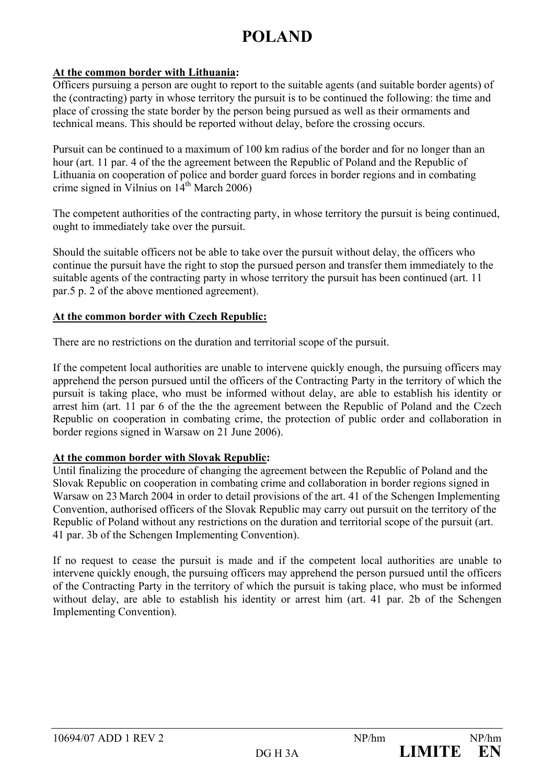#### **At the common border with Lithuania:**

Officers pursuing a person are ought to report to the suitable agents (and suitable border agents) of the (contracting) party in whose territory the pursuit is to be continued the following: the time and place of crossing the state border by the person being pursued as well as their ormaments and technical means. This should be reported without delay, before the crossing occurs.

Pursuit can be continued to a maximum of 100 km radius of the border and for no longer than an hour (art. 11 par. 4 of the the agreement between the Republic of Poland and the Republic of Lithuania on cooperation of police and border guard forces in border regions and in combating crime signed in Vilnius on  $14<sup>th</sup>$  March 2006)

The competent authorities of the contracting party, in whose territory the pursuit is being continued, ought to immediately take over the pursuit.

Should the suitable officers not be able to take over the pursuit without delay, the officers who continue the pursuit have the right to stop the pursued person and transfer them immediately to the suitable agents of the contracting party in whose territory the pursuit has been continued (art. 11 par.5 p. 2 of the above mentioned agreement).

#### **At the common border with Czech Republic:**

There are no restrictions on the duration and territorial scope of the pursuit.

If the competent local authorities are unable to intervene quickly enough, the pursuing officers may apprehend the person pursued until the officers of the Contracting Party in the territory of which the pursuit is taking place, who must be informed without delay, are able to establish his identity or arrest him (art. 11 par 6 of the the the agreement between the Republic of Poland and the Czech Republic on cooperation in combating crime, the protection of public order and collaboration in border regions signed in Warsaw on 21 June 2006).

## **At the common border with Slovak Republic:**

Until finalizing the procedure of changing the agreement between the Republic of Poland and the Slovak Republic on cooperation in combating crime and collaboration in border regions signed in Warsaw on 23 March 2004 in order to detail provisions of the art. 41 of the Schengen Implementing Convention, authorised officers of the Slovak Republic may carry out pursuit on the territory of the Republic of Poland without any restrictions on the duration and territorial scope of the pursuit (art. 41 par. 3b of the Schengen Implementing Convention).

If no request to cease the pursuit is made and if the competent local authorities are unable to intervene quickly enough, the pursuing officers may apprehend the person pursued until the officers of the Contracting Party in the territory of which the pursuit is taking place, who must be informed without delay, are able to establish his identity or arrest him (art. 41 par. 2b of the Schengen Implementing Convention).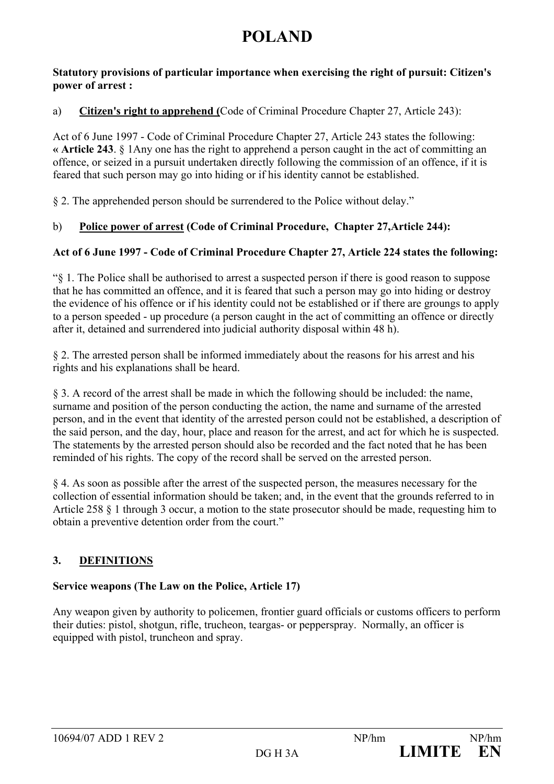#### **Statutory provisions of particular importance when exercising the right of pursuit: Citizen's power of arrest :**

## a) **Citizen's right to apprehend (**Code of Criminal Procedure Chapter 27, Article 243):

Act of 6 June 1997 - Code of Criminal Procedure Chapter 27, Article 243 states the following: **« Article 243**. § 1Any one has the right to apprehend a person caught in the act of committing an offence, or seized in a pursuit undertaken directly following the commission of an offence, if it is feared that such person may go into hiding or if his identity cannot be established.

§ 2. The apprehended person should be surrendered to the Police without delay."

## b) **Police power of arrest (Code of Criminal Procedure, Chapter 27,Article 244):**

## **Act of 6 June 1997 - Code of Criminal Procedure Chapter 27, Article 224 states the following:**

"§ 1. The Police shall be authorised to arrest a suspected person if there is good reason to suppose that he has committed an offence, and it is feared that such a person may go into hiding or destroy the evidence of his offence or if his identity could not be established or if there are groungs to apply to a person speeded - up procedure (a person caught in the act of committing an offence or directly after it, detained and surrendered into judicial authority disposal within 48 h).

§ 2. The arrested person shall be informed immediately about the reasons for his arrest and his rights and his explanations shall be heard.

§ 3. A record of the arrest shall be made in which the following should be included: the name, surname and position of the person conducting the action, the name and surname of the arrested person, and in the event that identity of the arrested person could not be established, a description of the said person, and the day, hour, place and reason for the arrest, and act for which he is suspected. The statements by the arrested person should also be recorded and the fact noted that he has been reminded of his rights. The copy of the record shall be served on the arrested person.

§ 4. As soon as possible after the arrest of the suspected person, the measures necessary for the collection of essential information should be taken; and, in the event that the grounds referred to in Article 258 § 1 through 3 occur, a motion to the state prosecutor should be made, requesting him to obtain a preventive detention order from the court."

## **3. DEFINITIONS**

## **Service weapons (The Law on the Police, Article 17)**

Any weapon given by authority to policemen, frontier guard officials or customs officers to perform their duties: pistol, shotgun, rifle, trucheon, teargas- or pepperspray. Normally, an officer is equipped with pistol, truncheon and spray.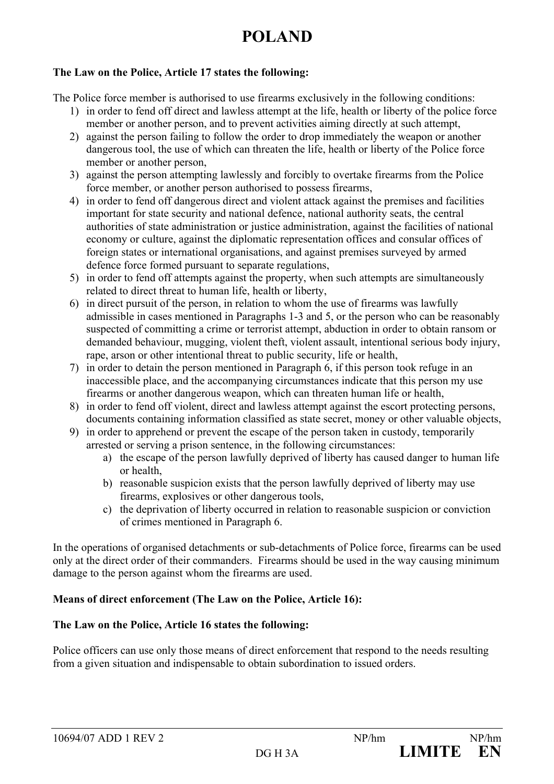#### **The Law on the Police, Article 17 states the following:**

The Police force member is authorised to use firearms exclusively in the following conditions:

- 1) in order to fend off direct and lawless attempt at the life, health or liberty of the police force member or another person, and to prevent activities aiming directly at such attempt,
- 2) against the person failing to follow the order to drop immediately the weapon or another dangerous tool, the use of which can threaten the life, health or liberty of the Police force member or another person,
- 3) against the person attempting lawlessly and forcibly to overtake firearms from the Police force member, or another person authorised to possess firearms,
- 4) in order to fend off dangerous direct and violent attack against the premises and facilities important for state security and national defence, national authority seats, the central authorities of state administration or justice administration, against the facilities of national economy or culture, against the diplomatic representation offices and consular offices of foreign states or international organisations, and against premises surveyed by armed defence force formed pursuant to separate regulations,
- 5) in order to fend off attempts against the property, when such attempts are simultaneously related to direct threat to human life, health or liberty,
- 6) in direct pursuit of the person, in relation to whom the use of firearms was lawfully admissible in cases mentioned in Paragraphs 1-3 and 5, or the person who can be reasonably suspected of committing a crime or terrorist attempt, abduction in order to obtain ransom or demanded behaviour, mugging, violent theft, violent assault, intentional serious body injury, rape, arson or other intentional threat to public security, life or health,
- 7) in order to detain the person mentioned in Paragraph 6, if this person took refuge in an inaccessible place, and the accompanying circumstances indicate that this person my use firearms or another dangerous weapon, which can threaten human life or health,
- 8) in order to fend off violent, direct and lawless attempt against the escort protecting persons, documents containing information classified as state secret, money or other valuable objects,
- 9) in order to apprehend or prevent the escape of the person taken in custody, temporarily arrested or serving a prison sentence, in the following circumstances:
	- a) the escape of the person lawfully deprived of liberty has caused danger to human life or health,
	- b) reasonable suspicion exists that the person lawfully deprived of liberty may use firearms, explosives or other dangerous tools,
	- c) the deprivation of liberty occurred in relation to reasonable suspicion or conviction of crimes mentioned in Paragraph 6.

In the operations of organised detachments or sub-detachments of Police force, firearms can be used only at the direct order of their commanders. Firearms should be used in the way causing minimum damage to the person against whom the firearms are used.

## **Means of direct enforcement (The Law on the Police, Article 16):**

## **The Law on the Police, Article 16 states the following:**

Police officers can use only those means of direct enforcement that respond to the needs resulting from a given situation and indispensable to obtain subordination to issued orders.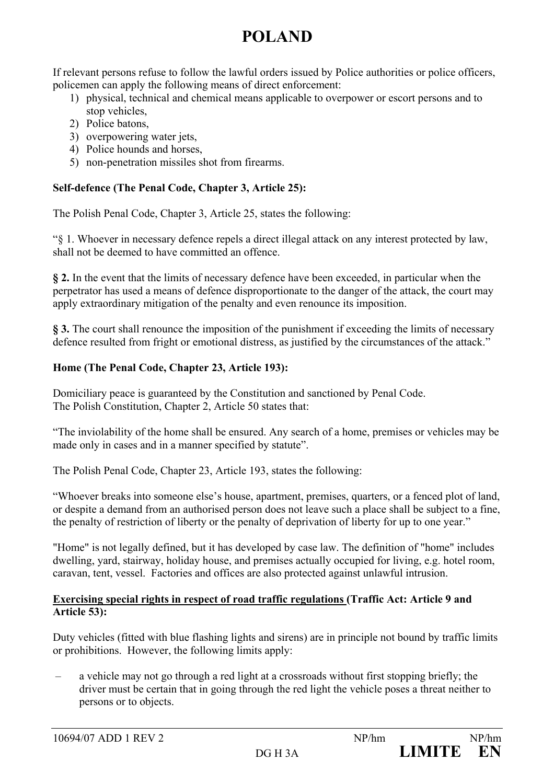If relevant persons refuse to follow the lawful orders issued by Police authorities or police officers, policemen can apply the following means of direct enforcement:

- 1) physical, technical and chemical means applicable to overpower or escort persons and to stop vehicles,
- 2) Police batons,
- 3) overpowering water jets,
- 4) Police hounds and horses,
- 5) non-penetration missiles shot from firearms.

## **Self-defence (The Penal Code, Chapter 3, Article 25):**

The Polish Penal Code, Chapter 3, Article 25, states the following:

"§ 1. Whoever in necessary defence repels a direct illegal attack on any interest protected by law, shall not be deemed to have committed an offence.

**§ 2.** In the event that the limits of necessary defence have been exceeded, in particular when the perpetrator has used a means of defence disproportionate to the danger of the attack, the court may apply extraordinary mitigation of the penalty and even renounce its imposition.

**§ 3.** The court shall renounce the imposition of the punishment if exceeding the limits of necessary defence resulted from fright or emotional distress, as justified by the circumstances of the attack."

## **Home (The Penal Code, Chapter 23, Article 193):**

Domiciliary peace is guaranteed by the Constitution and sanctioned by Penal Code. The Polish Constitution, Chapter 2, Article 50 states that:

"The inviolability of the home shall be ensured. Any search of a home, premises or vehicles may be made only in cases and in a manner specified by statute".

The Polish Penal Code, Chapter 23, Article 193, states the following:

"Whoever breaks into someone else's house, apartment, premises, quarters, or a fenced plot of land, or despite a demand from an authorised person does not leave such a place shall be subject to a fine, the penalty of restriction of liberty or the penalty of deprivation of liberty for up to one year."

"Home" is not legally defined, but it has developed by case law. The definition of "home" includes dwelling, yard, stairway, holiday house, and premises actually occupied for living, e.g. hotel room, caravan, tent, vessel. Factories and offices are also protected against unlawful intrusion.

#### **Exercising special rights in respect of road traffic regulations (Traffic Act: Article 9 and Article 53):**

Duty vehicles (fitted with blue flashing lights and sirens) are in principle not bound by traffic limits or prohibitions. However, the following limits apply:

– a vehicle may not go through a red light at a crossroads without first stopping briefly; the driver must be certain that in going through the red light the vehicle poses a threat neither to persons or to objects.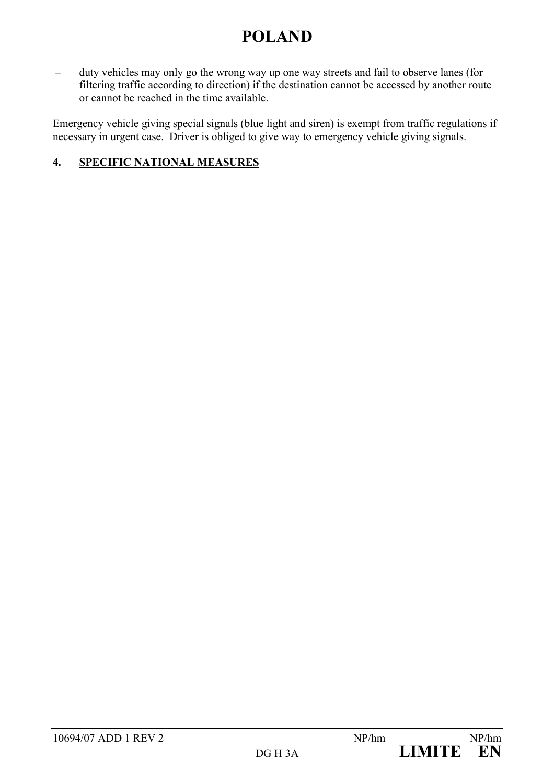– duty vehicles may only go the wrong way up one way streets and fail to observe lanes (for filtering traffic according to direction) if the destination cannot be accessed by another route or cannot be reached in the time available.

Emergency vehicle giving special signals (blue light and siren) is exempt from traffic regulations if necessary in urgent case. Driver is obliged to give way to emergency vehicle giving signals.

## **4. SPECIFIC NATIONAL MEASURES**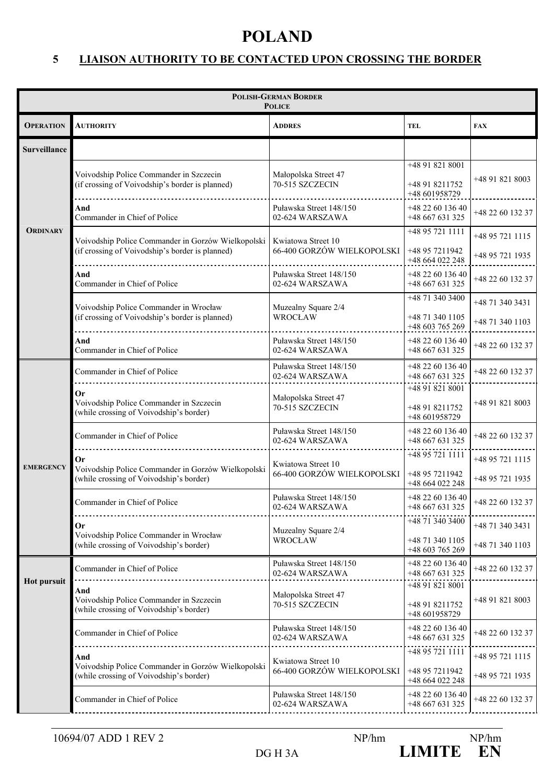## **5 LIAISON AUTHORITY TO BE CONTACTED UPON CROSSING THE BORDER**

| <b>POLISH-GERMAN BORDER</b><br><b>POLICE</b> |                                                                                                       |                                                            |                                                       |                                     |  |
|----------------------------------------------|-------------------------------------------------------------------------------------------------------|------------------------------------------------------------|-------------------------------------------------------|-------------------------------------|--|
| <b>OPERATION</b>                             | <b>AUTHORITY</b>                                                                                      | <b>ADDRES</b>                                              | <b>TEL</b>                                            | <b>FAX</b>                          |  |
| <b>Surveillance</b>                          |                                                                                                       |                                                            |                                                       |                                     |  |
|                                              | Voivodship Police Commander in Szczecin<br>(if crossing of Voivodship's border is planned)            | Małopolska Street 47<br>70-515 SZCZECIN                    | +48 91 821 8001<br>+48 91 8211752<br>+48 601958729    | +48 91 821 8003                     |  |
|                                              | And<br>Commander in Chief of Police                                                                   | Puławska Street 148/150<br>02-624 WARSZAWA                 | +48 22 60 136 40<br>+48 667 631 325                   | +48 22 60 132 37                    |  |
| <b>ORDINARY</b>                              | Voivodship Police Commander in Gorzów Wielkopolski<br>(if crossing of Voivodship's border is planned) | Kwiatowa Street 10<br>66-400 GORZÓW WIELKOPOLSKI           | +48 95 721 1111<br>+48 95 7211942<br>+48 664 022 248  | +48 95 721 1115<br>+48 95 721 1935  |  |
|                                              | And<br>Commander in Chief of Police                                                                   | Puławska Street 148/150<br>02-624 WARSZAWA                 | +48 22 60 136 40<br>+48 667 631 325                   | +48 22 60 132 37                    |  |
|                                              | Voivodship Police Commander in Wrocław<br>(if crossing of Voivodship's border is planned)             | Muzealny Square 2/4<br><b>WROCŁAW</b>                      | +48 71 340 3400<br>+48 71 340 1105                    | +48 71 340 3431                     |  |
|                                              | And                                                                                                   | Puławska Street 148/150                                    | +48 603 765 269<br>+48 22 60 136 40                   | +48 71 340 1103<br>+48 22 60 132 37 |  |
|                                              | Commander in Chief of Police<br>Commander in Chief of Police                                          | 02-624 WARSZAWA<br>Puławska Street 148/150                 | +48 667 631 325<br>+48 22 60 136 40                   | +48 22 60 132 37                    |  |
|                                              | Оr<br>Voivodship Police Commander in Szczecin<br>(while crossing of Voivodship's border)              | 02-624 WARSZAWA<br>Małopolska Street 47<br>70-515 SZCZECIN | +48 667 631 325<br>+48 91 821 8001<br>+48 91 8211752  | +48 91 821 8003                     |  |
|                                              | Commander in Chief of Police                                                                          | Puławska Street 148/150<br>02-624 WARSZAWA                 | +48 601958729<br>+48 22 60 136 40<br>+48 667 631 325  | +48 22 60 132 37                    |  |
| <b>EMERGENCY</b>                             | 0r<br>Voivodship Police Commander in Gorzów Wielkopolski<br>(while crossing of Voivodship's border)   | Kwiatowa Street 10<br>66-400 GORZÓW WIELKOPOLSKI           | +48 95 721 1111<br>+48 95 7211942<br>+48 664 022 248  | +48 95 721 1115<br>+48 95 721 1935  |  |
|                                              | Commander in Chief of Police                                                                          | Puławska Street 148/150<br>02-624 WARSZAWA                 | +48 22 60 136 40<br>+48 667 631 325                   | +48 22 60 132 37                    |  |
|                                              | Or<br>Voivodship Police Commander in Wrocław<br>(while crossing of Voivodship's border)               | Muzealny Square 2/4<br><b>WROCŁAW</b>                      | +48 71 340 3400<br>+48 71 340 1105<br>+48 603 765 269 | +48 71 340 3431<br>+48 71 340 1103  |  |
|                                              | Commander in Chief of Police                                                                          | Puławska Street 148/150<br>02-624 WARSZAWA                 | +48 22 60 136 40<br>+48 667 631 325                   | +48 22 60 132 37                    |  |
| <b>Hot pursuit</b>                           | And<br>Voivodship Police Commander in Szczecin<br>(while crossing of Voivodship's border)             | Małopolska Street 47<br>70-515 SZCZECIN                    | +48 91 821 8001<br>+48 91 8211752<br>+48 601958729    | +48 91 821 8003                     |  |
|                                              | Commander in Chief of Police                                                                          | Puławska Street 148/150<br>02-624 WARSZAWA                 | +48 22 60 136 40<br>+48 667 631 325                   | +48 22 60 132 37                    |  |
|                                              | And<br>Voivodship Police Commander in Gorzów Wielkopolski                                             | Kwiatowa Street 10<br>66-400 GORZÓW WIELKOPOLSKI           | +48 95 721 1111<br>+48 95 7211942                     | +48 95 721 1115                     |  |
|                                              | (while crossing of Voivodship's border)                                                               | Puławska Street 148/150                                    | +48 664 022 248                                       | +48 95 721 1935                     |  |
|                                              | Commander in Chief of Police                                                                          | 02-624 WARSZAWA                                            | +48 22 60 136 40<br>+48 667 631 325                   | +48 22 60 132 37                    |  |

DG H 3A **LIMITE** EN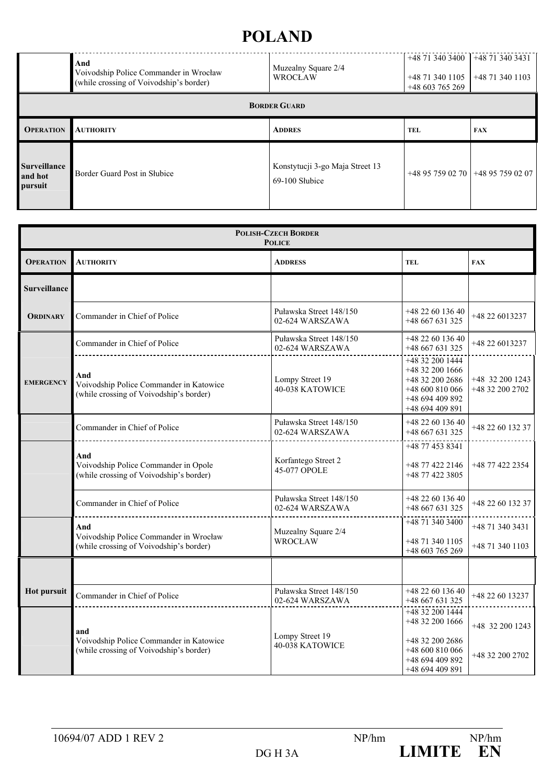|                                           | And<br>Voivodship Police Commander in Wrocław<br>(while crossing of Voivodship's border) | Muzealny Square 2/4<br><b>WROCŁAW</b>             | $+48$ 71 340 3400<br>$+48$ 71 340 1105<br>$+48603765269$ | $+48$ 71 340 3431<br>+48 71 340 1103 |
|-------------------------------------------|------------------------------------------------------------------------------------------|---------------------------------------------------|----------------------------------------------------------|--------------------------------------|
| <b>BORDER GUARD</b>                       |                                                                                          |                                                   |                                                          |                                      |
| <b>OPERATION</b>                          | <b>AUTHORITY</b>                                                                         | <b>ADDRES</b>                                     | <b>TEL</b>                                               | <b>FAX</b>                           |
| <b>Surveillance</b><br>and hot<br>pursuit | Border Guard Post in Słubice                                                             | Konstytucji 3-go Maja Street 13<br>69-100 Słubice |                                                          | +48 95 759 02 70 +48 95 759 02 07    |

| <b>POLISH-CZECH BORDER</b><br><b>POLICE</b> |                                                                                           |                                            |                                                                                                                 |                                      |
|---------------------------------------------|-------------------------------------------------------------------------------------------|--------------------------------------------|-----------------------------------------------------------------------------------------------------------------|--------------------------------------|
| <b>OPERATION</b>                            | <b>AUTHORITY</b>                                                                          | <b>ADDRESS</b>                             | <b>TEL</b>                                                                                                      | <b>FAX</b>                           |
| <b>Surveillance</b>                         |                                                                                           |                                            |                                                                                                                 |                                      |
| <b>ORDINARY</b>                             | Commander in Chief of Police                                                              | Puławska Street 148/150<br>02-624 WARSZAWA | +48 22 60 136 40<br>+48 667 631 325                                                                             | +48 22 6013237                       |
|                                             | Commander in Chief of Police                                                              | Puławska Street 148/150<br>02-624 WARSZAWA | +48 22 60 136 40<br>$+48667631325$                                                                              | +48 22 6013237                       |
| <b>EMERGENCY</b>                            | And<br>Voivodship Police Commander in Katowice<br>(while crossing of Voivodship's border) | Lompy Street 19<br>40-038 KATOWICE         | +48 32 200 1444<br>$+48$ 32 200 1666<br>+48 32 200 2686<br>$+48600810066$<br>+48 694 409 892<br>+48 694 409 891 | $+48$ 32 200 1243<br>+48 32 200 2702 |
|                                             | Commander in Chief of Police                                                              | Puławska Street 148/150<br>02-624 WARSZAWA | +48 22 60 136 40<br>+48 667 631 325                                                                             | +48 22 60 132 37                     |
|                                             | And<br>Voivodship Police Commander in Opole<br>(while crossing of Voivodship's border)    | Korfantego Street 2<br>45-077 OPOLE        | +48 77 453 8341<br>+48 77 422 2146<br>+48 77 422 3805                                                           | +48 77 422 2354                      |
|                                             | Commander in Chief of Police                                                              | Puławska Street 148/150<br>02-624 WARSZAWA | +48 22 60 136 40<br>+48 667 631 325                                                                             | +48 22 60 132 37                     |
|                                             | And<br>Voivodship Police Commander in Wrocław<br>while crossing of Voivodship's border)   | Muzealny Square 2/4<br>WROCŁAW             | +48 71 340 3400<br>+48 71 340 1105<br>+48 603 765 269                                                           | +48 71 340 3431<br>+48 71 340 1103   |
|                                             |                                                                                           |                                            |                                                                                                                 |                                      |
| <b>Hot pursuit</b>                          | Commander in Chief of Police                                                              | Puławska Street 148/150<br>02-624 WARSZAWA | +48 22 60 136 40<br>$+48667631325$                                                                              | +48 22 60 13237                      |
|                                             | and<br>Voivodship Police Commander in Katowice<br>(while crossing of Voivodship's border) | Lompy Street 19<br>40-038 KATOWICE         | +48 32 200 1444<br>+48 32 200 1666<br>+48 32 200 2686<br>$+48600810066$<br>+48 694 409 892<br>+48 694 409 891   | +48 32 200 1243<br>+48 32 200 2702   |

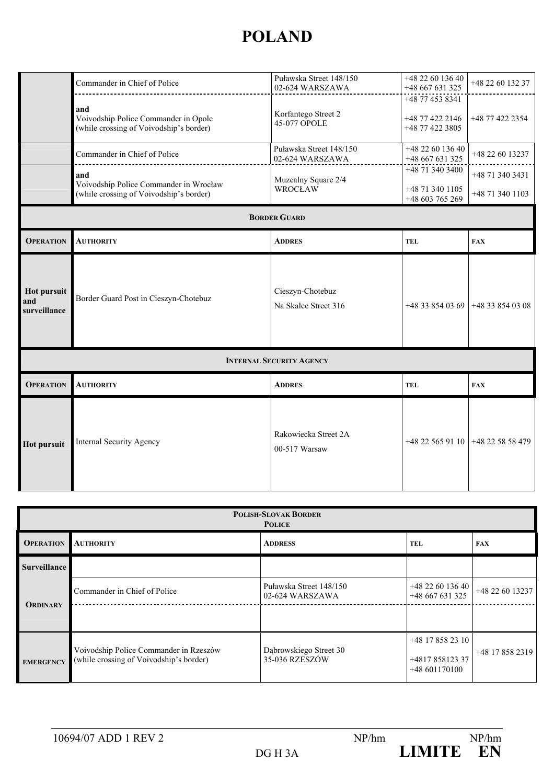|                                           | Commander in Chief of Police                                                                                                      | Puławska Street 148/150<br>02-624 WARSZAWA | +48 22 60 136 40<br>+48 667 631 325                   | +48 22 60 132 37                   |
|-------------------------------------------|-----------------------------------------------------------------------------------------------------------------------------------|--------------------------------------------|-------------------------------------------------------|------------------------------------|
|                                           | and<br>Voivodship Police Commander in Opole<br>(while crossing of Voivodship's border)                                            | Korfantego Street 2<br>45-077 OPOLE        | +48 77 453 8341<br>+48 77 422 2146<br>+48 77 422 3805 | +48 77 422 2354                    |
|                                           | Commander in Chief of Police                                                                                                      | Puławska Street 148/150<br>02-624 WARSZAWA | +48 22 60 136 40<br>+48 667 631 325                   | +48 22 60 13237                    |
|                                           | and<br>Muzealny Square 2/4<br>Voivodship Police Commander in Wrocław<br><b>WROCŁAW</b><br>(while crossing of Voivodship's border) |                                            | +48 71 340 3400<br>+48 71 340 1105<br>+48 603 765 269 | +48 71 340 3431<br>+48 71 340 1103 |
|                                           |                                                                                                                                   | <b>BORDER GUARD</b>                        |                                                       |                                    |
| <b>OPERATION</b>                          | <b>AUTHORITY</b>                                                                                                                  | <b>ADDRES</b>                              | <b>TEL</b>                                            | <b>FAX</b>                         |
| <b>Hot pursuit</b><br>and<br>surveillance | Border Guard Post in Cieszyn-Chotebuz                                                                                             | Cieszyn-Chotebuz<br>Na Skałce Street 316   | $+48338540369$                                        | $+48338540308$                     |
|                                           |                                                                                                                                   | <b>INTERNAL SECURITY AGENCY</b>            |                                                       |                                    |
| <b>OPERATION</b>                          | <b>AUTHORITY</b>                                                                                                                  | <b>ADDRES</b>                              | <b>TEL</b>                                            | <b>FAX</b>                         |
| <b>Hot pursuit</b>                        | <b>Internal Security Agency</b>                                                                                                   | Rakowiecka Street 2A<br>00-517 Warsaw      | $+48$ 22 565 91 10 +48 22 58 58 479                   |                                    |

|                  | <b>POLISH-SLOVAK BORDER</b><br><b>POLICE</b>                                      |                                            |                                                     |                 |  |
|------------------|-----------------------------------------------------------------------------------|--------------------------------------------|-----------------------------------------------------|-----------------|--|
| <b>OPERATION</b> | <b>AUTHORITY</b>                                                                  | <b>ADDRESS</b>                             | <b>TEL</b>                                          | <b>FAX</b>      |  |
| Surveillance     |                                                                                   |                                            |                                                     |                 |  |
|                  | Commander in Chief of Police                                                      | Puławska Street 148/150<br>02-624 WARSZAWA | +48 22 60 136 40<br>$+48667631325$                  | +48 22 60 13237 |  |
| <b>ORDINARY</b>  |                                                                                   |                                            |                                                     |                 |  |
| <b>EMERGENCY</b> | Voivodship Police Commander in Rzeszów<br>(while crossing of Voivodship's border) | Dąbrowskiego Street 30<br>35-036 RZESZÓW   | +48 17 858 23 10<br>+481785812337<br>$+48601170100$ | +48 17 858 2319 |  |

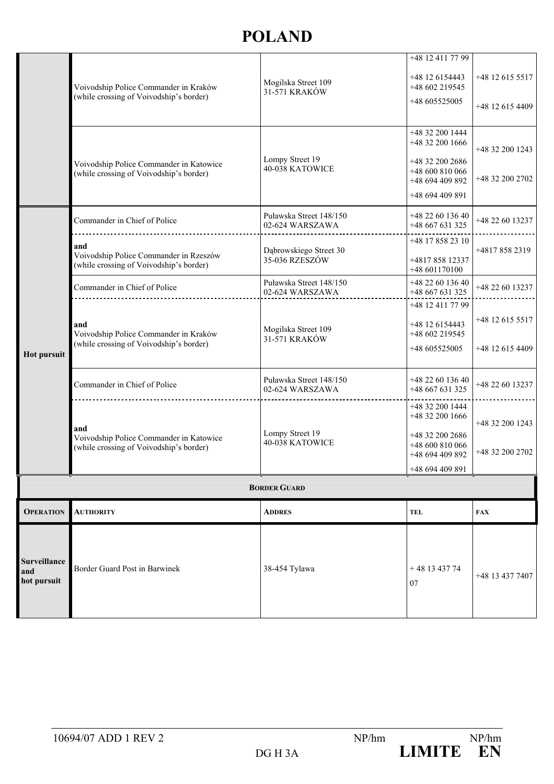| <b>AUTHORITY</b>                                                                          | <b>ADDRES</b>                              | <b>TEL</b>                                                                                  | <b>FAX</b>                                            |
|-------------------------------------------------------------------------------------------|--------------------------------------------|---------------------------------------------------------------------------------------------|-------------------------------------------------------|
|                                                                                           |                                            |                                                                                             |                                                       |
|                                                                                           |                                            | +48 694 409 891                                                                             |                                                       |
| and<br>Voivodship Police Commander in Katowice<br>(while crossing of Voivodship's border) | Lompy Street 19<br>40-038 KATOWICE         | +48 32 200 1444<br>+48 32 200 1666<br>+48 32 200 2686<br>+48 600 810 066<br>+48 694 409 892 | +48 32 200 1243<br>+48 32 200 2702                    |
| Commander in Chief of Police                                                              | Puławska Street 148/150<br>02-624 WARSZAWA | +48 22 60 136 40<br>+48 667 631 325                                                         | +48 22 60 13237                                       |
| and<br>Voivodship Police Commander in Kraków<br>(while crossing of Voivodship's border)   | Mogilska Street 109<br>31-571 KRAKÓW       | +48 12 6154443<br>+48 602 219545<br>+48 605525005                                           | +48 12 615 5517<br>+48 12 615 4409                    |
| Commander in Chief of Police                                                              | Puławska Street 148/150<br>02-624 WARSZAWA | +48 22 60 136 40<br>+48 667 631 325                                                         | +48 22 60 13237                                       |
| and<br>Voivodship Police Commander in Rzeszów<br>while crossing of Voivodship's border)   | Dąbrowskiego Street 30<br>35-036 RZESZÓW   | +48 17 858 23 10<br>+481785812337<br>+48 601170100                                          | +48178582319                                          |
| Commander in Chief of Police                                                              | Puławska Street 148/150<br>02-624 WARSZAWA | +48 22 60 136 40<br>+48 667 631 325                                                         | +48 22 60 13237                                       |
| Voivodship Police Commander in Katowice<br>(while crossing of Voivodship's border)        | Lompy Street 19<br>40-038 KATOWICE         | +48 32 200 2686<br>+48 600 810 066<br>+48 694 409 892<br>+48 694 409 891                    | +48 32 200 1243<br>+48 32 200 2702                    |
|                                                                                           |                                            | +48 32 200 1444                                                                             |                                                       |
| (while crossing of Voivodship's border)                                                   | 31-571 KRAKÓW                              | +48 605525005                                                                               | +48 12 615 4409                                       |
|                                                                                           | Mogilska Street 109                        | +48 12 411 77 99<br>+48 12 6154443                                                          | +48 12 615 5517                                       |
|                                                                                           | Voivodship Police Commander in Kraków      | <b>BORDER GUARD</b>                                                                         | +48 602 219545<br>+48 32 200 1666<br>+48 12 411 77 99 |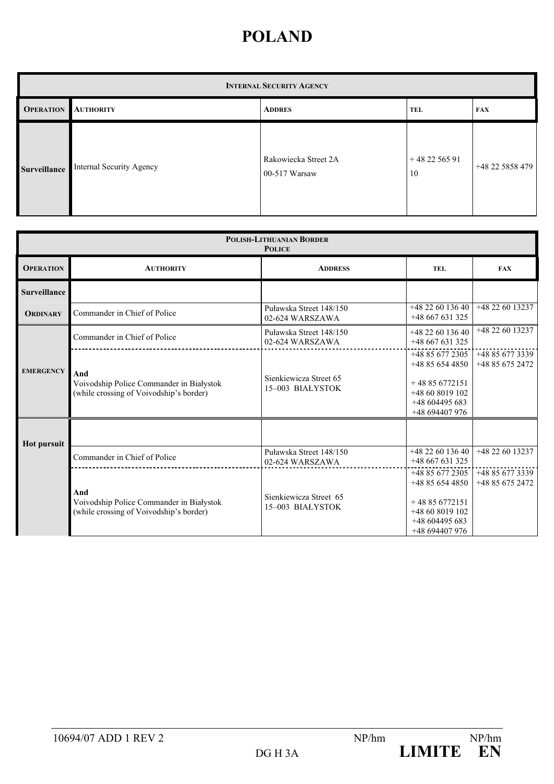| <b>INTERNAL SECURITY AGENCY</b> |                          |                                         |                    |                 |  |
|---------------------------------|--------------------------|-----------------------------------------|--------------------|-----------------|--|
| <b>OPERATION</b>                | <b>AUTHORITY</b>         | <b>ADDRES</b>                           | <b>TEL</b>         | <b>FAX</b>      |  |
| <b>Surveillance</b>             | Internal Security Agency | Rakowiecka Street 2A<br>$00-517$ Warsaw | $+482256591$<br>10 | +48 22 5858 479 |  |

|                     | <b>POLISH-LITHUANIAN BORDER</b><br><b>POLICE</b>                                           |                                            |                                                                                                            |                                    |  |  |
|---------------------|--------------------------------------------------------------------------------------------|--------------------------------------------|------------------------------------------------------------------------------------------------------------|------------------------------------|--|--|
| <b>OPERATION</b>    | <b>AUTHORITY</b>                                                                           | <b>ADDRESS</b>                             | <b>TEL</b>                                                                                                 | <b>FAX</b>                         |  |  |
| <b>Surveillance</b> |                                                                                            |                                            |                                                                                                            |                                    |  |  |
| <b>ORDINARY</b>     | Commander in Chief of Police                                                               | Puławska Street 148/150<br>02-624 WARSZAWA | $+48226013640$<br>$+48667631325$                                                                           | +48 22 60 13237                    |  |  |
|                     | Commander in Chief of Police                                                               | Puławska Street 148/150<br>02-624 WARSZAWA | +48 22 60 136 40<br>$+48667631325$                                                                         | +48 22 60 13237                    |  |  |
| <b>EMERGENCY</b>    | And<br>Voivodship Police Commander in Białystok<br>(while crossing of Voivodship's border) | Sienkiewicza Street 65<br>15-003 BIAŁYSTOK | +48 85 677 2305<br>$+48856544850$<br>$+48856772151$<br>$+48608019102$<br>$+48604495683$<br>+48 694407 976  | +48 85 677 3339<br>+48 85 675 2472 |  |  |
| <b>Hot pursuit</b>  | Commander in Chief of Police                                                               | Puławska Street 148/150<br>02-624 WARSZAWA | $+48226013640$<br>$+48667631325$                                                                           | +48 22 60 13237                    |  |  |
|                     | And<br>Voivodship Police Commander in Białystok<br>(while crossing of Voivodship's border) | Sienkiewicza Street 65<br>15-003 BIAŁYSTOK | +48 85 677 2305<br>$+48856544850$<br>$+48856772151$<br>+48 60 8019 102<br>$+48604495683$<br>+48 694407 976 | +48 85 677 3339<br>$+48856752472$  |  |  |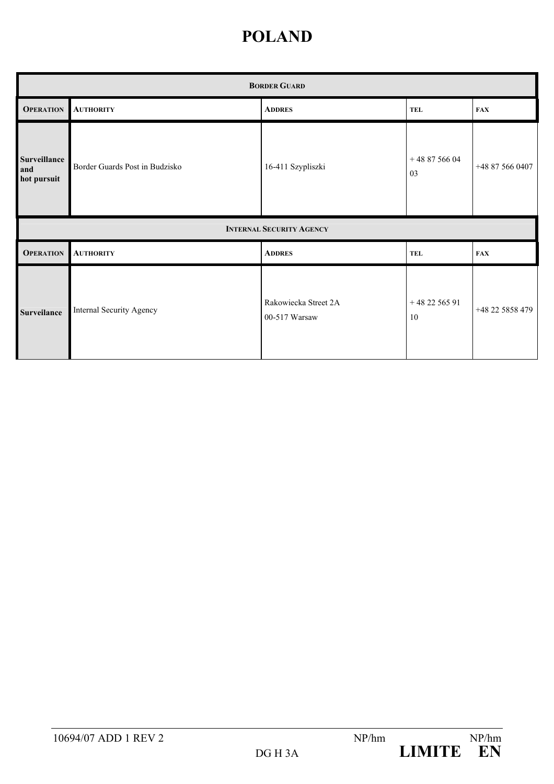|                                           | <b>BORDER GUARD</b>            |                                       |                    |                 |  |  |
|-------------------------------------------|--------------------------------|---------------------------------------|--------------------|-----------------|--|--|
| <b>OPERATION</b>                          | <b>AUTHORITY</b>               | <b>ADDRES</b>                         | <b>TEL</b>         | <b>FAX</b>      |  |  |
| <b>Surveillance</b><br>and<br>hot pursuit | Border Guards Post in Budzisko | 16-411 Szypliszki                     | $+488756604$<br>03 | +48 87 566 0407 |  |  |
|                                           |                                | <b>INTERNAL SECURITY AGENCY</b>       |                    |                 |  |  |
| <b>OPERATION</b>                          | <b>AUTHORITY</b>               | <b>ADDRES</b>                         | <b>TEL</b>         | <b>FAX</b>      |  |  |
| Surveilance                               | Internal Security Agency       | Rakowiecka Street 2A<br>00-517 Warsaw | $+482256591$<br>10 | +48 22 5858 479 |  |  |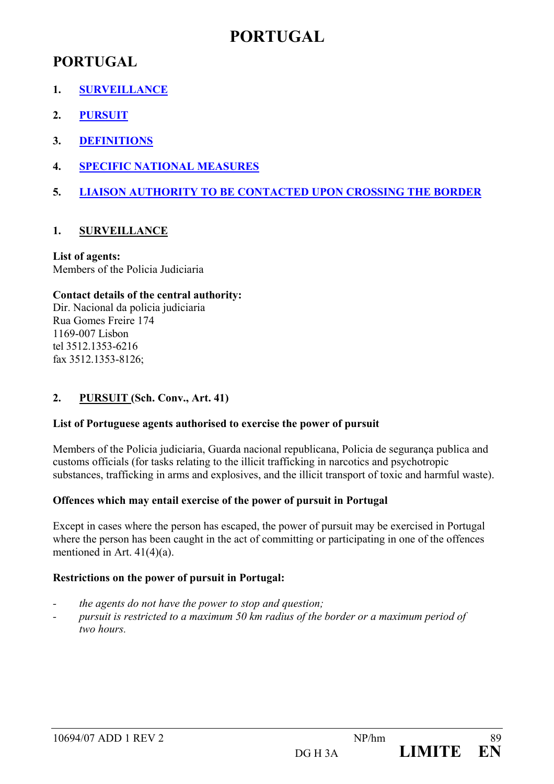## **PORTUGAL**

## **PORTUGAL**

- **1. SURVEILLANCE**
- **2. PURSUIT**
- **3. DEFINITIONS**
- **4. SPECIFIC NATIONAL MEASURES**
- **5. LIAISON AUTHORITY TO BE CONTACTED UPON CROSSING THE BORDER**

## **1. SURVEILLANCE**

## **List of agents:**

Members of the Policia Judiciaria

#### **Contact details of the central authority:**

Dir. Nacional da policia judiciaria Rua Gomes Freire 174 1169-007 Lisbon tel 3512.1353-6216 fax 3512.1353-8126;

## **2. PURSUIT (Sch. Conv., Art. 41)**

#### **List of Portuguese agents authorised to exercise the power of pursuit**

Members of the Policia judiciaria, Guarda nacional republicana, Policia de segurança publica and customs officials (for tasks relating to the illicit trafficking in narcotics and psychotropic substances, trafficking in arms and explosives, and the illicit transport of toxic and harmful waste).

## **Offences which may entail exercise of the power of pursuit in Portugal**

Except in cases where the person has escaped, the power of pursuit may be exercised in Portugal where the person has been caught in the act of committing or participating in one of the offences mentioned in Art. 41(4)(a).

## **Restrictions on the power of pursuit in Portugal:**

- *the agents do not have the power to stop and question;*
- *pursuit is restricted to a maximum 50 km radius of the border or a maximum period of two hours.*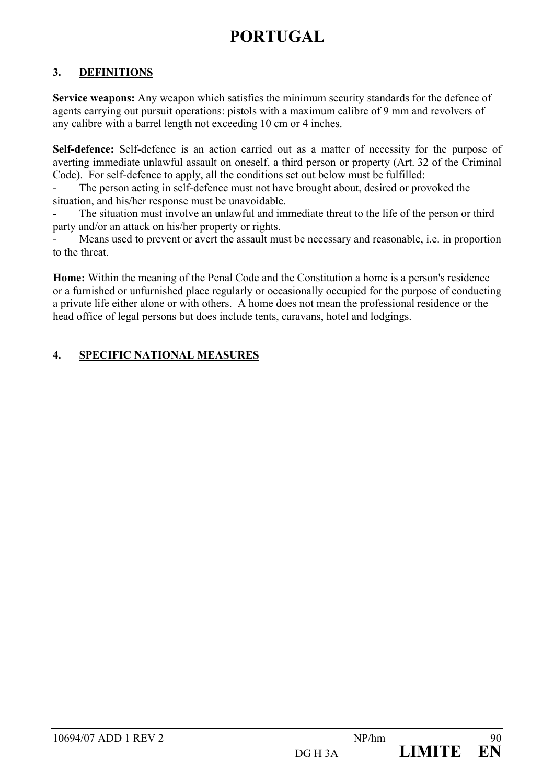# **PORTUGAL**

## **3. DEFINITIONS**

**Service weapons:** Any weapon which satisfies the minimum security standards for the defence of agents carrying out pursuit operations: pistols with a maximum calibre of 9 mm and revolvers of any calibre with a barrel length not exceeding 10 cm or 4 inches.

**Self-defence:** Self-defence is an action carried out as a matter of necessity for the purpose of averting immediate unlawful assault on oneself, a third person or property (Art. 32 of the Criminal Code). For self-defence to apply, all the conditions set out below must be fulfilled:

The person acting in self-defence must not have brought about, desired or provoked the situation, and his/her response must be unavoidable.

The situation must involve an unlawful and immediate threat to the life of the person or third party and/or an attack on his/her property or rights.

Means used to prevent or avert the assault must be necessary and reasonable, i.e. in proportion to the threat.

**Home:** Within the meaning of the Penal Code and the Constitution a home is a person's residence or a furnished or unfurnished place regularly or occasionally occupied for the purpose of conducting a private life either alone or with others. A home does not mean the professional residence or the head office of legal persons but does include tents, caravans, hotel and lodgings.

## **4. SPECIFIC NATIONAL MEASURES**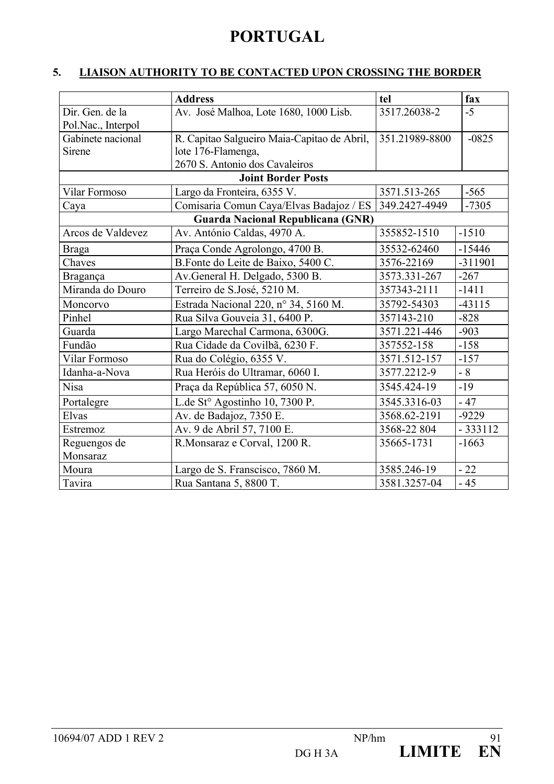# **PORTUGAL**

## **5. LIAISON AUTHORITY TO BE CONTACTED UPON CROSSING THE BORDER**

|                      | <b>Address</b>                              | tel            | fax       |
|----------------------|---------------------------------------------|----------------|-----------|
| Dir. Gen. de la      | Av. José Malhoa, Lote 1680, 1000 Lisb.      | 3517.26038-2   | $-5$      |
| Pol.Nac., Interpol   |                                             |                |           |
| Gabinete nacional    | R. Capitao Salgueiro Maia-Capitao de Abril, | 351.21989-8800 | $-0825$   |
| Sirene               | lote 176-Flamenga,                          |                |           |
|                      | 2670 S. Antonio dos Cavaleiros              |                |           |
|                      | <b>Joint Border Posts</b>                   |                |           |
| <b>Vilar Formoso</b> | Largo da Fronteira, 6355 V.                 |                | $-565$    |
| Caya                 | Comisaria Comun Caya/Elvas Badajoz / ES     | 349.2427-4949  | $-7305$   |
|                      | Guarda Nacional Republicana (GNR)           |                |           |
| Arcos de Valdevez    | Av. António Caldas, 4970 A.                 | 355852-1510    | $-1510$   |
| <b>Braga</b>         | Praça Conde Agrolongo, 4700 B.              | 35532-62460    | $-15446$  |
| Chaves               | B.Fonte do Leite de Baixo, 5400 C.          | 3576-22169     | -311901   |
| Bragança             | Av.General H. Delgado, 5300 B.              | 3573.331-267   | $-267$    |
| Miranda do Douro     | Terreiro de S.José, 5210 M.                 |                | $-1411$   |
| Moncorvo             | Estrada Nacional 220, n° 34, 5160 M.        | 35792-54303    | $-43115$  |
| Pinhel               | Rua Silva Gouveia 31, 6400 P.               | 357143-210     | $-828$    |
| Guarda               | Largo Marechal Carmona, 6300G.              | 3571.221-446   | $-903$    |
| Fundão               | Rua Cidade da Covilbã, 6230 F.              | 357552-158     | $-158$    |
| Vilar Formoso        | Rua do Colégio, 6355 V.                     | 3571.512-157   | $-157$    |
| Idanha-a-Nova        | Rua Heróis do Ultramar, 6060 I.             | 3577.2212-9    | $-8$      |
| <b>Nisa</b>          | Praça da República 57, 6050 N.              | 3545.424-19    | $-19$     |
| Portalegre           | L.de St° Agostinho 10, 7300 P.              | 3545.3316-03   | $-47$     |
| Elvas                | Av. de Badajoz, 7350 E.                     | 3568.62-2191   | $-9229$   |
| Estremoz             | Av. 9 de Abril 57, 7100 E.                  | 3568-22 804    | $-333112$ |
| Reguengos de         | R.Monsaraz e Corval, 1200 R.                | 35665-1731     | $-1663$   |
| Monsaraz             |                                             |                |           |
| Moura                | Largo de S. Franscisco, 7860 M.             | 3585.246-19    | $-22$     |
| Tavira               | Rua Santana 5, 8800 T.                      | 3581.3257-04   | $-45$     |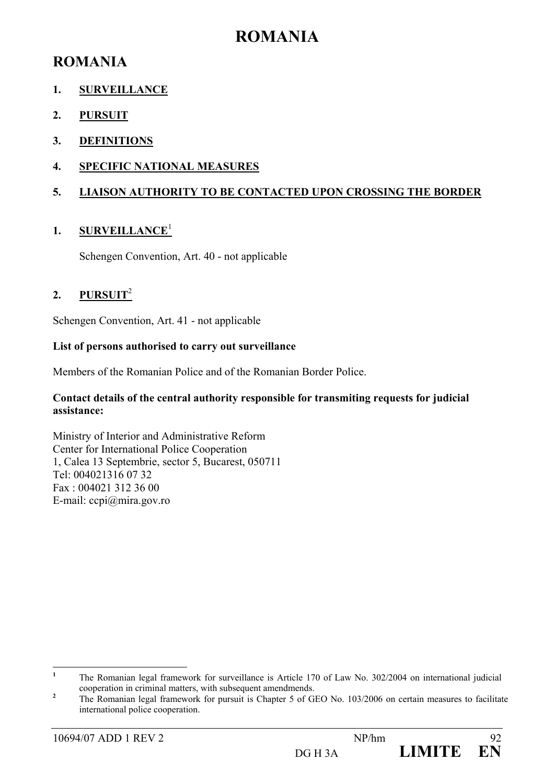## **ROMANIA**

## **ROMANIA**

## **1. SURVEILLANCE**

- **2. PURSUIT**
- **3. DEFINITIONS**
- **4. SPECIFIC NATIONAL MEASURES**

## **5. LIAISON AUTHORITY TO BE CONTACTED UPON CROSSING THE BORDER**

## **1. SURVEILLANCE**<sup>1</sup>

Schengen Convention, Art. 40 - not applicable

## **2. PURSUIT**<sup>2</sup>

Schengen Convention, Art. 41 - not applicable

#### **List of persons authorised to carry out surveillance**

Members of the Romanian Police and of the Romanian Border Police.

#### **Contact details of the central authority responsible for transmiting requests for judicial assistance:**

Ministry of Interior and Administrative Reform Center for International Police Cooperation 1, Calea 13 Septembrie, sector 5, Bucarest, 050711 Tel: 004021316 07 32 Fax : 004021 312 36 00 E-mail: ccpi@mira.gov.ro

 **1** The Romanian legal framework for surveillance is Article 170 of Law No. 302/2004 on international judicial cooperation in criminal matters, with subsequent amendmends. **<sup>2</sup>**

The Romanian legal framework for pursuit is Chapter 5 of GEO No. 103/2006 on certain measures to facilitate international police cooperation.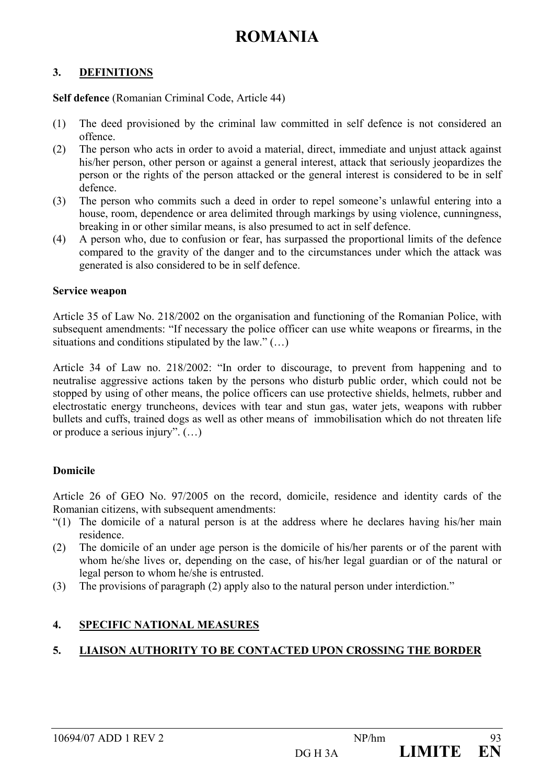## **ROMANIA**

#### **3. DEFINITIONS**

**Self defence** (Romanian Criminal Code, Article 44)

- (1) The deed provisioned by the criminal law committed in self defence is not considered an offence.
- (2) The person who acts in order to avoid a material, direct, immediate and unjust attack against his/her person, other person or against a general interest, attack that seriously jeopardizes the person or the rights of the person attacked or the general interest is considered to be in self defence.
- (3) The person who commits such a deed in order to repel someone's unlawful entering into a house, room, dependence or area delimited through markings by using violence, cunningness, breaking in or other similar means, is also presumed to act in self defence.
- (4) A person who, due to confusion or fear, has surpassed the proportional limits of the defence compared to the gravity of the danger and to the circumstances under which the attack was generated is also considered to be in self defence.

#### **Service weapon**

Article 35 of Law No. 218/2002 on the organisation and functioning of the Romanian Police, with subsequent amendments: "If necessary the police officer can use white weapons or firearms, in the situations and conditions stipulated by the law." $(...)$ 

Article 34 of Law no. 218/2002: "In order to discourage, to prevent from happening and to neutralise aggressive actions taken by the persons who disturb public order, which could not be stopped by using of other means, the police officers can use protective shields, helmets, rubber and electrostatic energy truncheons, devices with tear and stun gas, water jets, weapons with rubber bullets and cuffs, trained dogs as well as other means of immobilisation which do not threaten life or produce a serious injury". (…)

#### **Domicile**

Article 26 of GEO No. 97/2005 on the record, domicile, residence and identity cards of the Romanian citizens, with subsequent amendments:

- "(1) The domicile of a natural person is at the address where he declares having his/her main residence.
- (2) The domicile of an under age person is the domicile of his/her parents or of the parent with whom he/she lives or, depending on the case, of his/her legal guardian or of the natural or legal person to whom he/she is entrusted.
- (3) The provisions of paragraph (2) apply also to the natural person under interdiction."

## **4. SPECIFIC NATIONAL MEASURES**

## **5. LIAISON AUTHORITY TO BE CONTACTED UPON CROSSING THE BORDER**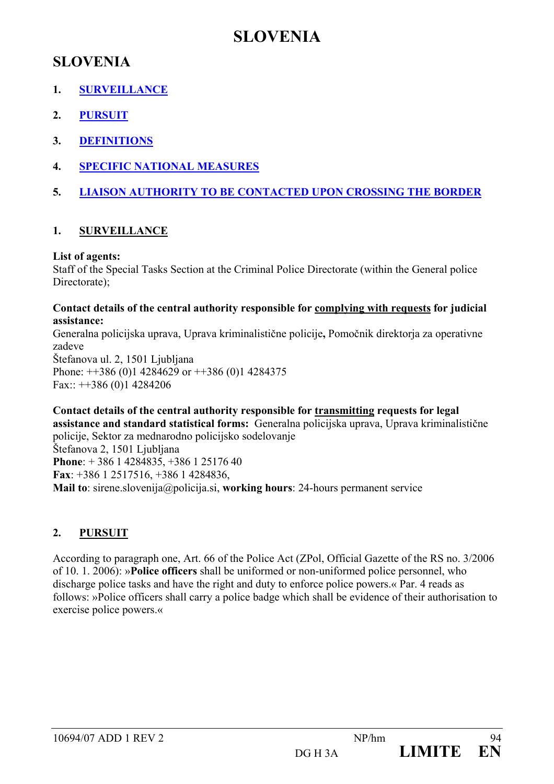## **SLOVENIA**

- **1. SURVEILLANCE**
- **2. PURSUIT**
- **3. DEFINITIONS**
- **4. SPECIFIC NATIONAL MEASURES**
- **5. LIAISON AUTHORITY TO BE CONTACTED UPON CROSSING THE BORDER**

## **1. SURVEILLANCE**

## **List of agents:**

Staff of the Special Tasks Section at the Criminal Police Directorate (within the General police Directorate)<sup>.</sup>

#### **Contact details of the central authority responsible for complying with requests for judicial assistance:**

Generalna policijska uprava, Uprava kriminalistične policije**,** Pomočnik direktorja za operativne zadeve Štefanova ul. 2, 1501 Ljubljana Phone:  $\pm$  +386 (0)1 4284629 or  $\pm$  +386 (0)1 4284375 Fax:: ++386 (0)1 4284206

**Contact details of the central authority responsible for transmitting requests for legal assistance and standard statistical forms:** Generalna policijska uprava, Uprava kriminalistične policije, Sektor za mednarodno policijsko sodelovanje Štefanova 2, 1501 Ljubljana **Phone**: + 386 1 4284835, +386 1 25176 40 **Fax**: +386 1 2517516, +386 1 4284836, **Mail to**: sirene.slovenija@policija.si, **working hours**: 24-hours permanent service

## **2. PURSUIT**

According to paragraph one, Art. 66 of the Police Act (ZPol, Official Gazette of the RS no. 3/2006 of 10. 1. 2006): »**Police officers** shall be uniformed or non-uniformed police personnel, who discharge police tasks and have the right and duty to enforce police powers.« Par. 4 reads as follows: »Police officers shall carry a police badge which shall be evidence of their authorisation to exercise police powers.«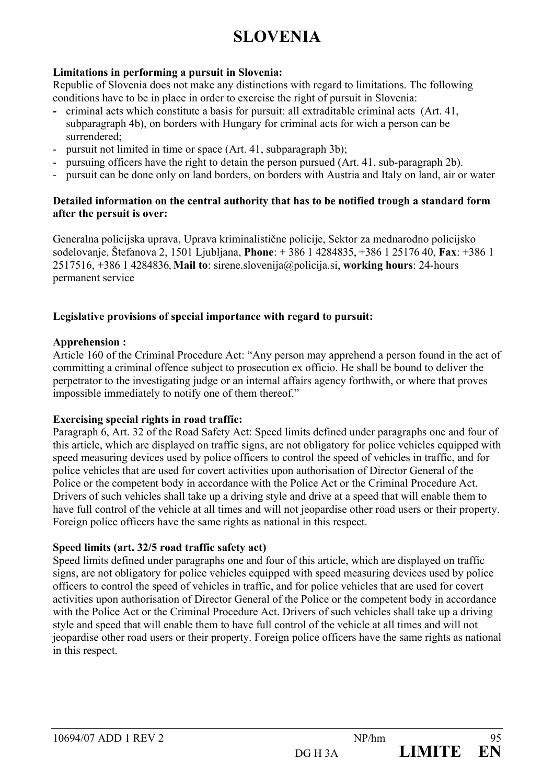## **Limitations in performing a pursuit in Slovenia:**

Republic of Slovenia does not make any distinctions with regard to limitations. The following conditions have to be in place in order to exercise the right of pursuit in Slovenia:

- criminal acts which constitute a basis for pursuit: all extraditable criminal acts (Art. 41, subparagraph 4b), on borders with Hungary for criminal acts for wich a person can be surrendered;
- pursuit not limited in time or space (Art. 41, subparagraph 3b);
- pursuing officers have the right to detain the person pursued (Art. 41, sub-paragraph 2b).
- pursuit can be done only on land borders, on borders with Austria and Italy on land, air or water

#### **Detailed information on the central authority that has to be notified trough a standard form after the persuit is over:**

Generalna policijska uprava, Uprava kriminalistične policije, Sektor za mednarodno policijsko sodelovanje, Štefanova 2, 1501 Ljubljana, **Phone**: + 386 1 4284835, +386 1 25176 40, **Fax**: +386 1 2517516, +386 1 4284836, **Mail to**: sirene.slovenija@policija.si, **working hours**: 24-hours permanent service

## **Legislative provisions of special importance with regard to pursuit:**

#### **Apprehension :**

Article 160 of the Criminal Procedure Act: "Any person may apprehend a person found in the act of committing a criminal offence subject to prosecution ex officio. He shall be bound to deliver the perpetrator to the investigating judge or an internal affairs agency forthwith, or where that proves impossible immediately to notify one of them thereof."

#### **Exercising special rights in road traffic:**

Paragraph 6, Art. 32 of the Road Safety Act: Speed limits defined under paragraphs one and four of this article, which are displayed on traffic signs, are not obligatory for police vehicles equipped with speed measuring devices used by police officers to control the speed of vehicles in traffic, and for police vehicles that are used for covert activities upon authorisation of Director General of the Police or the competent body in accordance with the Police Act or the Criminal Procedure Act. Drivers of such vehicles shall take up a driving style and drive at a speed that will enable them to have full control of the vehicle at all times and will not jeopardise other road users or their property. Foreign police officers have the same rights as national in this respect.

#### **Speed limits (art. 32/5 road traffic safety act)**

Speed limits defined under paragraphs one and four of this article, which are displayed on traffic signs, are not obligatory for police vehicles equipped with speed measuring devices used by police officers to control the speed of vehicles in traffic, and for police vehicles that are used for covert activities upon authorisation of Director General of the Police or the competent body in accordance with the Police Act or the Criminal Procedure Act. Drivers of such vehicles shall take up a driving style and speed that will enable them to have full control of the vehicle at all times and will not jeopardise other road users or their property. Foreign police officers have the same rights as national in this respect.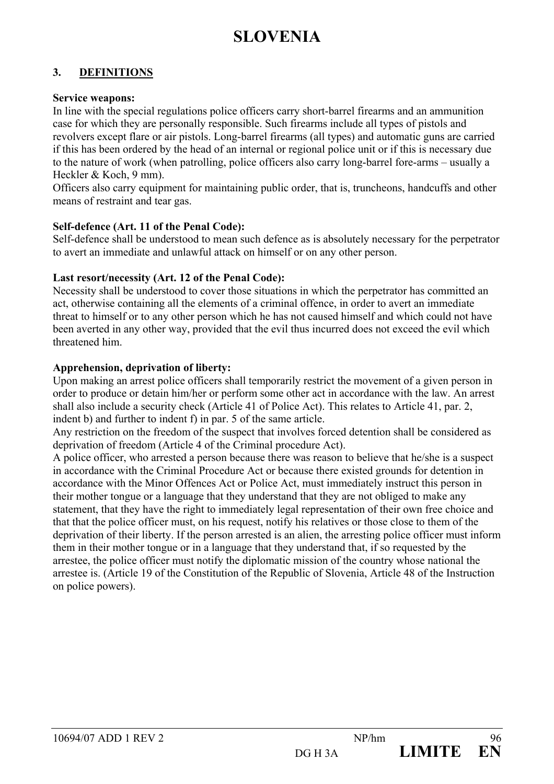## **3. DEFINITIONS**

#### **Service weapons:**

In line with the special regulations police officers carry short-barrel firearms and an ammunition case for which they are personally responsible. Such firearms include all types of pistols and revolvers except flare or air pistols. Long-barrel firearms (all types) and automatic guns are carried if this has been ordered by the head of an internal or regional police unit or if this is necessary due to the nature of work (when patrolling, police officers also carry long-barrel fore-arms – usually a Heckler & Koch, 9 mm).

Officers also carry equipment for maintaining public order, that is, truncheons, handcuffs and other means of restraint and tear gas.

#### **Self-defence (Art. 11 of the Penal Code):**

Self-defence shall be understood to mean such defence as is absolutely necessary for the perpetrator to avert an immediate and unlawful attack on himself or on any other person.

## **Last resort/necessity (Art. 12 of the Penal Code):**

Necessity shall be understood to cover those situations in which the perpetrator has committed an act, otherwise containing all the elements of a criminal offence, in order to avert an immediate threat to himself or to any other person which he has not caused himself and which could not have been averted in any other way, provided that the evil thus incurred does not exceed the evil which threatened him.

## **Apprehension, deprivation of liberty:**

Upon making an arrest police officers shall temporarily restrict the movement of a given person in order to produce or detain him/her or perform some other act in accordance with the law. An arrest shall also include a security check (Article 41 of Police Act). This relates to Article 41, par. 2, indent b) and further to indent f) in par. 5 of the same article.

Any restriction on the freedom of the suspect that involves forced detention shall be considered as deprivation of freedom (Article 4 of the Criminal procedure Act).

A police officer, who arrested a person because there was reason to believe that he/she is a suspect in accordance with the Criminal Procedure Act or because there existed grounds for detention in accordance with the Minor Offences Act or Police Act, must immediately instruct this person in their mother tongue or a language that they understand that they are not obliged to make any statement, that they have the right to immediately legal representation of their own free choice and that that the police officer must, on his request, notify his relatives or those close to them of the deprivation of their liberty. If the person arrested is an alien, the arresting police officer must inform them in their mother tongue or in a language that they understand that, if so requested by the arrestee, the police officer must notify the diplomatic mission of the country whose national the arrestee is. (Article 19 of the Constitution of the Republic of Slovenia, Article 48 of the Instruction on police powers).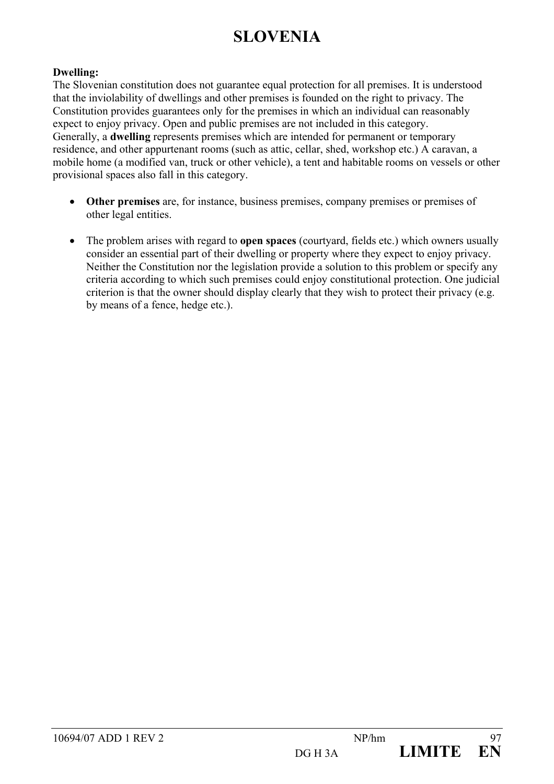#### **Dwelling:**

The Slovenian constitution does not guarantee equal protection for all premises. It is understood that the inviolability of dwellings and other premises is founded on the right to privacy. The Constitution provides guarantees only for the premises in which an individual can reasonably expect to enjoy privacy. Open and public premises are not included in this category. Generally, a **dwelling** represents premises which are intended for permanent or temporary residence, and other appurtenant rooms (such as attic, cellar, shed, workshop etc.) A caravan, a mobile home (a modified van, truck or other vehicle), a tent and habitable rooms on vessels or other provisional spaces also fall in this category.

- **Other premises** are, for instance, business premises, company premises or premises of other legal entities.
- The problem arises with regard to **open spaces** (courtyard, fields etc.) which owners usually consider an essential part of their dwelling or property where they expect to enjoy privacy. Neither the Constitution nor the legislation provide a solution to this problem or specify any criteria according to which such premises could enjoy constitutional protection. One judicial criterion is that the owner should display clearly that they wish to protect their privacy (e.g. by means of a fence, hedge etc.).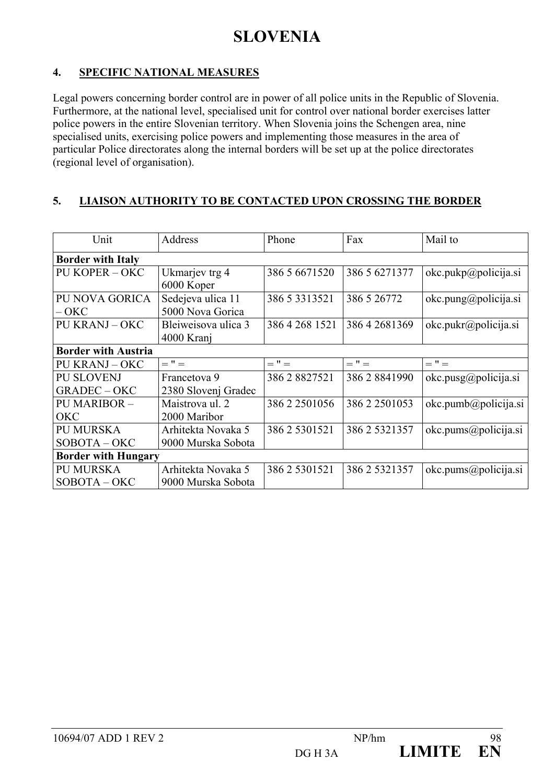## **4. SPECIFIC NATIONAL MEASURES**

Legal powers concerning border control are in power of all police units in the Republic of Slovenia. Furthermore, at the national level, specialised unit for control over national border exercises latter police powers in the entire Slovenian territory. When Slovenia joins the Schengen area, nine specialised units, exercising police powers and implementing those measures in the area of particular Police directorates along the internal borders will be set up at the police directorates (regional level of organisation).

## **5. LIAISON AUTHORITY TO BE CONTACTED UPON CROSSING THE BORDER**

| Unit                       | Address             | Phone               | Fax           | Mail to               |
|----------------------------|---------------------|---------------------|---------------|-----------------------|
| <b>Border with Italy</b>   |                     |                     |               |                       |
| PU KOPER – OKC             | Ukmarjev trg 4      | 386 5 6671520       | 386 5 6271377 | okc.pukp@policija.si  |
|                            | 6000 Koper          |                     |               |                       |
| PU NOVA GORICA             | Sedejeva ulica 11   | 386 5 3 3 1 3 5 2 1 | 386 5 26772   | okc.pung@policija.si  |
| $-OKC$                     | 5000 Nova Gorica    |                     |               |                       |
| <b>PU KRANJ - OKC</b>      | Bleiweisova ulica 3 | 386 4 268 1521      | 386 4 2681369 | okc. pukr@policija.si |
|                            | 4000 Kranj          |                     |               |                       |
| <b>Border with Austria</b> |                     |                     |               |                       |
| PU KRANJ – OKC             | $=$ " $=$           | $=$ " $=$           | $=$ $"=$      | $=$ $"=$              |
| <b>PU SLOVENJ</b>          | Francetova 9        | 386 2 8827521       | 386 2 8841990 | okc.pusg@policija.si  |
| <b>GRADEC-OKC</b>          | 2380 Slovenj Gradec |                     |               |                       |
| <b>PU MARIBOR -</b>        | Maistrova ul. 2     | 386 2 2501056       | 386 2 2501053 | okc.pumb@policija.si  |
| <b>OKC</b>                 | 2000 Maribor        |                     |               |                       |
| PU MURSKA                  | Arhitekta Novaka 5  | 386 2 5301521       | 386 2 5321357 | okc.pums@policija.si  |
| $SOBOTA - OKC$             | 9000 Murska Sobota  |                     |               |                       |
| <b>Border with Hungary</b> |                     |                     |               |                       |
| PU MURSKA                  | Arhitekta Novaka 5  | 386 2 5301521       | 386 2 5321357 | okc.pums@policija.si  |
| $SOBOTA - OKC$             | 9000 Murska Sobota  |                     |               |                       |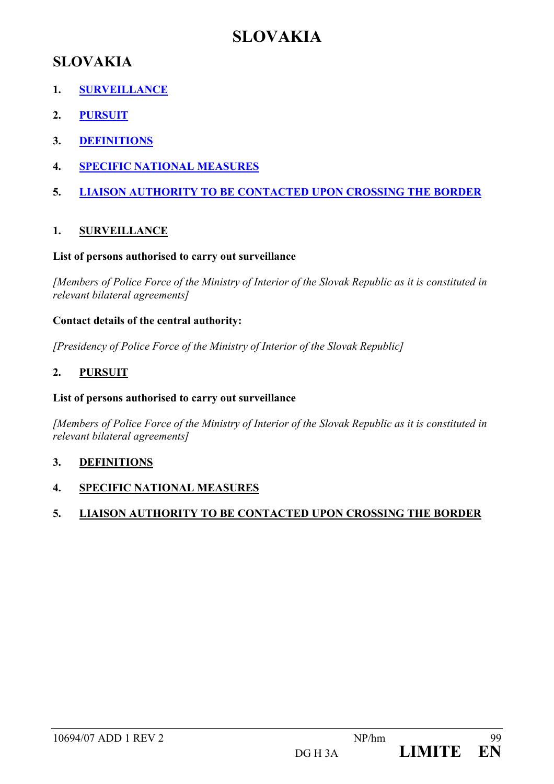## **SLOVAKIA**

## **SLOVAKIA**

- **1. SURVEILLANCE**
- **2. PURSUIT**
- **3. DEFINITIONS**
- **4. SPECIFIC NATIONAL MEASURES**
- **5. LIAISON AUTHORITY TO BE CONTACTED UPON CROSSING THE BORDER**

## **1. SURVEILLANCE**

#### **List of persons authorised to carry out surveillance**

*[Members of Police Force of the Ministry of Interior of the Slovak Republic as it is constituted in relevant bilateral agreements]* 

#### **Contact details of the central authority:**

*[Presidency of Police Force of the Ministry of Interior of the Slovak Republic]* 

## **2. PURSUIT**

#### **List of persons authorised to carry out surveillance**

*[Members of Police Force of the Ministry of Interior of the Slovak Republic as it is constituted in relevant bilateral agreements]* 

#### **3. DEFINITIONS**

**4. SPECIFIC NATIONAL MEASURES**

## **5. LIAISON AUTHORITY TO BE CONTACTED UPON CROSSING THE BORDER**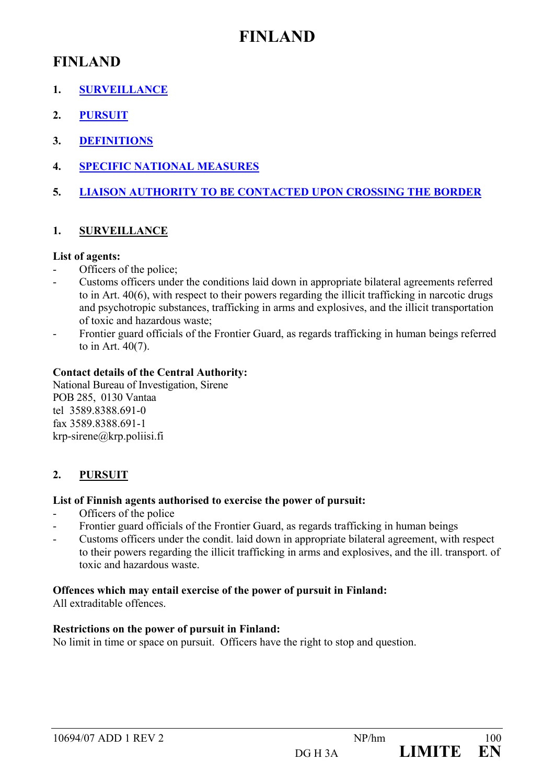## **FINLAND**

## **FINLAND**

- **1. SURVEILLANCE**
- **2. PURSUIT**
- **3. DEFINITIONS**
- **4. SPECIFIC NATIONAL MEASURES**
- **5. LIAISON AUTHORITY TO BE CONTACTED UPON CROSSING THE BORDER**

## **1. SURVEILLANCE**

## **List of agents:**

- Officers of the police;
- Customs officers under the conditions laid down in appropriate bilateral agreements referred to in Art. 40(6), with respect to their powers regarding the illicit trafficking in narcotic drugs and psychotropic substances, trafficking in arms and explosives, and the illicit transportation of toxic and hazardous waste;
- Frontier guard officials of the Frontier Guard, as regards trafficking in human beings referred to in Art. 40(7).

## **Contact details of the Central Authority:**

National Bureau of Investigation, Sirene POB 285, 0130 Vantaa tel 3589.8388.691-0 fax 3589.8388.691-1 krp-sirene@krp.poliisi.fi

## **2. PURSUIT**

## **List of Finnish agents authorised to exercise the power of pursuit:**

- Officers of the police
- Frontier guard officials of the Frontier Guard, as regards trafficking in human beings
- Customs officers under the condit. laid down in appropriate bilateral agreement, with respect to their powers regarding the illicit trafficking in arms and explosives, and the ill. transport. of toxic and hazardous waste.

## **Offences which may entail exercise of the power of pursuit in Finland:**

All extraditable offences.

## **Restrictions on the power of pursuit in Finland:**

No limit in time or space on pursuit. Officers have the right to stop and question.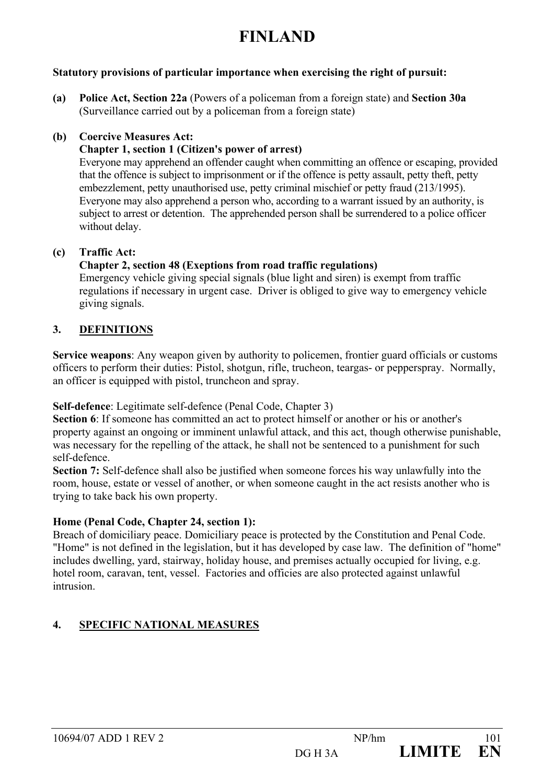# **FINLAND**

#### **Statutory provisions of particular importance when exercising the right of pursuit:**

**(a) Police Act, Section 22a** (Powers of a policeman from a foreign state) and **Section 30a** (Surveillance carried out by a policeman from a foreign state)

#### **(b) Coercive Measures Act:**

## **Chapter 1, section 1 (Citizen's power of arrest)**

Everyone may apprehend an offender caught when committing an offence or escaping, provided that the offence is subject to imprisonment or if the offence is petty assault, petty theft, petty embezzlement, petty unauthorised use, petty criminal mischief or petty fraud (213/1995). Everyone may also apprehend a person who, according to a warrant issued by an authority, is subject to arrest or detention. The apprehended person shall be surrendered to a police officer without delay.

#### **(c) Traffic Act:**

#### **Chapter 2, section 48 (Exeptions from road traffic regulations)**

Emergency vehicle giving special signals (blue light and siren) is exempt from traffic regulations if necessary in urgent case. Driver is obliged to give way to emergency vehicle giving signals.

## **3. DEFINITIONS**

**Service weapons**: Any weapon given by authority to policemen, frontier guard officials or customs officers to perform their duties: Pistol, shotgun, rifle, trucheon, teargas- or pepperspray. Normally, an officer is equipped with pistol, truncheon and spray.

**Self-defence**: Legitimate self-defence (Penal Code, Chapter 3)

Section 6: If someone has committed an act to protect himself or another or his or another's property against an ongoing or imminent unlawful attack, and this act, though otherwise punishable, was necessary for the repelling of the attack, he shall not be sentenced to a punishment for such self-defence.

**Section 7:** Self-defence shall also be justified when someone forces his way unlawfully into the room, house, estate or vessel of another, or when someone caught in the act resists another who is trying to take back his own property.

## **Home (Penal Code, Chapter 24, section 1):**

Breach of domiciliary peace. Domiciliary peace is protected by the Constitution and Penal Code. "Home" is not defined in the legislation, but it has developed by case law. The definition of "home" includes dwelling, yard, stairway, holiday house, and premises actually occupied for living, e.g. hotel room, caravan, tent, vessel. Factories and officies are also protected against unlawful intrusion.

## **4. SPECIFIC NATIONAL MEASURES**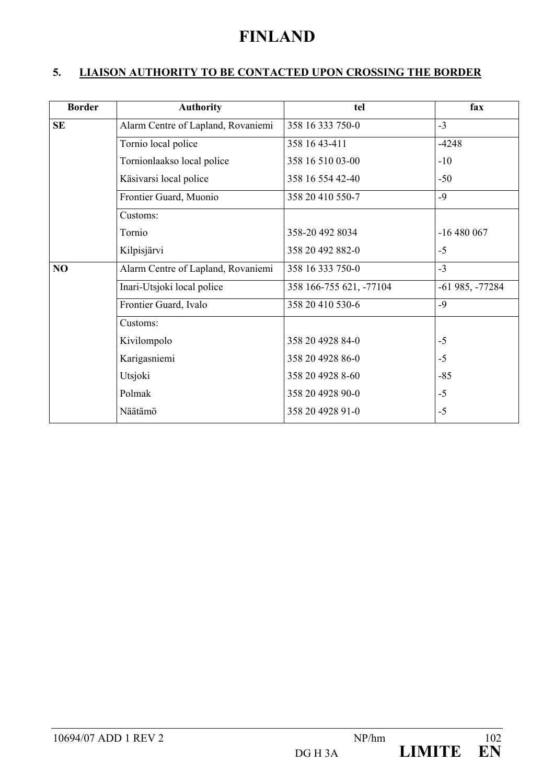## **FINLAND**

## **5. LIAISON AUTHORITY TO BE CONTACTED UPON CROSSING THE BORDER**

| <b>Border</b> | <b>Authority</b>                   | tel                     | fax              |
|---------------|------------------------------------|-------------------------|------------------|
| <b>SE</b>     | Alarm Centre of Lapland, Rovaniemi | 358 16 333 750-0        | $-3$             |
|               | Tornio local police                | 358 16 43-411           | $-4248$          |
|               | Tornionlaakso local police         | 358 16 510 03-00        | $-10$            |
|               | Käsivarsi local police             | 358 16 554 42-40        | $-50$            |
|               | Frontier Guard, Muonio             | 358 20 410 550-7        | $-9$             |
|               | Customs:                           |                         |                  |
|               | Tornio                             | 358-20 492 8034         | $-16480067$      |
|               | Kilpisjärvi                        | 358 20 492 882-0        | $-5$             |
| NO            | Alarm Centre of Lapland, Rovaniemi | 358 16 333 750-0        | $-3$             |
|               | Inari-Utsjoki local police         | 358 166-755 621, -77104 | $-61985, -77284$ |
|               | Frontier Guard, Ivalo              | 358 20 410 530-6        | $-9$             |
|               | Customs:                           |                         |                  |
|               | Kivilompolo                        | 358 20 4928 84-0        | $-5$             |
|               | Karigasniemi                       | 358 20 4928 86-0        | $-5$             |
|               | Utsjoki                            | 358 20 4928 8-60        | $-85$            |
|               | Polmak                             | 358 20 4928 90-0        | $-5$             |
|               | Näätämö                            | 358 20 4928 91-0        | $-5$             |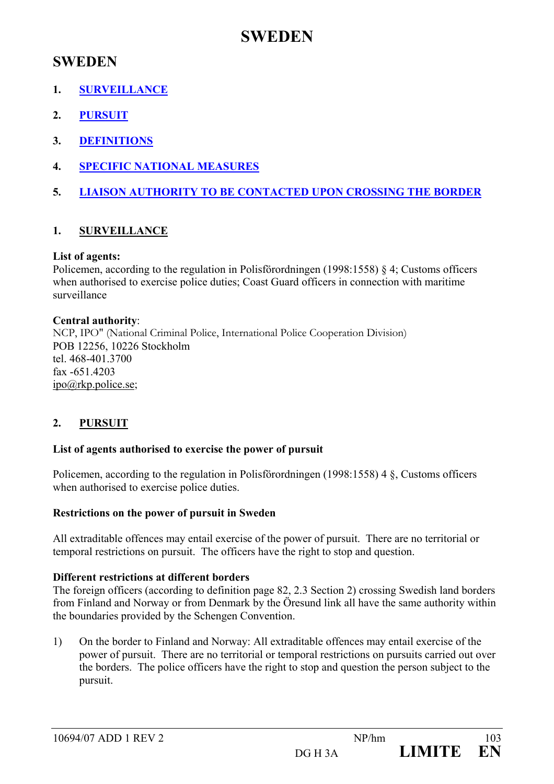## **SWEDEN**

- **1. SURVEILLANCE**
- **2. PURSUIT**
- **3. DEFINITIONS**
- **4. SPECIFIC NATIONAL MEASURES**
- **5. LIAISON AUTHORITY TO BE CONTACTED UPON CROSSING THE BORDER**

## **1. SURVEILLANCE**

## **List of agents:**

Policemen, according to the regulation in Polisförordningen (1998:1558) § 4; Customs officers when authorised to exercise police duties; Coast Guard officers in connection with maritime surveillance

## **Central authority**:

NCP, IPO" (National Criminal Police, International Police Cooperation Division) POB 12256, 10226 Stockholm tel. 468-401.3700 fax -651.4203 ipo@rkp.police.se;

## **2. PURSUIT**

## **List of agents authorised to exercise the power of pursuit**

Policemen, according to the regulation in Polisförordningen (1998:1558) 4 §, Customs officers when authorised to exercise police duties.

## **Restrictions on the power of pursuit in Sweden**

All extraditable offences may entail exercise of the power of pursuit. There are no territorial or temporal restrictions on pursuit. The officers have the right to stop and question.

## **Different restrictions at different borders**

The foreign officers (according to definition page 82, 2.3 Section 2) crossing Swedish land borders from Finland and Norway or from Denmark by the Öresund link all have the same authority within the boundaries provided by the Schengen Convention.

1) On the border to Finland and Norway: All extraditable offences may entail exercise of the power of pursuit. There are no territorial or temporal restrictions on pursuits carried out over the borders. The police officers have the right to stop and question the person subject to the pursuit.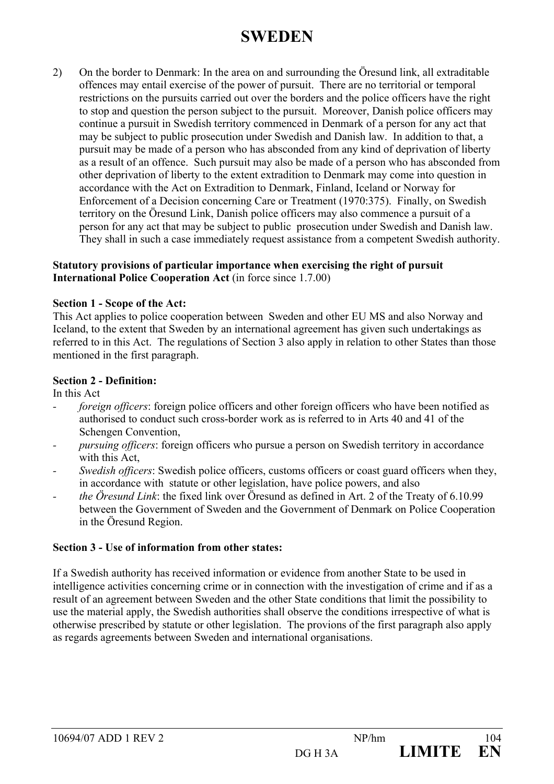2) On the border to Denmark: In the area on and surrounding the Öresund link, all extraditable offences may entail exercise of the power of pursuit. There are no territorial or temporal restrictions on the pursuits carried out over the borders and the police officers have the right to stop and question the person subject to the pursuit. Moreover, Danish police officers may continue a pursuit in Swedish territory commenced in Denmark of a person for any act that may be subject to public prosecution under Swedish and Danish law. In addition to that, a pursuit may be made of a person who has absconded from any kind of deprivation of liberty as a result of an offence. Such pursuit may also be made of a person who has absconded from other deprivation of liberty to the extent extradition to Denmark may come into question in accordance with the Act on Extradition to Denmark, Finland, Iceland or Norway for Enforcement of a Decision concerning Care or Treatment (1970:375). Finally, on Swedish territory on the Öresund Link, Danish police officers may also commence a pursuit of a person for any act that may be subject to public prosecution under Swedish and Danish law. They shall in such a case immediately request assistance from a competent Swedish authority.

#### **Statutory provisions of particular importance when exercising the right of pursuit International Police Cooperation Act** (in force since 1.7.00)

#### **Section 1 - Scope of the Act:**

This Act applies to police cooperation between Sweden and other EU MS and also Norway and Iceland, to the extent that Sweden by an international agreement has given such undertakings as referred to in this Act. The regulations of Section 3 also apply in relation to other States than those mentioned in the first paragraph.

#### **Section 2 - Definition:**

In this Act

- *foreign officers*: foreign police officers and other foreign officers who have been notified as authorised to conduct such cross-border work as is referred to in Arts 40 and 41 of the Schengen Convention,
- *pursuing officers*: foreign officers who pursue a person on Swedish territory in accordance with this Act,
- *Swedish officers*: Swedish police officers, customs officers or coast guard officers when they, in accordance with statute or other legislation, have police powers, and also
- *the Öresund Link*: the fixed link over Öresund as defined in Art. 2 of the Treaty of 6.10.99 between the Government of Sweden and the Government of Denmark on Police Cooperation in the Öresund Region.

## **Section 3 - Use of information from other states:**

If a Swedish authority has received information or evidence from another State to be used in intelligence activities concerning crime or in connection with the investigation of crime and if as a result of an agreement between Sweden and the other State conditions that limit the possibility to use the material apply, the Swedish authorities shall observe the conditions irrespective of what is otherwise prescribed by statute or other legislation. The provions of the first paragraph also apply as regards agreements between Sweden and international organisations.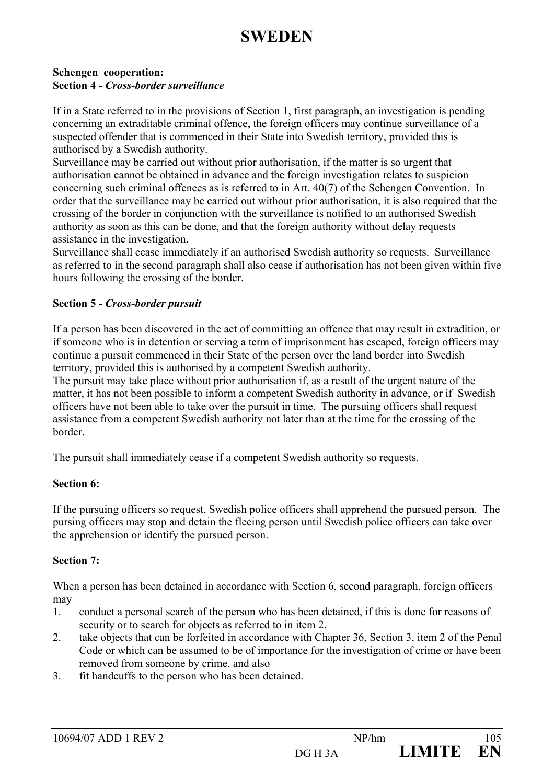#### **Schengen cooperation: Section 4** *- Cross-border surveillance*

If in a State referred to in the provisions of Section 1, first paragraph, an investigation is pending concerning an extraditable criminal offence, the foreign officers may continue surveillance of a suspected offender that is commenced in their State into Swedish territory, provided this is authorised by a Swedish authority.

Surveillance may be carried out without prior authorisation, if the matter is so urgent that authorisation cannot be obtained in advance and the foreign investigation relates to suspicion concerning such criminal offences as is referred to in Art. 40(7) of the Schengen Convention. In order that the surveillance may be carried out without prior authorisation, it is also required that the crossing of the border in conjunction with the surveillance is notified to an authorised Swedish authority as soon as this can be done, and that the foreign authority without delay requests assistance in the investigation.

Surveillance shall cease immediately if an authorised Swedish authority so requests. Surveillance as referred to in the second paragraph shall also cease if authorisation has not been given within five hours following the crossing of the border.

#### **Section 5 -** *Cross-border pursuit*

If a person has been discovered in the act of committing an offence that may result in extradition, or if someone who is in detention or serving a term of imprisonment has escaped, foreign officers may continue a pursuit commenced in their State of the person over the land border into Swedish territory, provided this is authorised by a competent Swedish authority.

The pursuit may take place without prior authorisation if, as a result of the urgent nature of the matter, it has not been possible to inform a competent Swedish authority in advance, or if Swedish officers have not been able to take over the pursuit in time. The pursuing officers shall request assistance from a competent Swedish authority not later than at the time for the crossing of the border.

The pursuit shall immediately cease if a competent Swedish authority so requests.

#### **Section 6:**

If the pursuing officers so request, Swedish police officers shall apprehend the pursued person. The pursing officers may stop and detain the fleeing person until Swedish police officers can take over the apprehension or identify the pursued person.

## **Section 7:**

When a person has been detained in accordance with Section 6, second paragraph, foreign officers may

- 1. conduct a personal search of the person who has been detained, if this is done for reasons of security or to search for objects as referred to in item 2.
- 2. take objects that can be forfeited in accordance with Chapter 36, Section 3, item 2 of the Penal Code or which can be assumed to be of importance for the investigation of crime or have been removed from someone by crime, and also
- 3. fit handcuffs to the person who has been detained.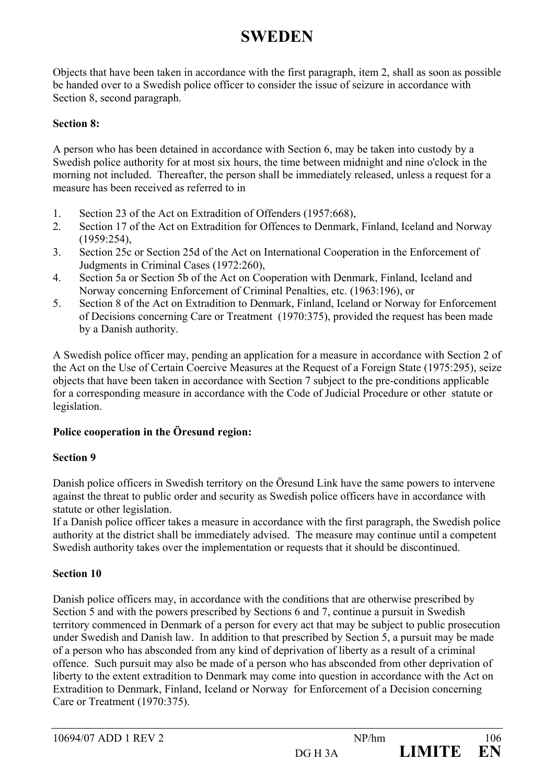Objects that have been taken in accordance with the first paragraph, item 2, shall as soon as possible be handed over to a Swedish police officer to consider the issue of seizure in accordance with Section 8, second paragraph.

## **Section 8:**

A person who has been detained in accordance with Section 6, may be taken into custody by a Swedish police authority for at most six hours, the time between midnight and nine o'clock in the morning not included. Thereafter, the person shall be immediately released, unless a request for a measure has been received as referred to in

- 1. Section 23 of the Act on Extradition of Offenders (1957:668),
- 2. Section 17 of the Act on Extradition for Offences to Denmark, Finland, Iceland and Norway (1959:254),
- 3. Section 25c or Section 25d of the Act on International Cooperation in the Enforcement of Judgments in Criminal Cases (1972:260),
- 4. Section 5a or Section 5b of the Act on Cooperation with Denmark, Finland, Iceland and Norway concerning Enforcement of Criminal Penalties, etc. (1963:196), or
- 5. Section 8 of the Act on Extradition to Denmark, Finland, Iceland or Norway for Enforcement of Decisions concerning Care or Treatment (1970:375), provided the request has been made by a Danish authority.

A Swedish police officer may, pending an application for a measure in accordance with Section 2 of the Act on the Use of Certain Coercive Measures at the Request of a Foreign State (1975:295), seize objects that have been taken in accordance with Section 7 subject to the pre-conditions applicable for a corresponding measure in accordance with the Code of Judicial Procedure or other statute or legislation.

## **Police cooperation in the Öresund region:**

#### **Section 9**

Danish police officers in Swedish territory on the Öresund Link have the same powers to intervene against the threat to public order and security as Swedish police officers have in accordance with statute or other legislation.

If a Danish police officer takes a measure in accordance with the first paragraph, the Swedish police authority at the district shall be immediately advised. The measure may continue until a competent Swedish authority takes over the implementation or requests that it should be discontinued.

## **Section 10**

Danish police officers may, in accordance with the conditions that are otherwise prescribed by Section 5 and with the powers prescribed by Sections 6 and 7, continue a pursuit in Swedish territory commenced in Denmark of a person for every act that may be subject to public prosecution under Swedish and Danish law. In addition to that prescribed by Section 5, a pursuit may be made of a person who has absconded from any kind of deprivation of liberty as a result of a criminal offence. Such pursuit may also be made of a person who has absconded from other deprivation of liberty to the extent extradition to Denmark may come into question in accordance with the Act on Extradition to Denmark, Finland, Iceland or Norway for Enforcement of a Decision concerning Care or Treatment (1970:375).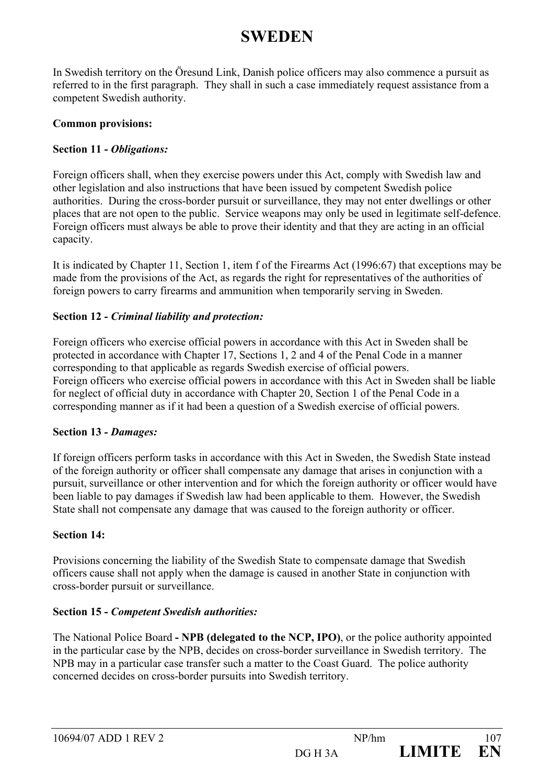In Swedish territory on the Öresund Link, Danish police officers may also commence a pursuit as referred to in the first paragraph. They shall in such a case immediately request assistance from a competent Swedish authority.

#### **Common provisions:**

## **Section 11 -** *Obligations:*

Foreign officers shall, when they exercise powers under this Act, comply with Swedish law and other legislation and also instructions that have been issued by competent Swedish police authorities. During the cross-border pursuit or surveillance, they may not enter dwellings or other places that are not open to the public. Service weapons may only be used in legitimate self-defence. Foreign officers must always be able to prove their identity and that they are acting in an official capacity.

It is indicated by Chapter 11, Section 1, item f of the Firearms Act (1996:67) that exceptions may be made from the provisions of the Act, as regards the right for representatives of the authorities of foreign powers to carry firearms and ammunition when temporarily serving in Sweden.

## **Section 12 -** *Criminal liability and protection:*

Foreign officers who exercise official powers in accordance with this Act in Sweden shall be protected in accordance with Chapter 17, Sections 1, 2 and 4 of the Penal Code in a manner corresponding to that applicable as regards Swedish exercise of official powers. Foreign officers who exercise official powers in accordance with this Act in Sweden shall be liable for neglect of official duty in accordance with Chapter 20, Section 1 of the Penal Code in a corresponding manner as if it had been a question of a Swedish exercise of official powers.

#### **Section 13** *- Damages:*

If foreign officers perform tasks in accordance with this Act in Sweden, the Swedish State instead of the foreign authority or officer shall compensate any damage that arises in conjunction with a pursuit, surveillance or other intervention and for which the foreign authority or officer would have been liable to pay damages if Swedish law had been applicable to them. However, the Swedish State shall not compensate any damage that was caused to the foreign authority or officer.

#### **Section 14:**

Provisions concerning the liability of the Swedish State to compensate damage that Swedish officers cause shall not apply when the damage is caused in another State in conjunction with cross-border pursuit or surveillance.

#### **Section 15 -** *Competent Swedish authorities:*

The National Police Board **- NPB (delegated to the NCP, IPO)**, or the police authority appointed in the particular case by the NPB, decides on cross-border surveillance in Swedish territory. The NPB may in a particular case transfer such a matter to the Coast Guard. The police authority concerned decides on cross-border pursuits into Swedish territory.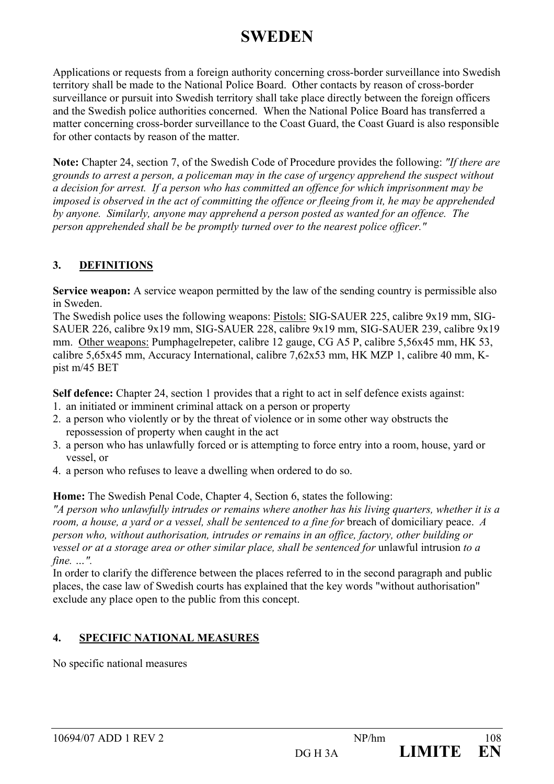Applications or requests from a foreign authority concerning cross-border surveillance into Swedish territory shall be made to the National Police Board. Other contacts by reason of cross-border surveillance or pursuit into Swedish territory shall take place directly between the foreign officers and the Swedish police authorities concerned. When the National Police Board has transferred a matter concerning cross-border surveillance to the Coast Guard, the Coast Guard is also responsible for other contacts by reason of the matter.

**Note:** Chapter 24, section 7, of the Swedish Code of Procedure provides the following: *"If there are grounds to arrest a person, a policeman may in the case of urgency apprehend the suspect without a decision for arrest. If a person who has committed an offence for which imprisonment may be imposed is observed in the act of committing the offence or fleeing from it, he may be apprehended by anyone. Similarly, anyone may apprehend a person posted as wanted for an offence. The person apprehended shall be be promptly turned over to the nearest police officer."* 

## **3. DEFINITIONS**

**Service weapon:** A service weapon permitted by the law of the sending country is permissible also in Sweden.

The Swedish police uses the following weapons: Pistols: SIG-SAUER 225, calibre 9x19 mm, SIG-SAUER 226, calibre 9x19 mm, SIG-SAUER 228, calibre 9x19 mm, SIG-SAUER 239, calibre 9x19 mm. Other weapons: Pumphagelrepeter, calibre 12 gauge, CG A5 P, calibre 5,56x45 mm, HK 53, calibre 5,65x45 mm, Accuracy International, calibre 7,62x53 mm, HK MZP 1, calibre 40 mm, Kpist m/45 BET

**Self defence:** Chapter 24, section 1 provides that a right to act in self defence exists against:

- 1. an initiated or imminent criminal attack on a person or property
- 2. a person who violently or by the threat of violence or in some other way obstructs the repossession of property when caught in the act
- 3. a person who has unlawfully forced or is attempting to force entry into a room, house, yard or vessel, or
- 4. a person who refuses to leave a dwelling when ordered to do so.

**Home:** The Swedish Penal Code, Chapter 4, Section 6, states the following:

*"A person who unlawfully intrudes or remains where another has his living quarters, whether it is a room, a house, a yard or a vessel, shall be sentenced to a fine for* breach of domiciliary peace. *A person who, without authorisation, intrudes or remains in an office, factory, other building or vessel or at a storage area or other similar place, shall be sentenced for unlawful intrusion to a fine. …".* 

In order to clarify the difference between the places referred to in the second paragraph and public places, the case law of Swedish courts has explained that the key words "without authorisation" exclude any place open to the public from this concept.

## **4. SPECIFIC NATIONAL MEASURES**

No specific national measures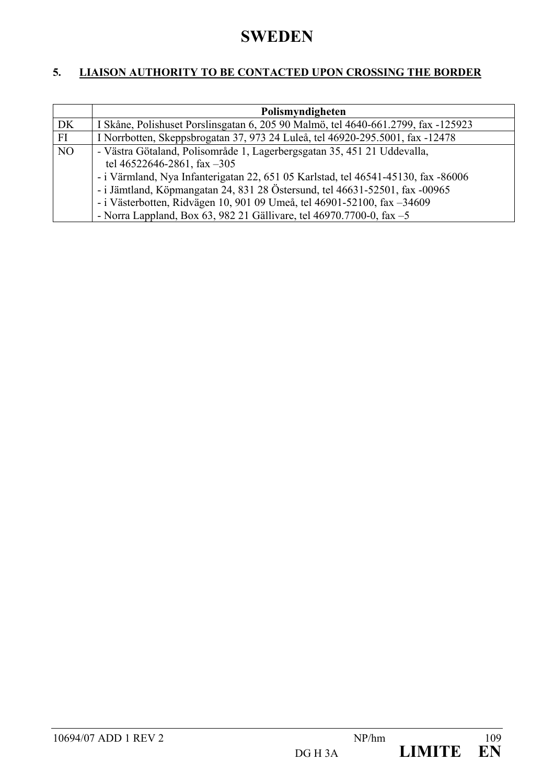## **SWEDEN**

### **5. LIAISON AUTHORITY TO BE CONTACTED UPON CROSSING THE BORDER**

|                | Polismyndigheten                                                                  |  |  |  |  |
|----------------|-----------------------------------------------------------------------------------|--|--|--|--|
| DK             | I Skåne, Polishuset Porslinsgatan 6, 205 90 Malmö, tel 4640-661.2799, fax -125923 |  |  |  |  |
| FI             | I Norrbotten, Skeppsbrogatan 37, 973 24 Luleå, tel 46920-295.5001, fax -12478     |  |  |  |  |
| N <sub>O</sub> | - Västra Götaland, Polisområde 1, Lagerbergsgatan 35, 451 21 Uddevalla,           |  |  |  |  |
|                | tel 46522646-2861, fax $-305$                                                     |  |  |  |  |
|                | - i Värmland, Nya Infanterigatan 22, 651 05 Karlstad, tel 46541-45130, fax -86006 |  |  |  |  |
|                | - i Jämtland, Köpmangatan 24, 831 28 Östersund, tel 46631-52501, fax -00965       |  |  |  |  |
|                | - i Västerbotten, Ridvägen 10, 901 09 Umeå, tel 46901-52100, fax -34609           |  |  |  |  |
|                | - Norra Lappland, Box 63, 982 21 Gällivare, tel $46970.7700$ -0, fax $-5$         |  |  |  |  |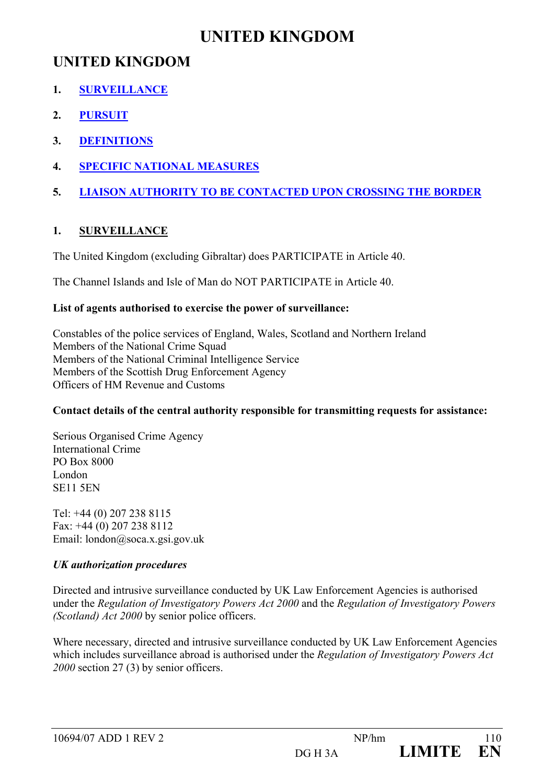## **UNITED KINGDOM**

- **1. SURVEILLANCE**
- **2. PURSUIT**
- **3. DEFINITIONS**
- **4. SPECIFIC NATIONAL MEASURES**
- **5. LIAISON AUTHORITY TO BE CONTACTED UPON CROSSING THE BORDER**

### **1. SURVEILLANCE**

The United Kingdom (excluding Gibraltar) does PARTICIPATE in Article 40.

The Channel Islands and Isle of Man do NOT PARTICIPATE in Article 40.

#### **List of agents authorised to exercise the power of surveillance:**

Constables of the police services of England, Wales, Scotland and Northern Ireland Members of the National Crime Squad Members of the National Criminal Intelligence Service Members of the Scottish Drug Enforcement Agency Officers of HM Revenue and Customs

#### **Contact details of the central authority responsible for transmitting requests for assistance:**

Serious Organised Crime Agency International Crime PO Box 8000 London SE11 5EN

Tel: +44 (0) 207 238 8115 Fax: +44 (0) 207 238 8112 Email: london@soca.x.gsi.gov.uk

### *UK authorization procedures*

Directed and intrusive surveillance conducted by UK Law Enforcement Agencies is authorised under the *Regulation of Investigatory Powers Act 2000* and the *Regulation of Investigatory Powers (Scotland) Act 2000* by senior police officers.

Where necessary, directed and intrusive surveillance conducted by UK Law Enforcement Agencies which includes surveillance abroad is authorised under the *Regulation of Investigatory Powers Act 2000* section 27 (3) by senior officers.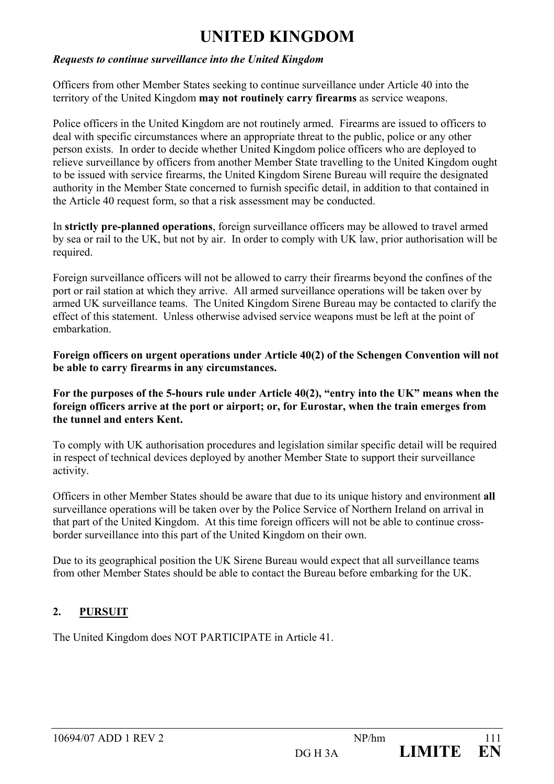#### *Requests to continue surveillance into the United Kingdom*

Officers from other Member States seeking to continue surveillance under Article 40 into the territory of the United Kingdom **may not routinely carry firearms** as service weapons.

Police officers in the United Kingdom are not routinely armed. Firearms are issued to officers to deal with specific circumstances where an appropriate threat to the public, police or any other person exists. In order to decide whether United Kingdom police officers who are deployed to relieve surveillance by officers from another Member State travelling to the United Kingdom ought to be issued with service firearms, the United Kingdom Sirene Bureau will require the designated authority in the Member State concerned to furnish specific detail, in addition to that contained in the Article 40 request form, so that a risk assessment may be conducted.

In **strictly pre-planned operations**, foreign surveillance officers may be allowed to travel armed by sea or rail to the UK, but not by air. In order to comply with UK law, prior authorisation will be required.

Foreign surveillance officers will not be allowed to carry their firearms beyond the confines of the port or rail station at which they arrive. All armed surveillance operations will be taken over by armed UK surveillance teams. The United Kingdom Sirene Bureau may be contacted to clarify the effect of this statement. Unless otherwise advised service weapons must be left at the point of embarkation.

**Foreign officers on urgent operations under Article 40(2) of the Schengen Convention will not be able to carry firearms in any circumstances.** 

**For the purposes of the 5-hours rule under Article 40(2), "entry into the UK" means when the foreign officers arrive at the port or airport; or, for Eurostar, when the train emerges from the tunnel and enters Kent.** 

To comply with UK authorisation procedures and legislation similar specific detail will be required in respect of technical devices deployed by another Member State to support their surveillance activity.

Officers in other Member States should be aware that due to its unique history and environment **all** surveillance operations will be taken over by the Police Service of Northern Ireland on arrival in that part of the United Kingdom. At this time foreign officers will not be able to continue crossborder surveillance into this part of the United Kingdom on their own.

Due to its geographical position the UK Sirene Bureau would expect that all surveillance teams from other Member States should be able to contact the Bureau before embarking for the UK.

#### **2. PURSUIT**

The United Kingdom does NOT PARTICIPATE in Article 41.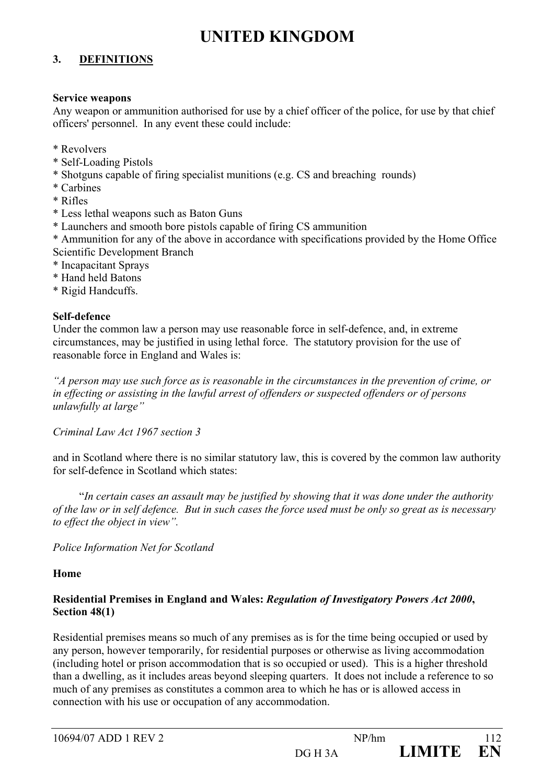#### **3. DEFINITIONS**

#### **Service weapons**

Any weapon or ammunition authorised for use by a chief officer of the police, for use by that chief officers' personnel. In any event these could include:

- \* Revolvers
- \* Self-Loading Pistols
- \* Shotguns capable of firing specialist munitions (e.g. CS and breaching rounds)
- \* Carbines
- \* Rifles
- \* Less lethal weapons such as Baton Guns
- \* Launchers and smooth bore pistols capable of firing CS ammunition
- \* Ammunition for any of the above in accordance with specifications provided by the Home Office Scientific Development Branch
- \* Incapacitant Sprays
- \* Hand held Batons
- \* Rigid Handcuffs.

#### **Self-defence**

Under the common law a person may use reasonable force in self-defence, and, in extreme circumstances, may be justified in using lethal force. The statutory provision for the use of reasonable force in England and Wales is:

*"A person may use such force as is reasonable in the circumstances in the prevention of crime, or in effecting or assisting in the lawful arrest of offenders or suspected offenders or of persons unlawfully at large"* 

#### *Criminal Law Act 1967 section 3*

and in Scotland where there is no similar statutory law, this is covered by the common law authority for self-defence in Scotland which states:

 "*In certain cases an assault may be justified by showing that it was done under the authority of the law or in self defence. But in such cases the force used must be only so great as is necessary to effect the object in view".* 

#### *Police Information Net for Scotland*

#### **Home**

#### **Residential Premises in England and Wales:** *Regulation of Investigatory Powers Act 2000***, Section 48(1)**

Residential premises means so much of any premises as is for the time being occupied or used by any person, however temporarily, for residential purposes or otherwise as living accommodation (including hotel or prison accommodation that is so occupied or used). This is a higher threshold than a dwelling, as it includes areas beyond sleeping quarters. It does not include a reference to so much of any premises as constitutes a common area to which he has or is allowed access in connection with his use or occupation of any accommodation.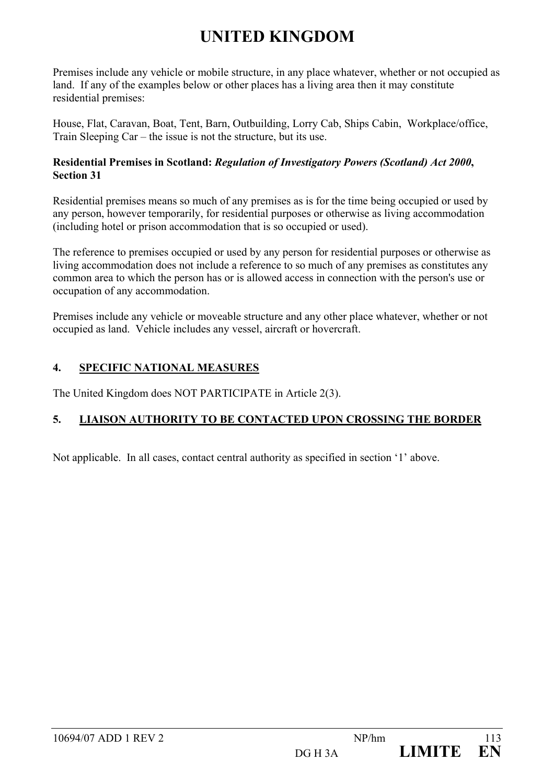Premises include any vehicle or mobile structure, in any place whatever, whether or not occupied as land. If any of the examples below or other places has a living area then it may constitute residential premises:

House, Flat, Caravan, Boat, Tent, Barn, Outbuilding, Lorry Cab, Ships Cabin, Workplace/office, Train Sleeping Car – the issue is not the structure, but its use.

#### **Residential Premises in Scotland:** *Regulation of Investigatory Powers (Scotland) Act 2000***, Section 31**

Residential premises means so much of any premises as is for the time being occupied or used by any person, however temporarily, for residential purposes or otherwise as living accommodation (including hotel or prison accommodation that is so occupied or used).

The reference to premises occupied or used by any person for residential purposes or otherwise as living accommodation does not include a reference to so much of any premises as constitutes any common area to which the person has or is allowed access in connection with the person's use or occupation of any accommodation.

Premises include any vehicle or moveable structure and any other place whatever, whether or not occupied as land. Vehicle includes any vessel, aircraft or hovercraft.

### **4. SPECIFIC NATIONAL MEASURES**

The United Kingdom does NOT PARTICIPATE in Article 2(3).

### **5. LIAISON AUTHORITY TO BE CONTACTED UPON CROSSING THE BORDER**

Not applicable. In all cases, contact central authority as specified in section '1' above.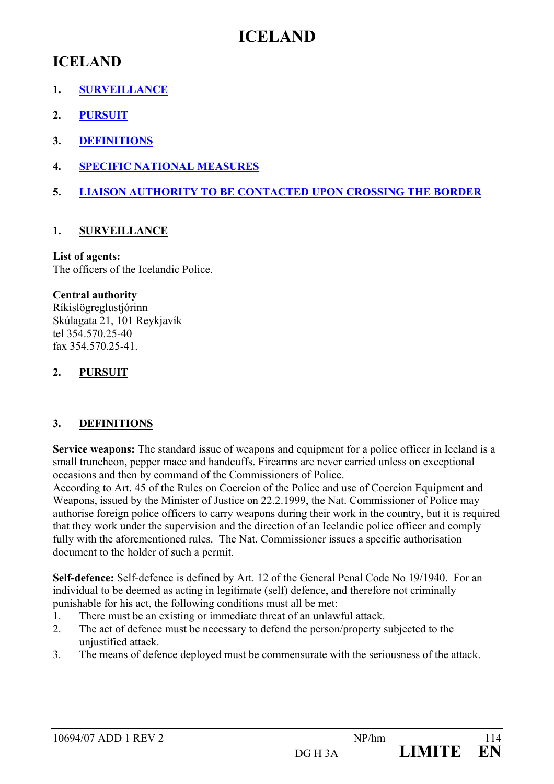## **ICELAND**

## **ICELAND**

- **1. SURVEILLANCE**
- **2. PURSUIT**
- **3. DEFINITIONS**
- **4. SPECIFIC NATIONAL MEASURES**
- **5. LIAISON AUTHORITY TO BE CONTACTED UPON CROSSING THE BORDER**

#### **1. SURVEILLANCE**

#### **List of agents:**

The officers of the Icelandic Police.

#### **Central authority**

Ríkislögreglustjórinn Skúlagata 21, 101 Reykjavík tel 354.570.25-40 fax 354.570.25-41

#### **2. PURSUIT**

#### **3. DEFINITIONS**

**Service weapons:** The standard issue of weapons and equipment for a police officer in Iceland is a small truncheon, pepper mace and handcuffs. Firearms are never carried unless on exceptional occasions and then by command of the Commissioners of Police.

According to Art. 45 of the Rules on Coercion of the Police and use of Coercion Equipment and Weapons, issued by the Minister of Justice on 22.2.1999, the Nat. Commissioner of Police may authorise foreign police officers to carry weapons during their work in the country, but it is required that they work under the supervision and the direction of an Icelandic police officer and comply fully with the aforementioned rules. The Nat. Commissioner issues a specific authorisation document to the holder of such a permit.

**Self-defence:** Self-defence is defined by Art. 12 of the General Penal Code No 19/1940. For an individual to be deemed as acting in legitimate (self) defence, and therefore not criminally punishable for his act, the following conditions must all be met:

- 1. There must be an existing or immediate threat of an unlawful attack.
- 2. The act of defence must be necessary to defend the person/property subjected to the unjustified attack.
- 3. The means of defence deployed must be commensurate with the seriousness of the attack.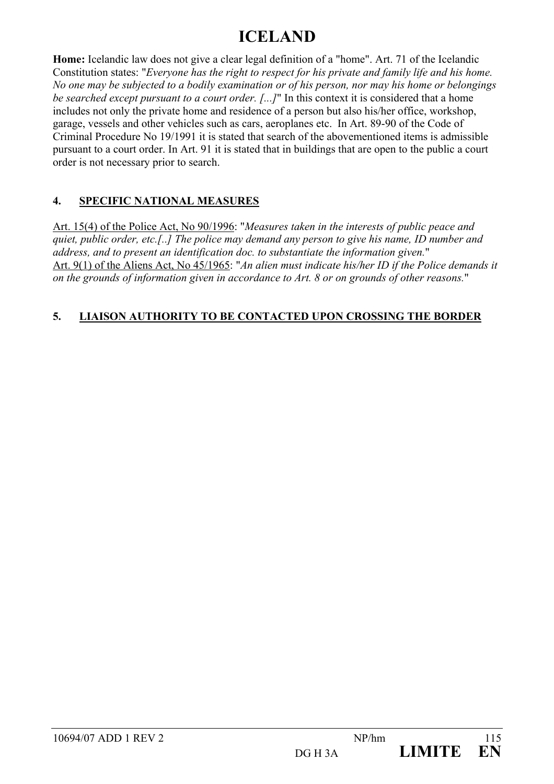# **ICELAND**

**Home:** Icelandic law does not give a clear legal definition of a "home". Art. 71 of the Icelandic Constitution states: "*Everyone has the right to respect for his private and family life and his home. No one may be subjected to a bodily examination or of his person, nor may his home or belongings be searched except pursuant to a court order. [...]*" In this context it is considered that a home includes not only the private home and residence of a person but also his/her office, workshop, garage, vessels and other vehicles such as cars, aeroplanes etc. In Art. 89-90 of the Code of Criminal Procedure No 19/1991 it is stated that search of the abovementioned items is admissible pursuant to a court order. In Art. 91 it is stated that in buildings that are open to the public a court order is not necessary prior to search.

### **4. SPECIFIC NATIONAL MEASURES**

Art. 15(4) of the Police Act, No 90/1996: "*Measures taken in the interests of public peace and quiet, public order, etc.[..] The police may demand any person to give his name, ID number and address, and to present an identification doc. to substantiate the information given.*" Art. 9(1) of the Aliens Act, No 45/1965: "*An alien must indicate his/her ID if the Police demands it on the grounds of information given in accordance to Art. 8 or on grounds of other reasons.*"

### **5. LIAISON AUTHORITY TO BE CONTACTED UPON CROSSING THE BORDER**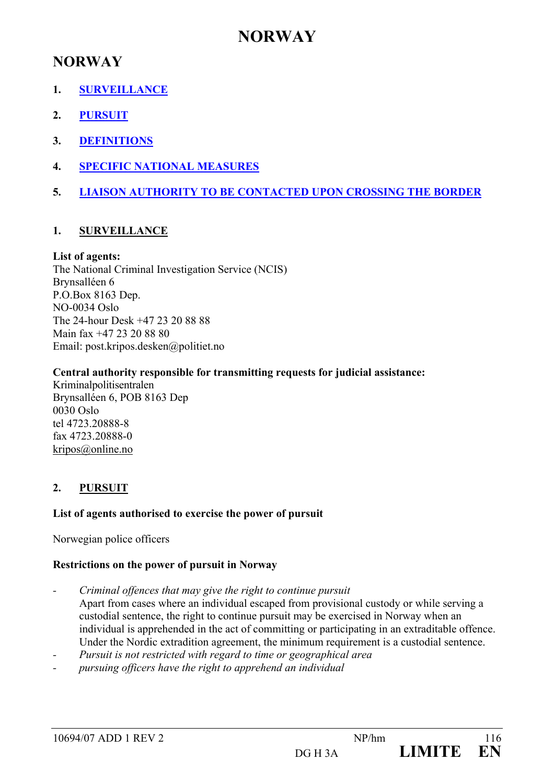## **NORWAY**

### **NORWAY**

- **1. SURVEILLANCE**
- **2. PURSUIT**
- **3. DEFINITIONS**
- **4. SPECIFIC NATIONAL MEASURES**
- **5. LIAISON AUTHORITY TO BE CONTACTED UPON CROSSING THE BORDER**

#### **1. SURVEILLANCE**

#### **List of agents:**

The National Criminal Investigation Service (NCIS) Brynsalléen 6 P.O.Box 8163 Dep. NO-0034 Oslo The 24-hour Desk +47 23 20 88 88 Main fax +47 23 20 88 80 Email: post.kripos.desken@politiet.no

#### **Central authority responsible for transmitting requests for judicial assistance:**

Kriminalpolitisentralen Brynsalléen 6, POB 8163 Dep 0030 Oslo tel 4723.20888-8 fax 4723.20888-0 kripos@online.no

#### **2. PURSUIT**

#### **List of agents authorised to exercise the power of pursuit**

Norwegian police officers

#### **Restrictions on the power of pursuit in Norway**

- *Criminal offences that may give the right to continue pursuit*  Apart from cases where an individual escaped from provisional custody or while serving a custodial sentence, the right to continue pursuit may be exercised in Norway when an individual is apprehended in the act of committing or participating in an extraditable offence. Under the Nordic extradition agreement, the minimum requirement is a custodial sentence.
- *Pursuit is not restricted with regard to time or geographical area*
- *pursuing officers have the right to apprehend an individual*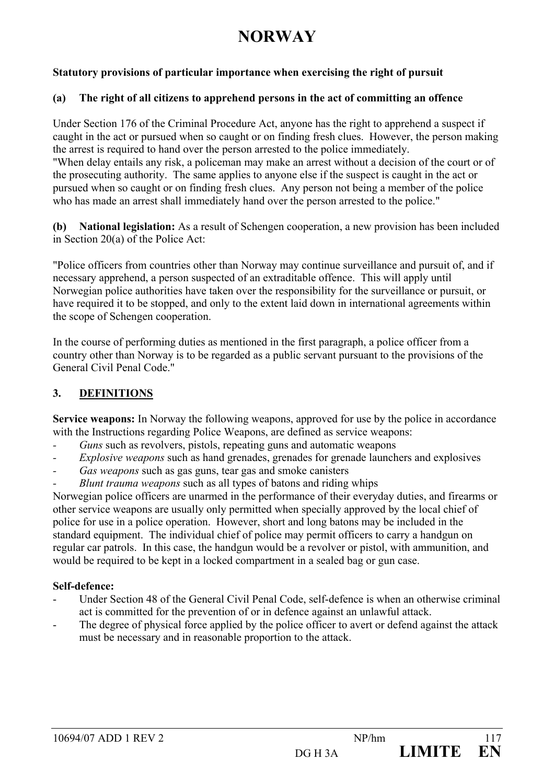# **NORWAY**

#### **Statutory provisions of particular importance when exercising the right of pursuit**

#### **(a) The right of all citizens to apprehend persons in the act of committing an offence**

Under Section 176 of the Criminal Procedure Act, anyone has the right to apprehend a suspect if caught in the act or pursued when so caught or on finding fresh clues. However, the person making the arrest is required to hand over the person arrested to the police immediately. "When delay entails any risk, a policeman may make an arrest without a decision of the court or of the prosecuting authority. The same applies to anyone else if the suspect is caught in the act or pursued when so caught or on finding fresh clues. Any person not being a member of the police who has made an arrest shall immediately hand over the person arrested to the police."

**(b) National legislation:** As a result of Schengen cooperation, a new provision has been included in Section 20(a) of the Police Act:

"Police officers from countries other than Norway may continue surveillance and pursuit of, and if necessary apprehend, a person suspected of an extraditable offence. This will apply until Norwegian police authorities have taken over the responsibility for the surveillance or pursuit, or have required it to be stopped, and only to the extent laid down in international agreements within the scope of Schengen cooperation.

In the course of performing duties as mentioned in the first paragraph, a police officer from a country other than Norway is to be regarded as a public servant pursuant to the provisions of the General Civil Penal Code."

#### **3. DEFINITIONS**

**Service weapons:** In Norway the following weapons, approved for use by the police in accordance with the Instructions regarding Police Weapons, are defined as service weapons:

- *Guns* such as revolvers, pistols, repeating guns and automatic weapons
- *Explosive weapons* such as hand grenades, grenades for grenade launchers and explosives
- *Gas weapons* such as gas guns, tear gas and smoke canisters
- *Blunt trauma weapons* such as all types of batons and riding whips

Norwegian police officers are unarmed in the performance of their everyday duties, and firearms or other service weapons are usually only permitted when specially approved by the local chief of police for use in a police operation. However, short and long batons may be included in the standard equipment. The individual chief of police may permit officers to carry a handgun on regular car patrols. In this case, the handgun would be a revolver or pistol, with ammunition, and would be required to be kept in a locked compartment in a sealed bag or gun case.

#### **Self-defence:**

- Under Section 48 of the General Civil Penal Code, self-defence is when an otherwise criminal act is committed for the prevention of or in defence against an unlawful attack.
- The degree of physical force applied by the police officer to avert or defend against the attack must be necessary and in reasonable proportion to the attack.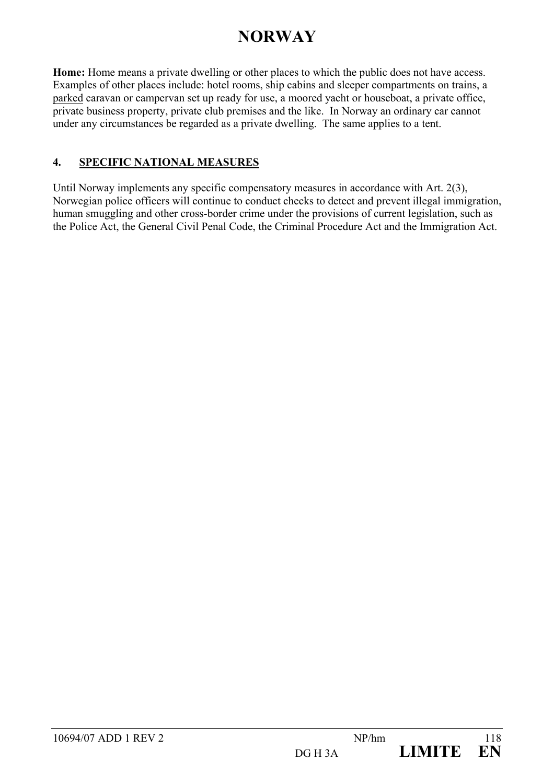# **NORWAY**

**Home:** Home means a private dwelling or other places to which the public does not have access. Examples of other places include: hotel rooms, ship cabins and sleeper compartments on trains, a parked caravan or campervan set up ready for use, a moored yacht or houseboat, a private office, private business property, private club premises and the like. In Norway an ordinary car cannot under any circumstances be regarded as a private dwelling. The same applies to a tent.

#### **4. SPECIFIC NATIONAL MEASURES**

Until Norway implements any specific compensatory measures in accordance with Art. 2(3), Norwegian police officers will continue to conduct checks to detect and prevent illegal immigration, human smuggling and other cross-border crime under the provisions of current legislation, such as the Police Act, the General Civil Penal Code, the Criminal Procedure Act and the Immigration Act.